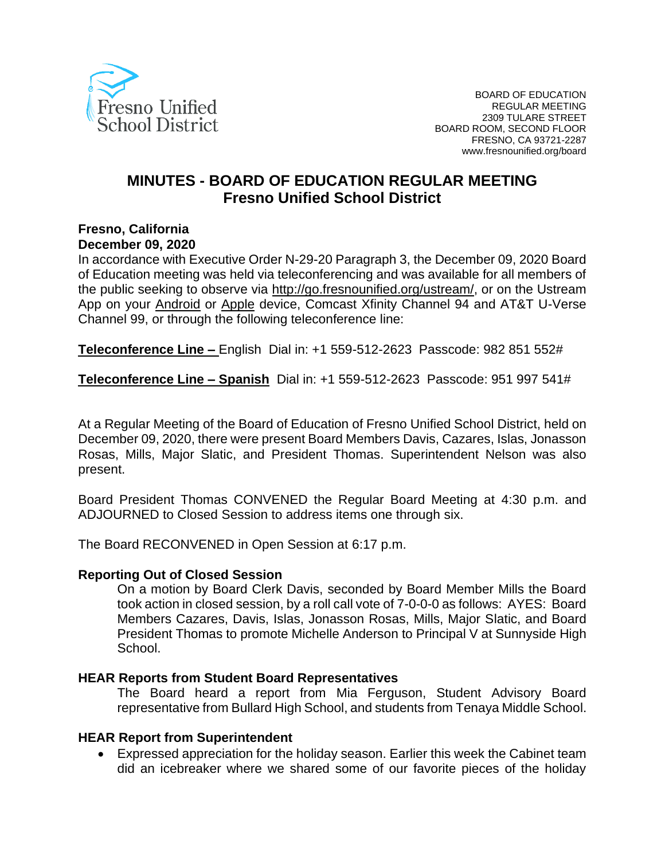

# **MINUTES - BOARD OF EDUCATION REGULAR MEETING Fresno Unified School District**

#### **Fresno, California December 09, 2020**

In accordance with Executive Order N-29-20 Paragraph 3, the December 09, 2020 Board of Education meeting was held via teleconferencing and was available for all members of the public seeking to observe via [http://go.fresnounified.org/ustream/,](http://go.fresnounified.org/ustream/) or on the Ustream App on your [Android](https://play.google.com/store/apps/details?id=tv.ustream.ustream&hl=en_US) or [Apple](https://itunes.apple.com/us/app/ustream/id301520250?mt=8) device, Comcast Xfinity Channel 94 and AT&T U-Verse Channel 99, or through the following teleconference line:

**Teleconference Line –** English Dial in: +1 559-512-2623 Passcode: 982 851 552#

**Teleconference Line – Spanish** Dial in: +1 559-512-2623 Passcode: 951 997 541#

At a Regular Meeting of the Board of Education of Fresno Unified School District, held on December 09, 2020, there were present Board Members Davis, Cazares, Islas, Jonasson Rosas, Mills, Major Slatic, and President Thomas. Superintendent Nelson was also present.

Board President Thomas CONVENED the Regular Board Meeting at 4:30 p.m. and ADJOURNED to Closed Session to address items one through six.

The Board RECONVENED in Open Session at 6:17 p.m.

#### **Reporting Out of Closed Session**

On a motion by Board Clerk Davis, seconded by Board Member Mills the Board took action in closed session, by a roll call vote of 7-0-0-0 as follows: AYES: Board Members Cazares, Davis, Islas, Jonasson Rosas, Mills, Major Slatic, and Board President Thomas to promote Michelle Anderson to Principal V at Sunnyside High School.

#### **HEAR Reports from Student Board Representatives**

The Board heard a report from Mia Ferguson, Student Advisory Board representative from Bullard High School, and students from Tenaya Middle School.

#### **HEAR Report from Superintendent**

• Expressed appreciation for the holiday season. Earlier this week the Cabinet team did an icebreaker where we shared some of our favorite pieces of the holiday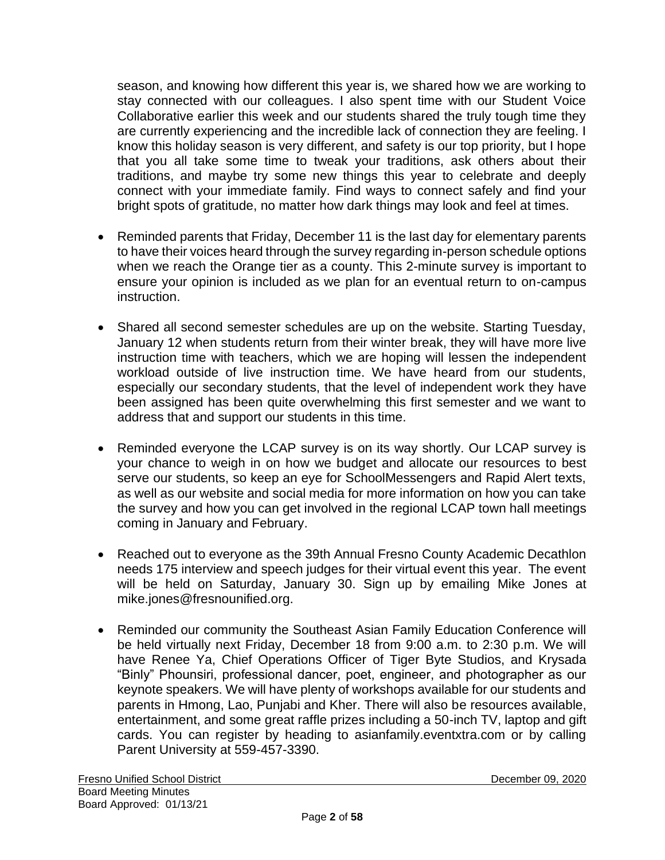season, and knowing how different this year is, we shared how we are working to stay connected with our colleagues. I also spent time with our Student Voice Collaborative earlier this week and our students shared the truly tough time they are currently experiencing and the incredible lack of connection they are feeling. I know this holiday season is very different, and safety is our top priority, but I hope that you all take some time to tweak your traditions, ask others about their traditions, and maybe try some new things this year to celebrate and deeply connect with your immediate family. Find ways to connect safely and find your bright spots of gratitude, no matter how dark things may look and feel at times.

- Reminded parents that Friday, December 11 is the last day for elementary parents to have their voices heard through the survey regarding in-person schedule options when we reach the Orange tier as a county. This 2-minute survey is important to ensure your opinion is included as we plan for an eventual return to on-campus instruction.
- Shared all second semester schedules are up on the website. Starting Tuesday, January 12 when students return from their winter break, they will have more live instruction time with teachers, which we are hoping will lessen the independent workload outside of live instruction time. We have heard from our students, especially our secondary students, that the level of independent work they have been assigned has been quite overwhelming this first semester and we want to address that and support our students in this time.
- Reminded everyone the LCAP survey is on its way shortly. Our LCAP survey is your chance to weigh in on how we budget and allocate our resources to best serve our students, so keep an eye for SchoolMessengers and Rapid Alert texts, as well as our website and social media for more information on how you can take the survey and how you can get involved in the regional LCAP town hall meetings coming in January and February.
- Reached out to everyone as the 39th Annual Fresno County Academic Decathlon needs 175 interview and speech judges for their virtual event this year. The event will be held on Saturday, January 30. Sign up by emailing Mike Jones at mike.jones@fresnounified.org.
- Reminded our community the Southeast Asian Family Education Conference will be held virtually next Friday, December 18 from 9:00 a.m. to 2:30 p.m. We will have Renee Ya, Chief Operations Officer of Tiger Byte Studios, and Krysada "Binly" Phounsiri, professional dancer, poet, engineer, and photographer as our keynote speakers. We will have plenty of workshops available for our students and parents in Hmong, Lao, Punjabi and Kher. There will also be resources available, entertainment, and some great raffle prizes including a 50-inch TV, laptop and gift cards. You can register by heading to asianfamily.eventxtra.com or by calling Parent University at 559-457-3390.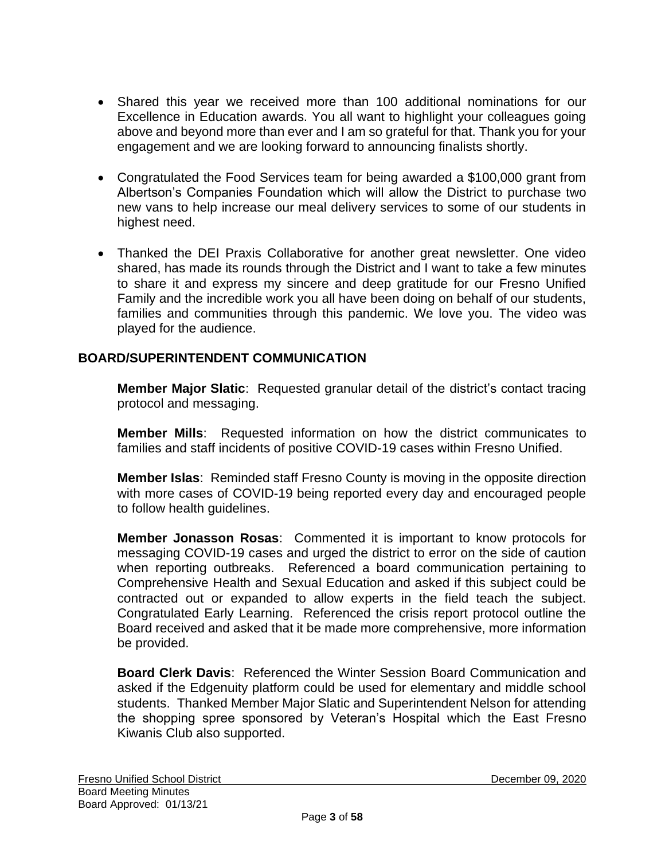- Shared this year we received more than 100 additional nominations for our Excellence in Education awards. You all want to highlight your colleagues going above and beyond more than ever and I am so grateful for that. Thank you for your engagement and we are looking forward to announcing finalists shortly.
- Congratulated the Food Services team for being awarded a \$100,000 grant from Albertson's Companies Foundation which will allow the District to purchase two new vans to help increase our meal delivery services to some of our students in highest need.
- Thanked the DEI Praxis Collaborative for another great newsletter. One video shared, has made its rounds through the District and I want to take a few minutes to share it and express my sincere and deep gratitude for our Fresno Unified Family and the incredible work you all have been doing on behalf of our students, families and communities through this pandemic. We love you. The video was played for the audience.

# **BOARD/SUPERINTENDENT COMMUNICATION**

**Member Major Slatic**: Requested granular detail of the district's contact tracing protocol and messaging.

**Member Mills**: Requested information on how the district communicates to families and staff incidents of positive COVID-19 cases within Fresno Unified.

**Member Islas**:Reminded staff Fresno County is moving in the opposite direction with more cases of COVID-19 being reported every day and encouraged people to follow health guidelines.

**Member Jonasson Rosas**: Commented it is important to know protocols for messaging COVID-19 cases and urged the district to error on the side of caution when reporting outbreaks. Referenced a board communication pertaining to Comprehensive Health and Sexual Education and asked if this subject could be contracted out or expanded to allow experts in the field teach the subject. Congratulated Early Learning. Referenced the crisis report protocol outline the Board received and asked that it be made more comprehensive, more information be provided.

**Board Clerk Davis**: Referenced the Winter Session Board Communication and asked if the Edgenuity platform could be used for elementary and middle school students. Thanked Member Major Slatic and Superintendent Nelson for attending the shopping spree sponsored by Veteran's Hospital which the East Fresno Kiwanis Club also supported.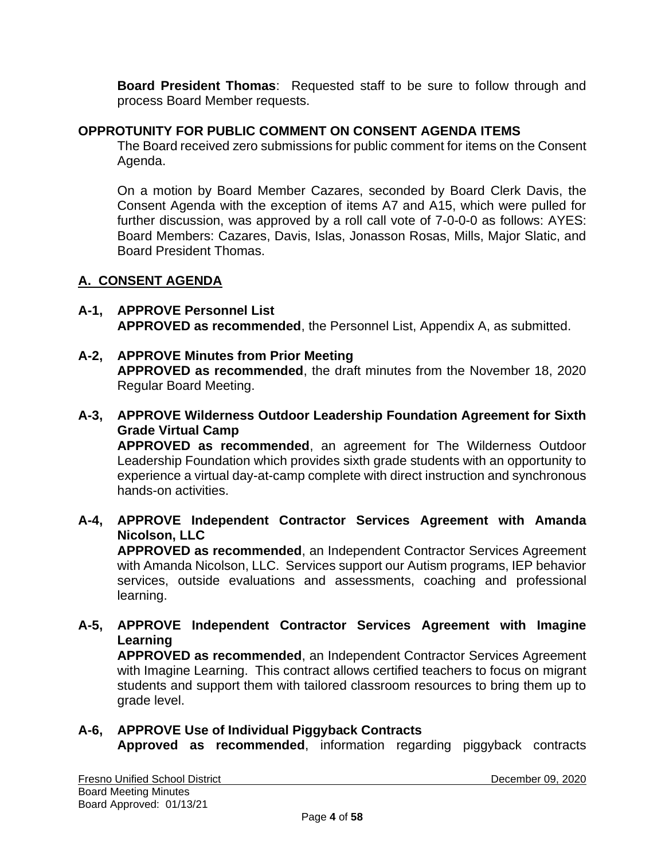**Board President Thomas**: Requested staff to be sure to follow through and process Board Member requests.

## **OPPROTUNITY FOR PUBLIC COMMENT ON CONSENT AGENDA ITEMS**

The Board received zero submissions for public comment for items on the Consent Agenda.

On a motion by Board Member Cazares, seconded by Board Clerk Davis, the Consent Agenda with the exception of items A7 and A15, which were pulled for further discussion, was approved by a roll call vote of 7-0-0-0 as follows: AYES: Board Members: Cazares, Davis, Islas, Jonasson Rosas, Mills, Major Slatic, and Board President Thomas.

# **A. CONSENT AGENDA**

- **A-1, APPROVE Personnel List APPROVED as recommended**, the Personnel List, Appendix A, as submitted.
- **A-2, APPROVE Minutes from Prior Meeting APPROVED as recommended**, the draft minutes from the November 18, 2020 Regular Board Meeting.
- **A-3, APPROVE Wilderness Outdoor Leadership Foundation Agreement for Sixth Grade Virtual Camp**

**APPROVED as recommended**, an agreement for The Wilderness Outdoor Leadership Foundation which provides sixth grade students with an opportunity to experience a virtual day-at-camp complete with direct instruction and synchronous hands-on activities.

### **A-4, APPROVE Independent Contractor Services Agreement with Amanda Nicolson, LLC**

**APPROVED as recommended**, an Independent Contractor Services Agreement with Amanda Nicolson, LLC. Services support our Autism programs, IEP behavior services, outside evaluations and assessments, coaching and professional learning.

# **A-5, APPROVE Independent Contractor Services Agreement with Imagine Learning**

**APPROVED as recommended**, an Independent Contractor Services Agreement with Imagine Learning. This contract allows certified teachers to focus on migrant students and support them with tailored classroom resources to bring them up to grade level.

# **A-6, APPROVE Use of Individual Piggyback Contracts Approved as recommended**, information regarding piggyback contracts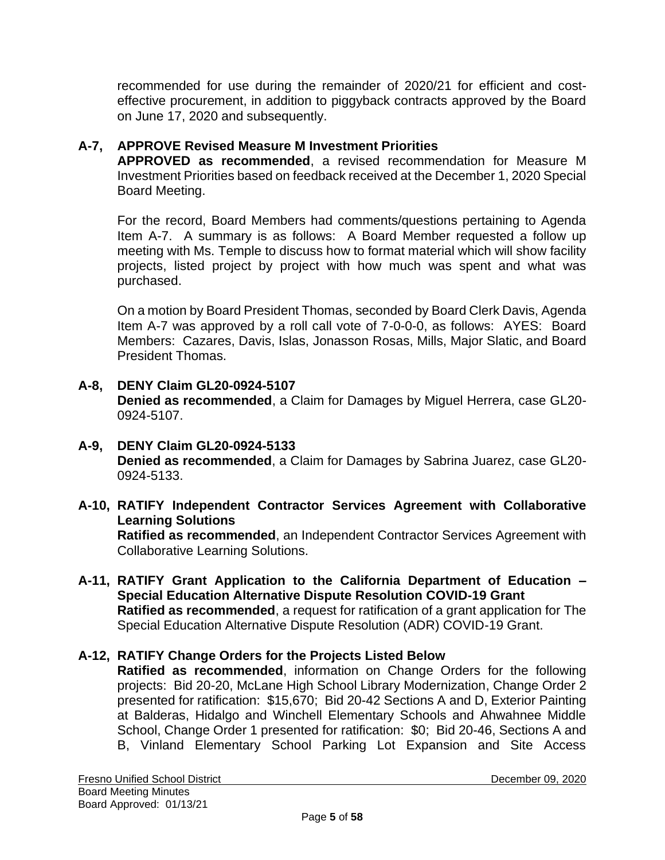recommended for use during the remainder of 2020/21 for efficient and costeffective procurement, in addition to piggyback contracts approved by the Board on June 17, 2020 and subsequently.

## **A-7, APPROVE Revised Measure M Investment Priorities**

**APPROVED as recommended**, a revised recommendation for Measure M Investment Priorities based on feedback received at the December 1, 2020 Special Board Meeting.

For the record, Board Members had comments/questions pertaining to Agenda Item A-7. A summary is as follows: A Board Member requested a follow up meeting with Ms. Temple to discuss how to format material which will show facility projects, listed project by project with how much was spent and what was purchased.

On a motion by Board President Thomas, seconded by Board Clerk Davis, Agenda Item A-7 was approved by a roll call vote of 7-0-0-0, as follows: AYES: Board Members: Cazares, Davis, Islas, Jonasson Rosas, Mills, Major Slatic, and Board President Thomas.

- **A-8, DENY Claim GL20-0924-5107 Denied as recommended**, a Claim for Damages by Miguel Herrera, case GL20- 0924-5107.
- **A-9, DENY Claim GL20-0924-5133 Denied as recommended**, a Claim for Damages by Sabrina Juarez, case GL20- 0924-5133.
- **A-10, RATIFY Independent Contractor Services Agreement with Collaborative Learning Solutions**

**Ratified as recommended**, an Independent Contractor Services Agreement with Collaborative Learning Solutions.

**A-11, RATIFY Grant Application to the California Department of Education – Special Education Alternative Dispute Resolution COVID-19 Grant Ratified as recommended**, a request for ratification of a grant application for The Special Education Alternative Dispute Resolution (ADR) COVID-19 Grant.

### **A-12, RATIFY Change Orders for the Projects Listed Below**

**Ratified as recommended**, information on Change Orders for the following projects: Bid 20-20, McLane High School Library Modernization, Change Order 2 presented for ratification: \$15,670; Bid 20-42 Sections A and D, Exterior Painting at Balderas, Hidalgo and Winchell Elementary Schools and Ahwahnee Middle School, Change Order 1 presented for ratification: \$0; Bid 20-46, Sections A and B, Vinland Elementary School Parking Lot Expansion and Site Access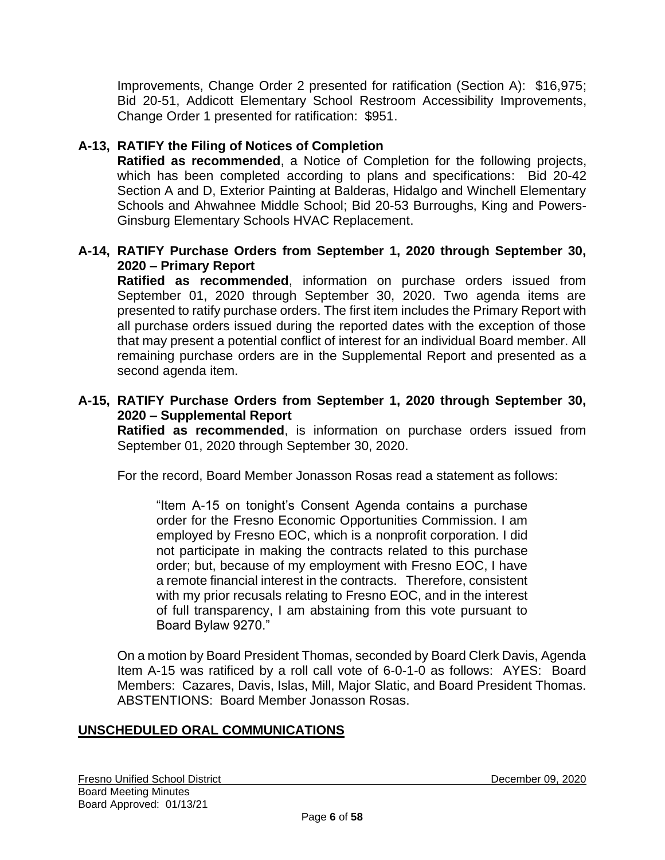Improvements, Change Order 2 presented for ratification (Section A): \$16,975; Bid 20-51, Addicott Elementary School Restroom Accessibility Improvements, Change Order 1 presented for ratification: \$951.

## **A-13, RATIFY the Filing of Notices of Completion**

**Ratified as recommended**, a Notice of Completion for the following projects, which has been completed according to plans and specifications: Bid 20-42 Section A and D, Exterior Painting at Balderas, Hidalgo and Winchell Elementary Schools and Ahwahnee Middle School; Bid 20-53 Burroughs, King and Powers-Ginsburg Elementary Schools HVAC Replacement.

#### **A-14, RATIFY Purchase Orders from September 1, 2020 through September 30, 2020 – Primary Report**

**Ratified as recommended**, information on purchase orders issued from September 01, 2020 through September 30, 2020. Two agenda items are presented to ratify purchase orders. The first item includes the Primary Report with all purchase orders issued during the reported dates with the exception of those that may present a potential conflict of interest for an individual Board member. All remaining purchase orders are in the Supplemental Report and presented as a second agenda item.

#### **A-15, RATIFY Purchase Orders from September 1, 2020 through September 30, 2020 – Supplemental Report**

**Ratified as recommended**, is information on purchase orders issued from September 01, 2020 through September 30, 2020.

For the record, Board Member Jonasson Rosas read a statement as follows:

"Item A-15 on tonight's Consent Agenda contains a purchase order for the Fresno Economic Opportunities Commission. I am employed by Fresno EOC, which is a nonprofit corporation. I did not participate in making the contracts related to this purchase order; but, because of my employment with Fresno EOC, I have a remote financial interest in the contracts. Therefore, consistent with my prior recusals relating to Fresno EOC, and in the interest of full transparency, I am abstaining from this vote pursuant to Board Bylaw 9270."

On a motion by Board President Thomas, seconded by Board Clerk Davis, Agenda Item A-15 was ratificed by a roll call vote of 6-0-1-0 as follows: AYES: Board Members: Cazares, Davis, Islas, Mill, Major Slatic, and Board President Thomas. ABSTENTIONS: Board Member Jonasson Rosas.

# **UNSCHEDULED ORAL COMMUNICATIONS**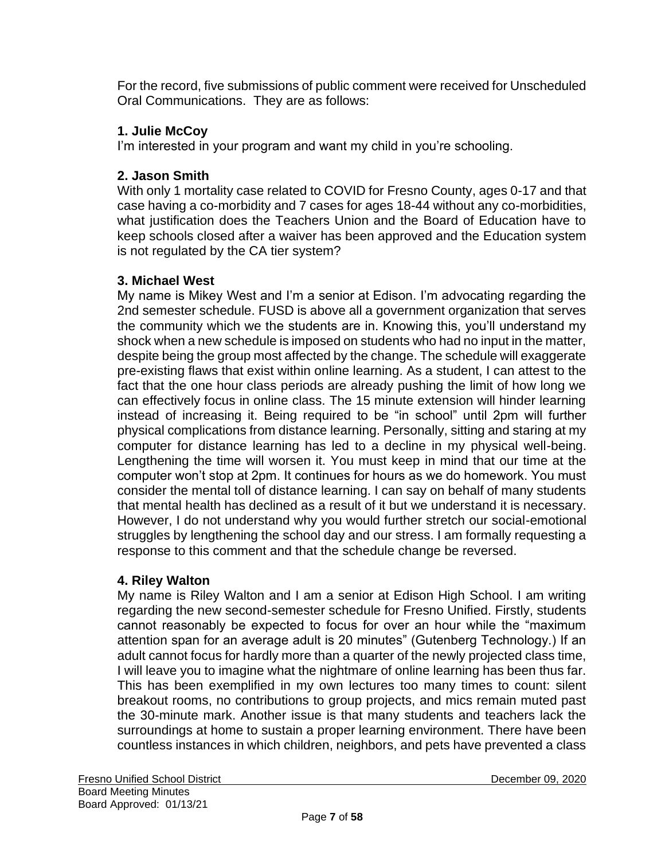For the record, five submissions of public comment were received for Unscheduled Oral Communications. They are as follows:

# **1. Julie McCoy**

I'm interested in your program and want my child in you're schooling.

# **2. Jason Smith**

With only 1 mortality case related to COVID for Fresno County, ages 0-17 and that case having a co-morbidity and 7 cases for ages 18-44 without any co-morbidities, what justification does the Teachers Union and the Board of Education have to keep schools closed after a waiver has been approved and the Education system is not regulated by the CA tier system?

# **3. Michael West**

My name is Mikey West and I'm a senior at Edison. I'm advocating regarding the 2nd semester schedule. FUSD is above all a government organization that serves the community which we the students are in. Knowing this, you'll understand my shock when a new schedule is imposed on students who had no input in the matter, despite being the group most affected by the change. The schedule will exaggerate pre-existing flaws that exist within online learning. As a student, I can attest to the fact that the one hour class periods are already pushing the limit of how long we can effectively focus in online class. The 15 minute extension will hinder learning instead of increasing it. Being required to be "in school" until 2pm will further physical complications from distance learning. Personally, sitting and staring at my computer for distance learning has led to a decline in my physical well-being. Lengthening the time will worsen it. You must keep in mind that our time at the computer won't stop at 2pm. It continues for hours as we do homework. You must consider the mental toll of distance learning. I can say on behalf of many students that mental health has declined as a result of it but we understand it is necessary. However, I do not understand why you would further stretch our social-emotional struggles by lengthening the school day and our stress. I am formally requesting a response to this comment and that the schedule change be reversed.

# **4. Riley Walton**

My name is Riley Walton and I am a senior at Edison High School. I am writing regarding the new second-semester schedule for Fresno Unified. Firstly, students cannot reasonably be expected to focus for over an hour while the "maximum attention span for an average adult is 20 minutes" (Gutenberg Technology.) If an adult cannot focus for hardly more than a quarter of the newly projected class time, I will leave you to imagine what the nightmare of online learning has been thus far. This has been exemplified in my own lectures too many times to count: silent breakout rooms, no contributions to group projects, and mics remain muted past the 30-minute mark. Another issue is that many students and teachers lack the surroundings at home to sustain a proper learning environment. There have been countless instances in which children, neighbors, and pets have prevented a class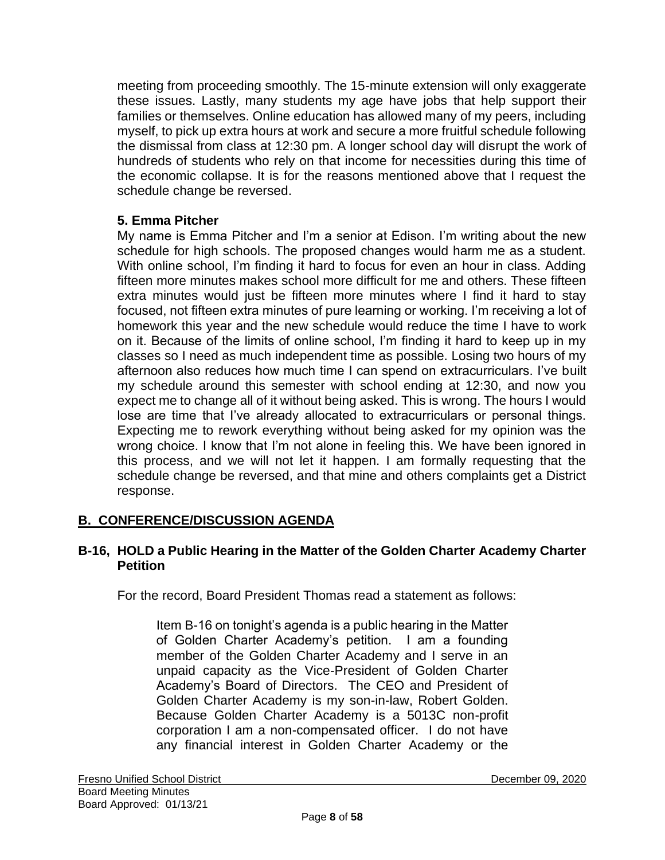meeting from proceeding smoothly. The 15-minute extension will only exaggerate these issues. Lastly, many students my age have jobs that help support their families or themselves. Online education has allowed many of my peers, including myself, to pick up extra hours at work and secure a more fruitful schedule following the dismissal from class at 12:30 pm. A longer school day will disrupt the work of hundreds of students who rely on that income for necessities during this time of the economic collapse. It is for the reasons mentioned above that I request the schedule change be reversed.

### **5. Emma Pitcher**

My name is Emma Pitcher and I'm a senior at Edison. I'm writing about the new schedule for high schools. The proposed changes would harm me as a student. With online school, I'm finding it hard to focus for even an hour in class. Adding fifteen more minutes makes school more difficult for me and others. These fifteen extra minutes would just be fifteen more minutes where I find it hard to stay focused, not fifteen extra minutes of pure learning or working. I'm receiving a lot of homework this year and the new schedule would reduce the time I have to work on it. Because of the limits of online school, I'm finding it hard to keep up in my classes so I need as much independent time as possible. Losing two hours of my afternoon also reduces how much time I can spend on extracurriculars. I've built my schedule around this semester with school ending at 12:30, and now you expect me to change all of it without being asked. This is wrong. The hours I would lose are time that I've already allocated to extracurriculars or personal things. Expecting me to rework everything without being asked for my opinion was the wrong choice. I know that I'm not alone in feeling this. We have been ignored in this process, and we will not let it happen. I am formally requesting that the schedule change be reversed, and that mine and others complaints get a District response.

### **B. CONFERENCE/DISCUSSION AGENDA**

#### **B-16, HOLD a Public Hearing in the Matter of the Golden Charter Academy Charter Petition**

For the record, Board President Thomas read a statement as follows:

Item B-16 on tonight's agenda is a public hearing in the Matter of Golden Charter Academy's petition. I am a founding member of the Golden Charter Academy and I serve in an unpaid capacity as the Vice-President of Golden Charter Academy's Board of Directors. The CEO and President of Golden Charter Academy is my son-in-law, Robert Golden. Because Golden Charter Academy is a 5013C non-profit corporation I am a non-compensated officer. I do not have any financial interest in Golden Charter Academy or the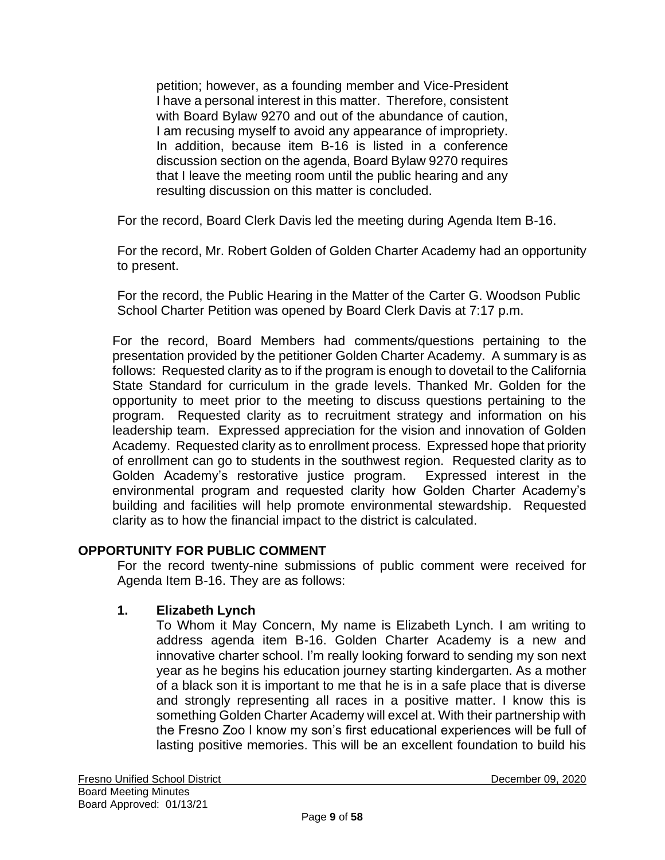petition; however, as a founding member and Vice-President I have a personal interest in this matter. Therefore, consistent with Board Bylaw 9270 and out of the abundance of caution, I am recusing myself to avoid any appearance of impropriety. In addition, because item B-16 is listed in a conference discussion section on the agenda, Board Bylaw 9270 requires that I leave the meeting room until the public hearing and any resulting discussion on this matter is concluded.

For the record, Board Clerk Davis led the meeting during Agenda Item B-16.

For the record, Mr. Robert Golden of Golden Charter Academy had an opportunity to present.

For the record, the Public Hearing in the Matter of the Carter G. Woodson Public School Charter Petition was opened by Board Clerk Davis at 7:17 p.m.

For the record, Board Members had comments/questions pertaining to the presentation provided by the petitioner Golden Charter Academy. A summary is as follows: Requested clarity as to if the program is enough to dovetail to the California State Standard for curriculum in the grade levels. Thanked Mr. Golden for the opportunity to meet prior to the meeting to discuss questions pertaining to the program. Requested clarity as to recruitment strategy and information on his leadership team. Expressed appreciation for the vision and innovation of Golden Academy. Requested clarity as to enrollment process. Expressed hope that priority of enrollment can go to students in the southwest region. Requested clarity as to Golden Academy's restorative justice program. Expressed interest in the environmental program and requested clarity how Golden Charter Academy's building and facilities will help promote environmental stewardship. Requested clarity as to how the financial impact to the district is calculated.

### **OPPORTUNITY FOR PUBLIC COMMENT**

For the record twenty-nine submissions of public comment were received for Agenda Item B-16. They are as follows:

#### **1. Elizabeth Lynch**

To Whom it May Concern, My name is Elizabeth Lynch. I am writing to address agenda item B-16. Golden Charter Academy is a new and innovative charter school. I'm really looking forward to sending my son next year as he begins his education journey starting kindergarten. As a mother of a black son it is important to me that he is in a safe place that is diverse and strongly representing all races in a positive matter. I know this is something Golden Charter Academy will excel at. With their partnership with the Fresno Zoo I know my son's first educational experiences will be full of lasting positive memories. This will be an excellent foundation to build his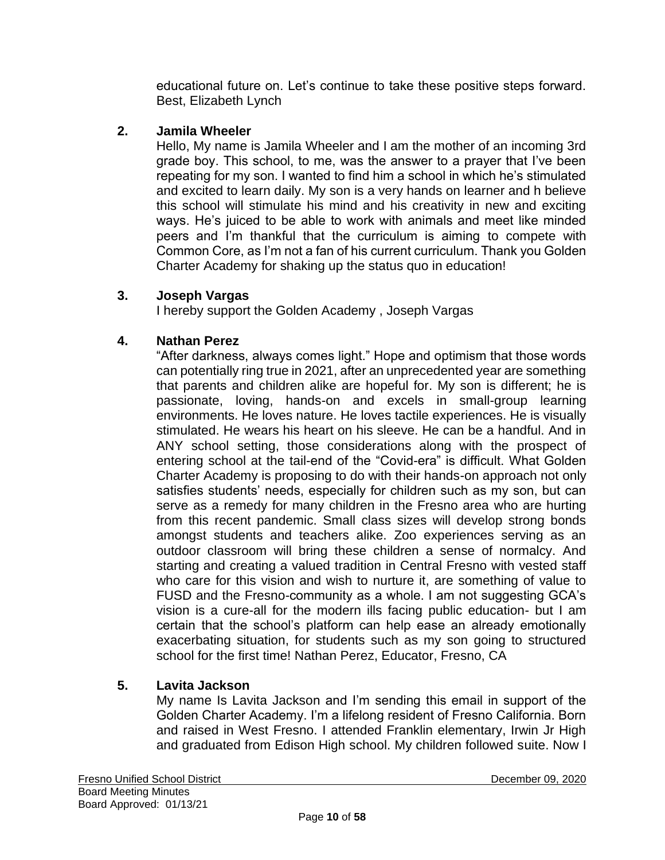educational future on. Let's continue to take these positive steps forward. Best, Elizabeth Lynch

# **2. Jamila Wheeler**

Hello, My name is Jamila Wheeler and I am the mother of an incoming 3rd grade boy. This school, to me, was the answer to a prayer that I've been repeating for my son. I wanted to find him a school in which he's stimulated and excited to learn daily. My son is a very hands on learner and h believe this school will stimulate his mind and his creativity in new and exciting ways. He's juiced to be able to work with animals and meet like minded peers and I'm thankful that the curriculum is aiming to compete with Common Core, as I'm not a fan of his current curriculum. Thank you Golden Charter Academy for shaking up the status quo in education!

### **3. Joseph Vargas**

I hereby support the Golden Academy , Joseph Vargas

# **4. Nathan Perez**

"After darkness, always comes light." Hope and optimism that those words can potentially ring true in 2021, after an unprecedented year are something that parents and children alike are hopeful for. My son is different; he is passionate, loving, hands-on and excels in small-group learning environments. He loves nature. He loves tactile experiences. He is visually stimulated. He wears his heart on his sleeve. He can be a handful. And in ANY school setting, those considerations along with the prospect of entering school at the tail-end of the "Covid-era" is difficult. What Golden Charter Academy is proposing to do with their hands-on approach not only satisfies students' needs, especially for children such as my son, but can serve as a remedy for many children in the Fresno area who are hurting from this recent pandemic. Small class sizes will develop strong bonds amongst students and teachers alike. Zoo experiences serving as an outdoor classroom will bring these children a sense of normalcy. And starting and creating a valued tradition in Central Fresno with vested staff who care for this vision and wish to nurture it, are something of value to FUSD and the Fresno-community as a whole. I am not suggesting GCA's vision is a cure-all for the modern ills facing public education- but I am certain that the school's platform can help ease an already emotionally exacerbating situation, for students such as my son going to structured school for the first time! Nathan Perez, Educator, Fresno, CA

# **5. Lavita Jackson**

My name Is Lavita Jackson and I'm sending this email in support of the Golden Charter Academy. I'm a lifelong resident of Fresno California. Born and raised in West Fresno. I attended Franklin elementary, Irwin Jr High and graduated from Edison High school. My children followed suite. Now I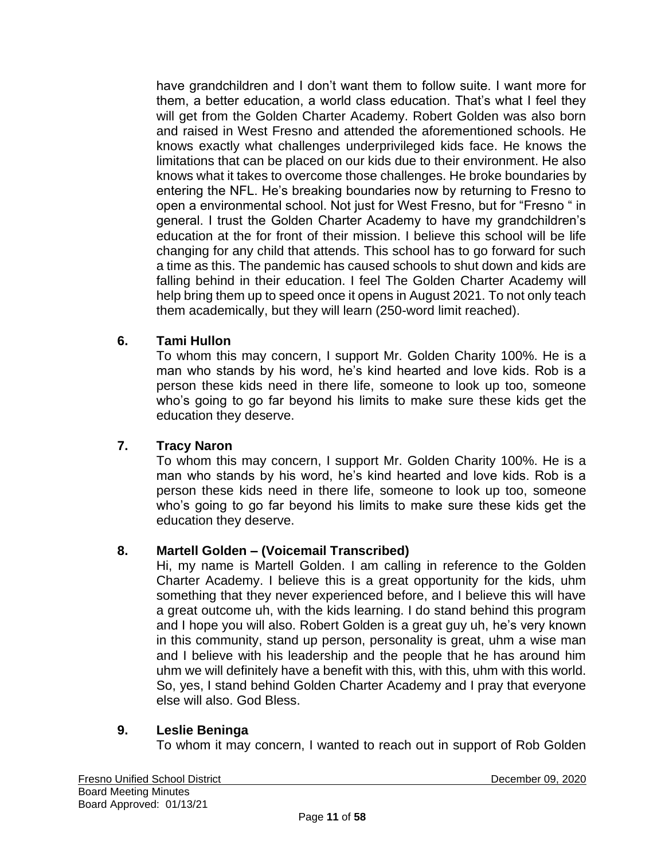have grandchildren and I don't want them to follow suite. I want more for them, a better education, a world class education. That's what I feel they will get from the Golden Charter Academy. Robert Golden was also born and raised in West Fresno and attended the aforementioned schools. He knows exactly what challenges underprivileged kids face. He knows the limitations that can be placed on our kids due to their environment. He also knows what it takes to overcome those challenges. He broke boundaries by entering the NFL. He's breaking boundaries now by returning to Fresno to open a environmental school. Not just for West Fresno, but for "Fresno " in general. I trust the Golden Charter Academy to have my grandchildren's education at the for front of their mission. I believe this school will be life changing for any child that attends. This school has to go forward for such a time as this. The pandemic has caused schools to shut down and kids are falling behind in their education. I feel The Golden Charter Academy will help bring them up to speed once it opens in August 2021. To not only teach them academically, but they will learn (250-word limit reached).

# **6. Tami Hullon**

To whom this may concern, I support Mr. Golden Charity 100%. He is a man who stands by his word, he's kind hearted and love kids. Rob is a person these kids need in there life, someone to look up too, someone who's going to go far beyond his limits to make sure these kids get the education they deserve.

### **7. Tracy Naron**

To whom this may concern, I support Mr. Golden Charity 100%. He is a man who stands by his word, he's kind hearted and love kids. Rob is a person these kids need in there life, someone to look up too, someone who's going to go far beyond his limits to make sure these kids get the education they deserve.

### **8. Martell Golden – (Voicemail Transcribed)**

Hi, my name is Martell Golden. I am calling in reference to the Golden Charter Academy. I believe this is a great opportunity for the kids, uhm something that they never experienced before, and I believe this will have a great outcome uh, with the kids learning. I do stand behind this program and I hope you will also. Robert Golden is a great guy uh, he's very known in this community, stand up person, personality is great, uhm a wise man and I believe with his leadership and the people that he has around him uhm we will definitely have a benefit with this, with this, uhm with this world. So, yes, I stand behind Golden Charter Academy and I pray that everyone else will also. God Bless.

### **9. Leslie Beninga**

To whom it may concern, I wanted to reach out in support of Rob Golden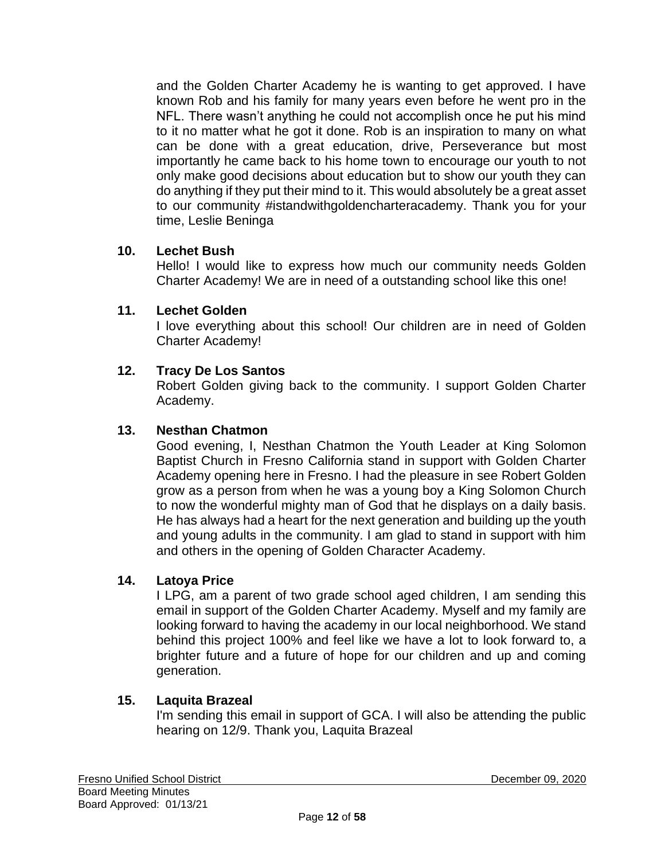and the Golden Charter Academy he is wanting to get approved. I have known Rob and his family for many years even before he went pro in the NFL. There wasn't anything he could not accomplish once he put his mind to it no matter what he got it done. Rob is an inspiration to many on what can be done with a great education, drive, Perseverance but most importantly he came back to his home town to encourage our youth to not only make good decisions about education but to show our youth they can do anything if they put their mind to it. This would absolutely be a great asset to our community #istandwithgoldencharteracademy. Thank you for your time, Leslie Beninga

### **10. Lechet Bush**

Hello! I would like to express how much our community needs Golden Charter Academy! We are in need of a outstanding school like this one!

### **11. Lechet Golden**

I love everything about this school! Our children are in need of Golden Charter Academy!

# **12. Tracy De Los Santos**

Robert Golden giving back to the community. I support Golden Charter Academy.

## **13. Nesthan Chatmon**

Good evening, I, Nesthan Chatmon the Youth Leader at King Solomon Baptist Church in Fresno California stand in support with Golden Charter Academy opening here in Fresno. I had the pleasure in see Robert Golden grow as a person from when he was a young boy a King Solomon Church to now the wonderful mighty man of God that he displays on a daily basis. He has always had a heart for the next generation and building up the youth and young adults in the community. I am glad to stand in support with him and others in the opening of Golden Character Academy.

### **14. Latoya Price**

I LPG, am a parent of two grade school aged children, I am sending this email in support of the Golden Charter Academy. Myself and my family are looking forward to having the academy in our local neighborhood. We stand behind this project 100% and feel like we have a lot to look forward to, a brighter future and a future of hope for our children and up and coming generation.

### **15. Laquita Brazeal**

I'm sending this email in support of GCA. I will also be attending the public hearing on 12/9. Thank you, Laquita Brazeal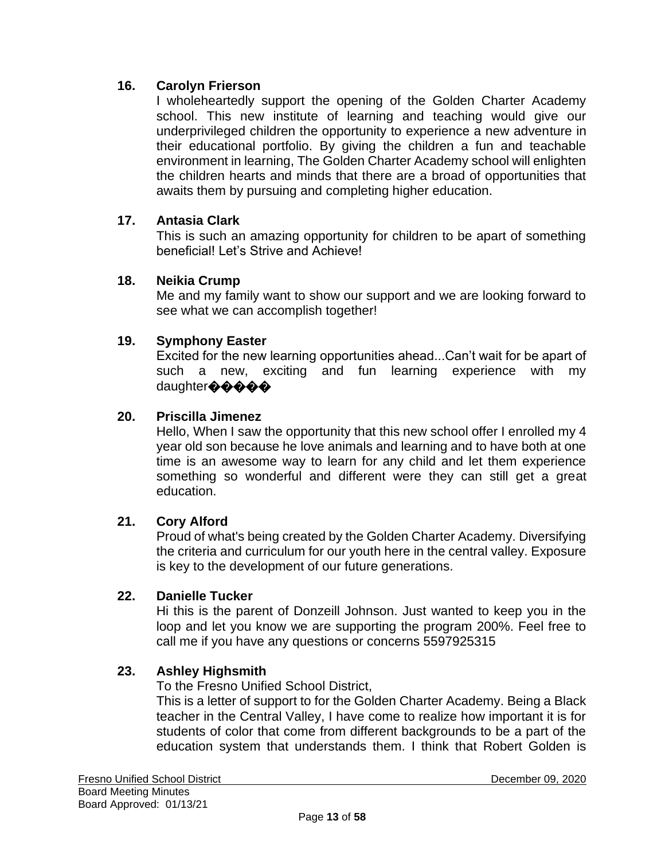# **16. Carolyn Frierson**

I wholeheartedly support the opening of the Golden Charter Academy school. This new institute of learning and teaching would give our underprivileged children the opportunity to experience a new adventure in their educational portfolio. By giving the children a fun and teachable environment in learning, The Golden Charter Academy school will enlighten the children hearts and minds that there are a broad of opportunities that awaits them by pursuing and completing higher education.

### **17. Antasia Clark**

This is such an amazing opportunity for children to be apart of something beneficial! Let's Strive and Achieve!

#### **18. Neikia Crump**

Me and my family want to show our support and we are looking forward to see what we can accomplish together!

#### **19. Symphony Easter**

Excited for the new learning opportunities ahead...Can't wait for be apart of such a new, exciting and fun learning experience with my daughter�����

#### **20. Priscilla Jimenez**

Hello, When I saw the opportunity that this new school offer I enrolled my 4 year old son because he love animals and learning and to have both at one time is an awesome way to learn for any child and let them experience something so wonderful and different were they can still get a great education.

#### **21. Cory Alford**

Proud of what's being created by the Golden Charter Academy. Diversifying the criteria and curriculum for our youth here in the central valley. Exposure is key to the development of our future generations.

#### **22. Danielle Tucker**

Hi this is the parent of Donzeill Johnson. Just wanted to keep you in the loop and let you know we are supporting the program 200%. Feel free to call me if you have any questions or concerns 5597925315

### **23. Ashley Highsmith**

To the Fresno Unified School District,

This is a letter of support to for the Golden Charter Academy. Being a Black teacher in the Central Valley, I have come to realize how important it is for students of color that come from different backgrounds to be a part of the education system that understands them. I think that Robert Golden is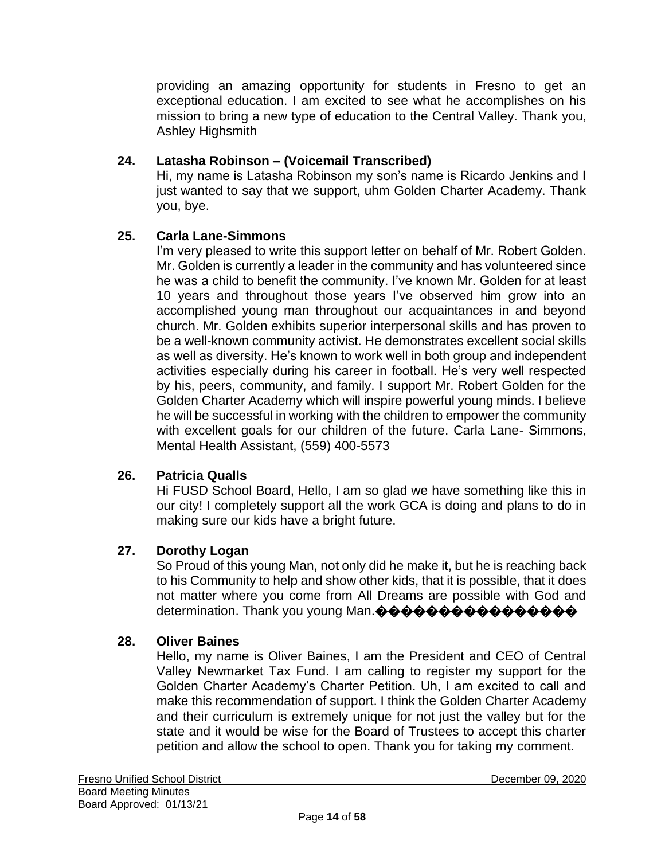providing an amazing opportunity for students in Fresno to get an exceptional education. I am excited to see what he accomplishes on his mission to bring a new type of education to the Central Valley. Thank you, Ashley Highsmith

# **24. Latasha Robinson – (Voicemail Transcribed)**

Hi, my name is Latasha Robinson my son's name is Ricardo Jenkins and I just wanted to say that we support, uhm Golden Charter Academy. Thank you, bye.

### **25. Carla Lane-Simmons**

I'm very pleased to write this support letter on behalf of Mr. Robert Golden. Mr. Golden is currently a leader in the community and has volunteered since he was a child to benefit the community. I've known Mr. Golden for at least 10 years and throughout those years I've observed him grow into an accomplished young man throughout our acquaintances in and beyond church. Mr. Golden exhibits superior interpersonal skills and has proven to be a well-known community activist. He demonstrates excellent social skills as well as diversity. He's known to work well in both group and independent activities especially during his career in football. He's very well respected by his, peers, community, and family. I support Mr. Robert Golden for the Golden Charter Academy which will inspire powerful young minds. I believe he will be successful in working with the children to empower the community with excellent goals for our children of the future. Carla Lane- Simmons, Mental Health Assistant, (559) 400-5573

### **26. Patricia Qualls**

Hi FUSD School Board, Hello, I am so glad we have something like this in our city! I completely support all the work GCA is doing and plans to do in making sure our kids have a bright future.

### **27. Dorothy Logan**

So Proud of this young Man, not only did he make it, but he is reaching back to his Community to help and show other kids, that it is possible, that it does not matter where you come from All Dreams are possible with God and determination. Thank you young Man.����������������

#### **28. Oliver Baines**

Hello, my name is Oliver Baines, I am the President and CEO of Central Valley Newmarket Tax Fund. I am calling to register my support for the Golden Charter Academy's Charter Petition. Uh, I am excited to call and make this recommendation of support. I think the Golden Charter Academy and their curriculum is extremely unique for not just the valley but for the state and it would be wise for the Board of Trustees to accept this charter petition and allow the school to open. Thank you for taking my comment.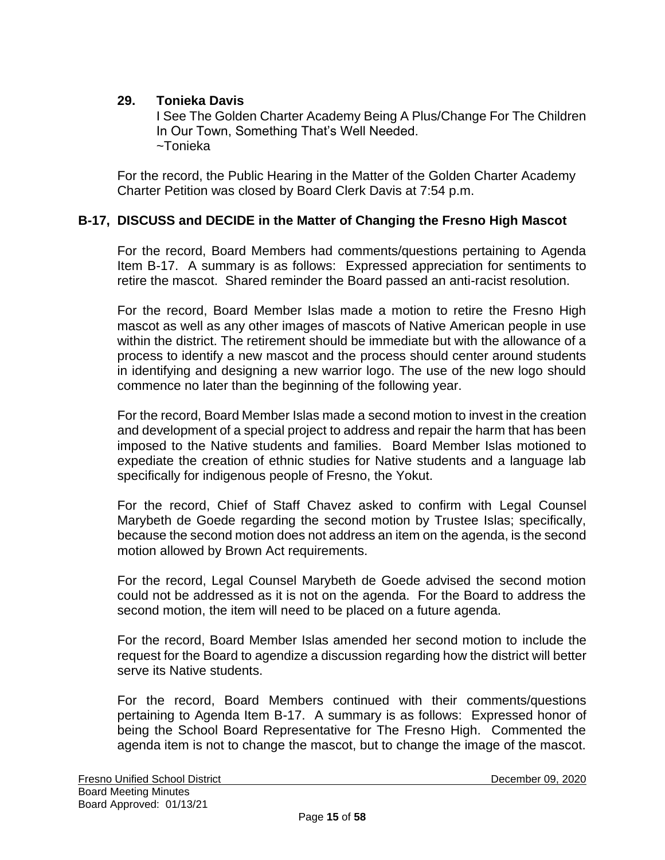## **29. Tonieka Davis**

I See The Golden Charter Academy Being A Plus/Change For The Children In Our Town, Something That's Well Needed. ~Tonieka

For the record, the Public Hearing in the Matter of the Golden Charter Academy Charter Petition was closed by Board Clerk Davis at 7:54 p.m.

# **B-17, DISCUSS and DECIDE in the Matter of Changing the Fresno High Mascot**

For the record, Board Members had comments/questions pertaining to Agenda Item B-17. A summary is as follows: Expressed appreciation for sentiments to retire the mascot. Shared reminder the Board passed an anti-racist resolution.

For the record, Board Member Islas made a motion to retire the Fresno High mascot as well as any other images of mascots of Native American people in use within the district. The retirement should be immediate but with the allowance of a process to identify a new mascot and the process should center around students in identifying and designing a new warrior logo. The use of the new logo should commence no later than the beginning of the following year.

For the record, Board Member Islas made a second motion to invest in the creation and development of a special project to address and repair the harm that has been imposed to the Native students and families. Board Member Islas motioned to expediate the creation of ethnic studies for Native students and a language lab specifically for indigenous people of Fresno, the Yokut.

For the record, Chief of Staff Chavez asked to confirm with Legal Counsel Marybeth de Goede regarding the second motion by Trustee Islas; specifically, because the second motion does not address an item on the agenda, is the second motion allowed by Brown Act requirements.

For the record, Legal Counsel Marybeth de Goede advised the second motion could not be addressed as it is not on the agenda. For the Board to address the second motion, the item will need to be placed on a future agenda.

For the record, Board Member Islas amended her second motion to include the request for the Board to agendize a discussion regarding how the district will better serve its Native students.

For the record, Board Members continued with their comments/questions pertaining to Agenda Item B-17. A summary is as follows: Expressed honor of being the School Board Representative for The Fresno High. Commented the agenda item is not to change the mascot, but to change the image of the mascot.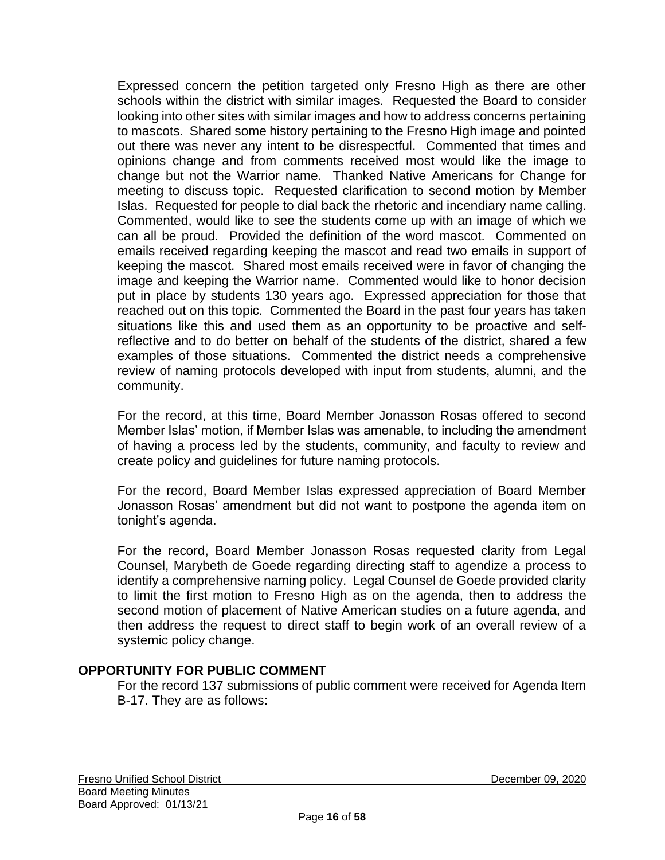Expressed concern the petition targeted only Fresno High as there are other schools within the district with similar images. Requested the Board to consider looking into other sites with similar images and how to address concerns pertaining to mascots. Shared some history pertaining to the Fresno High image and pointed out there was never any intent to be disrespectful. Commented that times and opinions change and from comments received most would like the image to change but not the Warrior name. Thanked Native Americans for Change for meeting to discuss topic. Requested clarification to second motion by Member Islas. Requested for people to dial back the rhetoric and incendiary name calling. Commented, would like to see the students come up with an image of which we can all be proud. Provided the definition of the word mascot. Commented on emails received regarding keeping the mascot and read two emails in support of keeping the mascot. Shared most emails received were in favor of changing the image and keeping the Warrior name. Commented would like to honor decision put in place by students 130 years ago. Expressed appreciation for those that reached out on this topic. Commented the Board in the past four years has taken situations like this and used them as an opportunity to be proactive and selfreflective and to do better on behalf of the students of the district, shared a few examples of those situations. Commented the district needs a comprehensive review of naming protocols developed with input from students, alumni, and the community.

For the record, at this time, Board Member Jonasson Rosas offered to second Member Islas' motion, if Member Islas was amenable, to including the amendment of having a process led by the students, community, and faculty to review and create policy and guidelines for future naming protocols.

For the record, Board Member Islas expressed appreciation of Board Member Jonasson Rosas' amendment but did not want to postpone the agenda item on tonight's agenda.

For the record, Board Member Jonasson Rosas requested clarity from Legal Counsel, Marybeth de Goede regarding directing staff to agendize a process to identify a comprehensive naming policy. Legal Counsel de Goede provided clarity to limit the first motion to Fresno High as on the agenda, then to address the second motion of placement of Native American studies on a future agenda, and then address the request to direct staff to begin work of an overall review of a systemic policy change.

### **OPPORTUNITY FOR PUBLIC COMMENT**

For the record 137 submissions of public comment were received for Agenda Item B-17. They are as follows: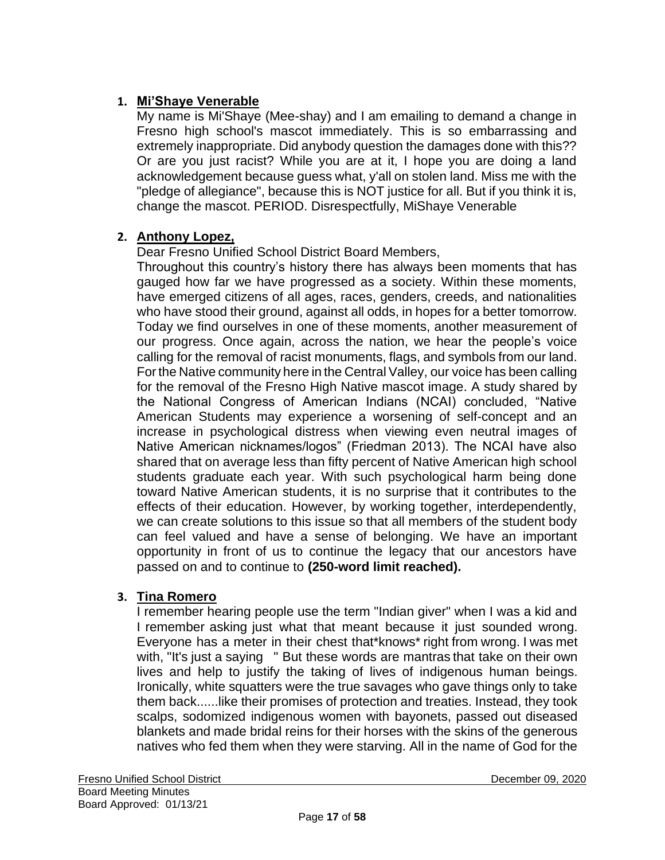# **1. Mi'Shaye Venerable**

My name is Mi'Shaye (Mee-shay) and I am emailing to demand a change in Fresno high school's mascot immediately. This is so embarrassing and extremely inappropriate. Did anybody question the damages done with this?? Or are you just racist? While you are at it, I hope you are doing a land acknowledgement because guess what, y'all on stolen land. Miss me with the "pledge of allegiance", because this is NOT justice for all. But if you think it is, change the mascot. PERIOD. Disrespectfully, MiShaye Venerable

# **2. Anthony Lopez,**

Dear Fresno Unified School District Board Members,

Throughout this country's history there has always been moments that has gauged how far we have progressed as a society. Within these moments, have emerged citizens of all ages, races, genders, creeds, and nationalities who have stood their ground, against all odds, in hopes for a better tomorrow. Today we find ourselves in one of these moments, another measurement of our progress. Once again, across the nation, we hear the people's voice calling for the removal of racist monuments, flags, and symbols from our land. Forthe Native community here in the Central Valley, our voice has been calling for the removal of the Fresno High Native mascot image. A study shared by the National Congress of American Indians (NCAI) concluded, "Native American Students may experience a worsening of self-concept and an increase in psychological distress when viewing even neutral images of Native American nicknames/logos" (Friedman 2013). The NCAI have also shared that on average less than fifty percent of Native American high school students graduate each year. With such psychological harm being done toward Native American students, it is no surprise that it contributes to the effects of their education. However, by working together, interdependently, we can create solutions to this issue so that all members of the student body can feel valued and have a sense of belonging. We have an important opportunity in front of us to continue the legacy that our ancestors have passed on and to continue to **(250-word limit reached).**

### **3. Tina Romero**

I remember hearing people use the term "Indian giver" when I was a kid and I remember asking just what that meant because it just sounded wrong. Everyone has a meter in their chest that\*knows\* right from wrong. I was met with, "It's just a saying " But these words are mantras that take on their own lives and help to justify the taking of lives of indigenous human beings. Ironically, white squatters were the true savages who gave things only to take them back......like their promises of protection and treaties. Instead, they took scalps, sodomized indigenous women with bayonets, passed out diseased blankets and made bridal reins for their horses with the skins of the generous natives who fed them when they were starving. All in the name of God for the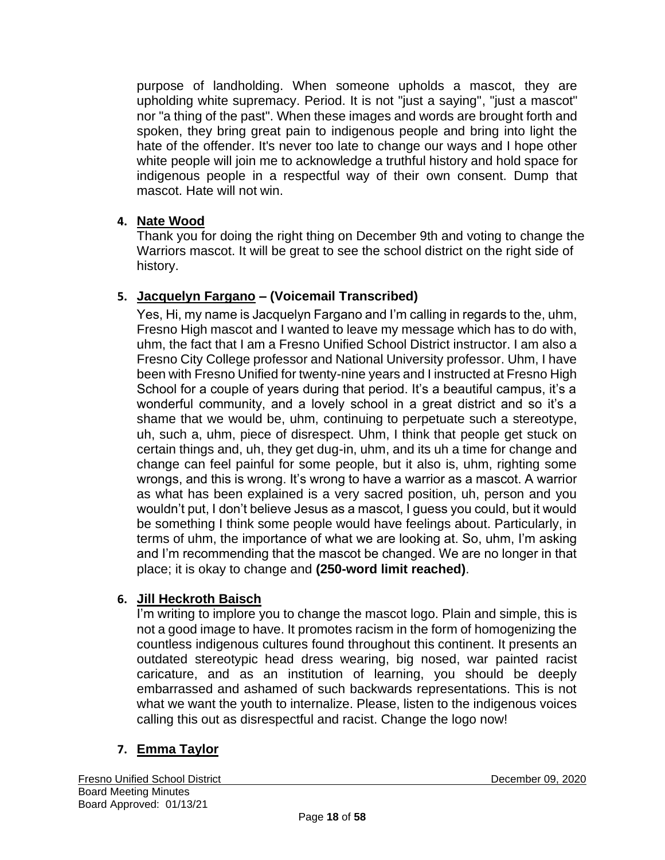purpose of landholding. When someone upholds a mascot, they are upholding white supremacy. Period. It is not "just a saying", "just a mascot" nor "a thing of the past". When these images and words are brought forth and spoken, they bring great pain to indigenous people and bring into light the hate of the offender. It's never too late to change our ways and I hope other white people will join me to acknowledge a truthful history and hold space for indigenous people in a respectful way of their own consent. Dump that mascot. Hate will not win.

### **4. Nate Wood**

Thank you for doing the right thing on December 9th and voting to change the Warriors mascot. It will be great to see the school district on the right side of history.

### **5. Jacquelyn Fargano – (Voicemail Transcribed)**

Yes, Hi, my name is Jacquelyn Fargano and I'm calling in regards to the, uhm, Fresno High mascot and I wanted to leave my message which has to do with, uhm, the fact that I am a Fresno Unified School District instructor. I am also a Fresno City College professor and National University professor. Uhm, I have been with Fresno Unified for twenty-nine years and I instructed at Fresno High School for a couple of years during that period. It's a beautiful campus, it's a wonderful community, and a lovely school in a great district and so it's a shame that we would be, uhm, continuing to perpetuate such a stereotype, uh, such a, uhm, piece of disrespect. Uhm, I think that people get stuck on certain things and, uh, they get dug-in, uhm, and its uh a time for change and change can feel painful for some people, but it also is, uhm, righting some wrongs, and this is wrong. It's wrong to have a warrior as a mascot. A warrior as what has been explained is a very sacred position, uh, person and you wouldn't put, I don't believe Jesus as a mascot, I guess you could, but it would be something I think some people would have feelings about. Particularly, in terms of uhm, the importance of what we are looking at. So, uhm, I'm asking and I'm recommending that the mascot be changed. We are no longer in that place; it is okay to change and **(250-word limit reached)**.

### **6. Jill Heckroth Baisch**

I'm writing to implore you to change the mascot logo. Plain and simple, this is not a good image to have. It promotes racism in the form of homogenizing the countless indigenous cultures found throughout this continent. It presents an outdated stereotypic head dress wearing, big nosed, war painted racist caricature, and as an institution of learning, you should be deeply embarrassed and ashamed of such backwards representations. This is not what we want the youth to internalize. Please, listen to the indigenous voices calling this out as disrespectful and racist. Change the logo now!

### **7. Emma Taylor**

Fresno Unified School District December 09, 2020 Board Meeting Minutes Board Approved: 01/13/21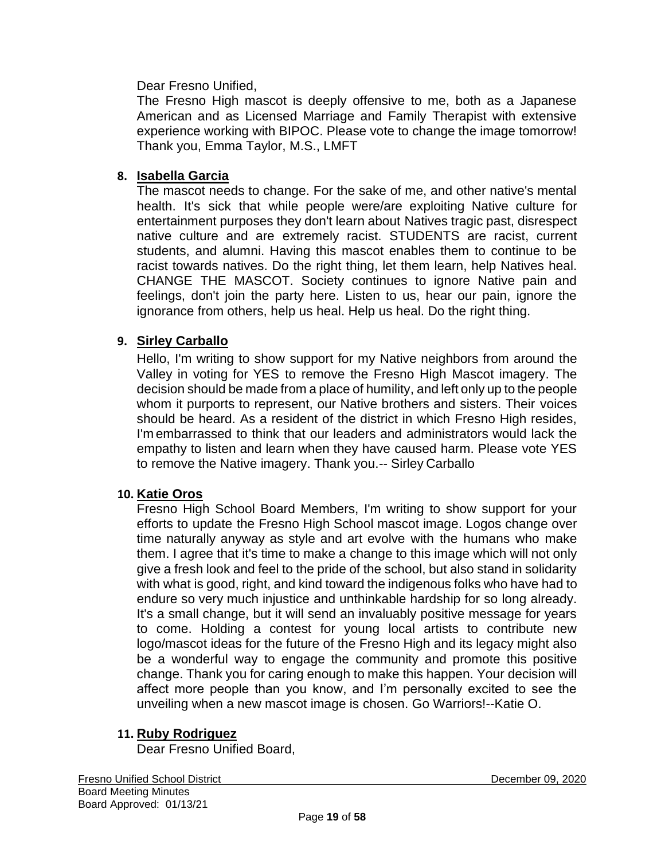Dear Fresno Unified,

The Fresno High mascot is deeply offensive to me, both as a Japanese American and as Licensed Marriage and Family Therapist with extensive experience working with BIPOC. Please vote to change the image tomorrow! Thank you, Emma Taylor, M.S., LMFT

## **8. Isabella Garcia**

The mascot needs to change. For the sake of me, and other native's mental health. It's sick that while people were/are exploiting Native culture for entertainment purposes they don't learn about Natives tragic past, disrespect native culture and are extremely racist. STUDENTS are racist, current students, and alumni. Having this mascot enables them to continue to be racist towards natives. Do the right thing, let them learn, help Natives heal. CHANGE THE MASCOT. Society continues to ignore Native pain and feelings, don't join the party here. Listen to us, hear our pain, ignore the ignorance from others, help us heal. Help us heal. Do the right thing.

### **9. Sirley Carballo**

Hello, I'm writing to show support for my Native neighbors from around the Valley in voting for YES to remove the Fresno High Mascot imagery. The decision should be made from a place of humility, and left only up to the people whom it purports to represent, our Native brothers and sisters. Their voices should be heard. As a resident of the district in which Fresno High resides, I'm embarrassed to think that our leaders and administrators would lack the empathy to listen and learn when they have caused harm. Please vote YES to remove the Native imagery. Thank you.-- Sirley Carballo

### **10. Katie Oros**

Fresno High School Board Members, I'm writing to show support for your efforts to update the Fresno High School mascot image. Logos change over time naturally anyway as style and art evolve with the humans who make them. I agree that it's time to make a change to this image which will not only give a fresh look and feel to the pride of the school, but also stand in solidarity with what is good, right, and kind toward the indigenous folks who have had to endure so very much injustice and unthinkable hardship for so long already. It's a small change, but it will send an invaluably positive message for years to come. Holding a contest for young local artists to contribute new logo/mascot ideas for the future of the Fresno High and its legacy might also be a wonderful way to engage the community and promote this positive change. Thank you for caring enough to make this happen. Your decision will affect more people than you know, and I'm personally excited to see the unveiling when a new mascot image is chosen. Go Warriors!--Katie O.

### **11. Ruby Rodriguez**

Dear Fresno Unified Board,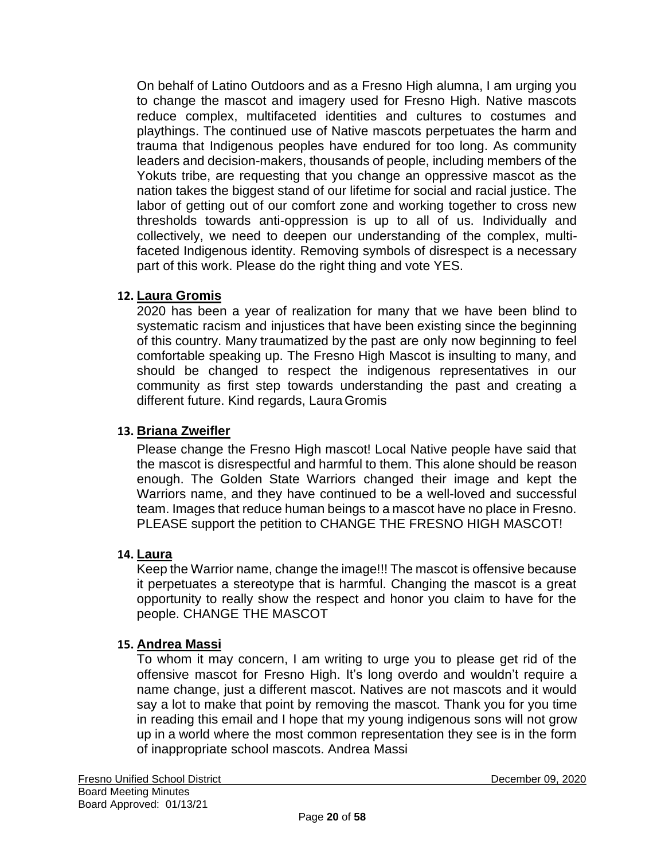On behalf of Latino Outdoors and as a Fresno High alumna, I am urging you to change the mascot and imagery used for Fresno High. Native mascots reduce complex, multifaceted identities and cultures to costumes and playthings. The continued use of Native mascots perpetuates the harm and trauma that Indigenous peoples have endured for too long. As community leaders and decision-makers, thousands of people, including members of the Yokuts tribe, are requesting that you change an oppressive mascot as the nation takes the biggest stand of our lifetime for social and racial justice. The labor of getting out of our comfort zone and working together to cross new thresholds towards anti-oppression is up to all of us. Individually and collectively, we need to deepen our understanding of the complex, multifaceted Indigenous identity. Removing symbols of disrespect is a necessary part of this work. Please do the right thing and vote YES.

### **12. Laura Gromis**

2020 has been a year of realization for many that we have been blind to systematic racism and injustices that have been existing since the beginning of this country. Many traumatized by the past are only now beginning to feel comfortable speaking up. The Fresno High Mascot is insulting to many, and should be changed to respect the indigenous representatives in our community as first step towards understanding the past and creating a different future. Kind regards, Laura Gromis

#### **13. Briana Zweifler**

Please change the Fresno High mascot! Local Native people have said that the mascot is disrespectful and harmful to them. This alone should be reason enough. The Golden State Warriors changed their image and kept the Warriors name, and they have continued to be a well-loved and successful team. Images that reduce human beings to a mascot have no place in Fresno. PLEASE support the petition to CHANGE THE FRESNO HIGH MASCOT!

#### **14. Laura**

Keep the Warrior name, change the image!!! The mascot is offensive because it perpetuates a stereotype that is harmful. Changing the mascot is a great opportunity to really show the respect and honor you claim to have for the people. CHANGE THE MASCOT

#### **15. Andrea Massi**

To whom it may concern, I am writing to urge you to please get rid of the offensive mascot for Fresno High. It's long overdo and wouldn't require a name change, just a different mascot. Natives are not mascots and it would say a lot to make that point by removing the mascot. Thank you for you time in reading this email and I hope that my young indigenous sons will not grow up in a world where the most common representation they see is in the form of inappropriate school mascots. Andrea Massi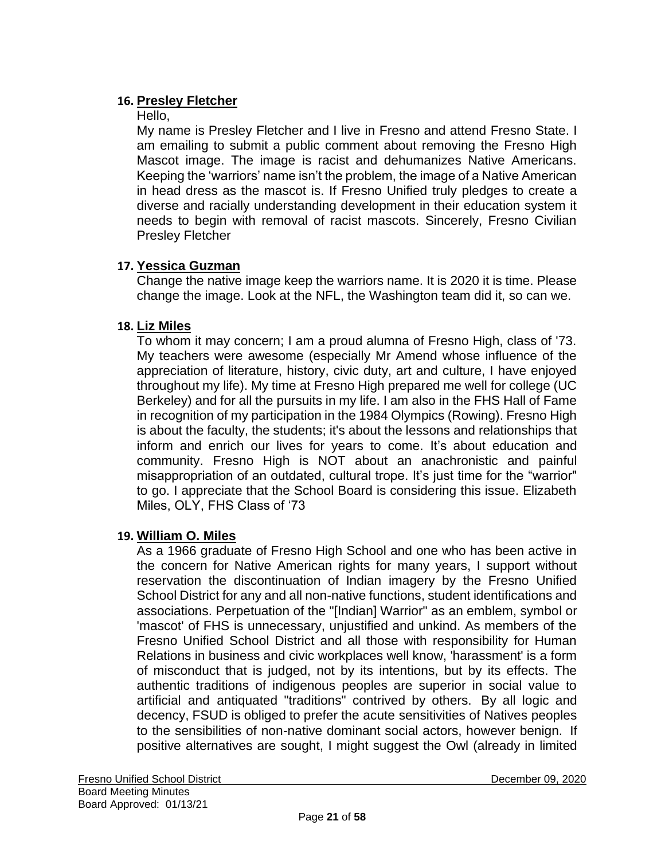# **16. Presley Fletcher**

Hello,

My name is Presley Fletcher and I live in Fresno and attend Fresno State. I am emailing to submit a public comment about removing the Fresno High Mascot image. The image is racist and dehumanizes Native Americans. Keeping the 'warriors' name isn't the problem, the image of a Native American in head dress as the mascot is. If Fresno Unified truly pledges to create a diverse and racially understanding development in their education system it needs to begin with removal of racist mascots. Sincerely, Fresno Civilian Presley Fletcher

### **17. Yessica Guzman**

Change the native image keep the warriors name. It is 2020 it is time. Please change the image. Look at the NFL, the Washington team did it, so can we.

### **18. Liz Miles**

To whom it may concern; I am a proud alumna of Fresno High, class of '73. My teachers were awesome (especially Mr Amend whose influence of the appreciation of literature, history, civic duty, art and culture, I have enjoyed throughout my life). My time at Fresno High prepared me well for college (UC Berkeley) and for all the pursuits in my life. I am also in the FHS Hall of Fame in recognition of my participation in the 1984 Olympics (Rowing). Fresno High is about the faculty, the students; it's about the lessons and relationships that inform and enrich our lives for years to come. It's about education and community. Fresno High is NOT about an anachronistic and painful misappropriation of an outdated, cultural trope. It's just time for the "warrior" to go. I appreciate that the School Board is considering this issue. Elizabeth Miles, OLY, FHS Class of '73

### **19. William O. Miles**

As a 1966 graduate of Fresno High School and one who has been active in the concern for Native American rights for many years, I support without reservation the discontinuation of Indian imagery by the Fresno Unified School District for any and all non-native functions, student identifications and associations. Perpetuation of the "[Indian] Warrior" as an emblem, symbol or 'mascot' of FHS is unnecessary, unjustified and unkind. As members of the Fresno Unified School District and all those with responsibility for Human Relations in business and civic workplaces well know, 'harassment' is a form of misconduct that is judged, not by its intentions, but by its effects. The authentic traditions of indigenous peoples are superior in social value to artificial and antiquated "traditions" contrived by others. By all logic and decency, FSUD is obliged to prefer the acute sensitivities of Natives peoples to the sensibilities of non-native dominant social actors, however benign. If positive alternatives are sought, I might suggest the Owl (already in limited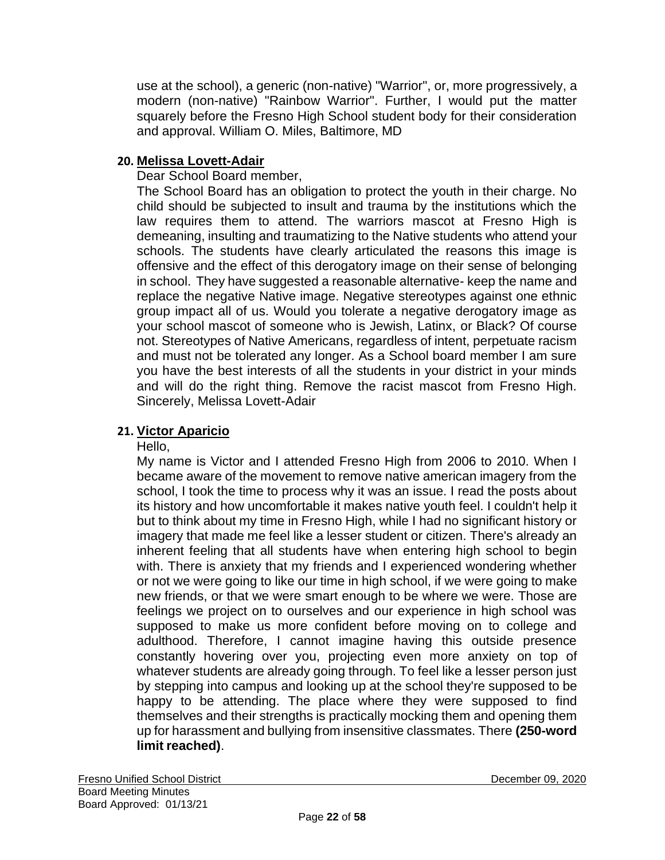use at the school), a generic (non-native) "Warrior", or, more progressively, a modern (non-native) "Rainbow Warrior". Further, I would put the matter squarely before the Fresno High School student body for their consideration and approval. William O. Miles, Baltimore, MD

## **20. Melissa Lovett-Adair**

### Dear School Board member,

The School Board has an obligation to protect the youth in their charge. No child should be subjected to insult and trauma by the institutions which the law requires them to attend. The warriors mascot at Fresno High is demeaning, insulting and traumatizing to the Native students who attend your schools. The students have clearly articulated the reasons this image is offensive and the effect of this derogatory image on their sense of belonging in school. They have suggested a reasonable alternative- keep the name and replace the negative Native image. Negative stereotypes against one ethnic group impact all of us. Would you tolerate a negative derogatory image as your school mascot of someone who is Jewish, Latinx, or Black? Of course not. Stereotypes of Native Americans, regardless of intent, perpetuate racism and must not be tolerated any longer. As a School board member I am sure you have the best interests of all the students in your district in your minds and will do the right thing. Remove the racist mascot from Fresno High. Sincerely, Melissa Lovett-Adair

# **21. Victor Aparicio**

#### Hello,

My name is Victor and I attended Fresno High from 2006 to 2010. When I became aware of the movement to remove native american imagery from the school, I took the time to process why it was an issue. I read the posts about its history and how uncomfortable it makes native youth feel. I couldn't help it but to think about my time in Fresno High, while I had no significant history or imagery that made me feel like a lesser student or citizen. There's already an inherent feeling that all students have when entering high school to begin with. There is anxiety that my friends and I experienced wondering whether or not we were going to like our time in high school, if we were going to make new friends, or that we were smart enough to be where we were. Those are feelings we project on to ourselves and our experience in high school was supposed to make us more confident before moving on to college and adulthood. Therefore, I cannot imagine having this outside presence constantly hovering over you, projecting even more anxiety on top of whatever students are already going through. To feel like a lesser person just by stepping into campus and looking up at the school they're supposed to be happy to be attending. The place where they were supposed to find themselves and their strengths is practically mocking them and opening them up for harassment and bullying from insensitive classmates. There **(250-word limit reached)**.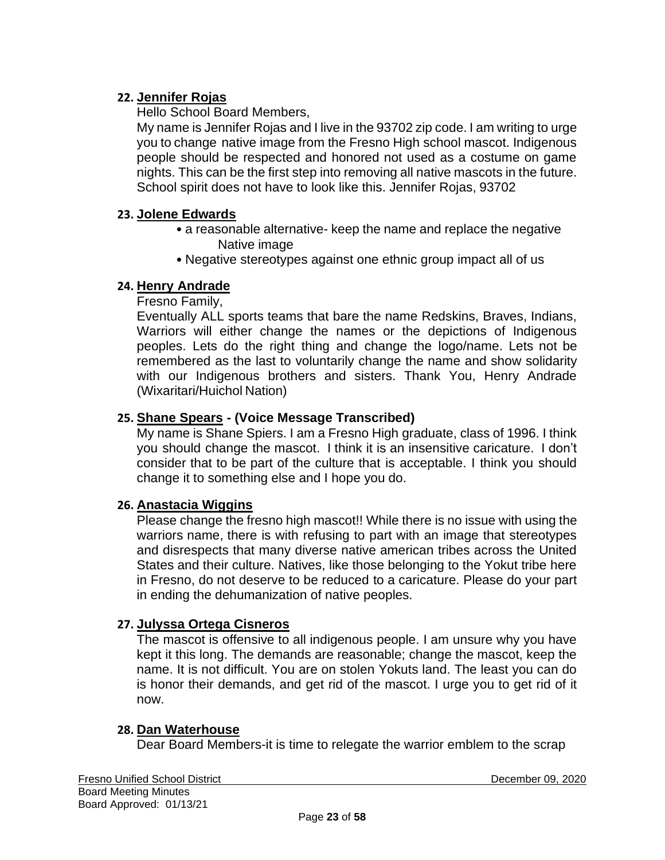## **22. Jennifer Rojas**

Hello School Board Members,

My name is Jennifer Rojas and I live in the 93702 zip code. I am writing to urge you to change native image from the Fresno High school mascot. Indigenous people should be respected and honored not used as a costume on game nights. This can be the first step into removing all native mascots in the future. School spirit does not have to look like this. Jennifer Rojas, 93702

## **23. Jolene Edwards**

- a reasonable alternative- keep the name and replace the negative Native image
- Negative stereotypes against one ethnic group impact all of us

# **24. Henry Andrade**

Fresno Family,

Eventually ALL sports teams that bare the name Redskins, Braves, Indians, Warriors will either change the names or the depictions of Indigenous peoples. Lets do the right thing and change the logo/name. Lets not be remembered as the last to voluntarily change the name and show solidarity with our Indigenous brothers and sisters. Thank You, Henry Andrade (Wixaritari/Huichol Nation)

# **25. Shane Spears - (Voice Message Transcribed)**

My name is Shane Spiers. I am a Fresno High graduate, class of 1996. I think you should change the mascot. I think it is an insensitive caricature. I don't consider that to be part of the culture that is acceptable. I think you should change it to something else and I hope you do.

### **26. Anastacia Wiggins**

Please change the fresno high mascot!! While there is no issue with using the warriors name, there is with refusing to part with an image that stereotypes and disrespects that many diverse native american tribes across the United States and their culture. Natives, like those belonging to the Yokut tribe here in Fresno, do not deserve to be reduced to a caricature. Please do your part in ending the dehumanization of native peoples.

# **27. Julyssa Ortega Cisneros**

The mascot is offensive to all indigenous people. I am unsure why you have kept it this long. The demands are reasonable; change the mascot, keep the name. It is not difficult. You are on stolen Yokuts land. The least you can do is honor their demands, and get rid of the mascot. I urge you to get rid of it now.

### **28. Dan Waterhouse**

Dear Board Members-it is time to relegate the warrior emblem to the scrap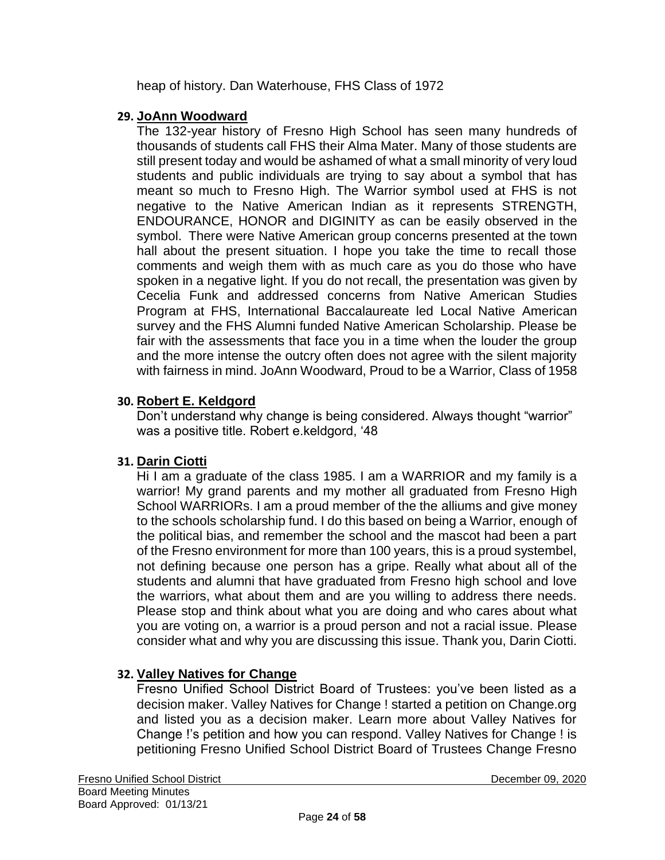heap of history. Dan Waterhouse, FHS Class of 1972

### **29. JoAnn Woodward**

The 132-year history of Fresno High School has seen many hundreds of thousands of students call FHS their Alma Mater. Many of those students are still present today and would be ashamed of what a small minority of very loud students and public individuals are trying to say about a symbol that has meant so much to Fresno High. The Warrior symbol used at FHS is not negative to the Native American Indian as it represents STRENGTH, ENDOURANCE, HONOR and DIGINITY as can be easily observed in the symbol. There were Native American group concerns presented at the town hall about the present situation. I hope you take the time to recall those comments and weigh them with as much care as you do those who have spoken in a negative light. If you do not recall, the presentation was given by Cecelia Funk and addressed concerns from Native American Studies Program at FHS, International Baccalaureate led Local Native American survey and the FHS Alumni funded Native American Scholarship. Please be fair with the assessments that face you in a time when the louder the group and the more intense the outcry often does not agree with the silent majority with fairness in mind. JoAnn Woodward, Proud to be a Warrior, Class of 1958

### **30. Robert E. Keldgord**

Don't understand why change is being considered. Always thought "warrior" was a positive title. Robert e.keldgord, '48

### **31. Darin Ciotti**

Hi I am a graduate of the class 1985. I am a WARRIOR and my family is a warrior! My grand parents and my mother all graduated from Fresno High School WARRIORs. I am a proud member of the the alliums and give money to the schools scholarship fund. I do this based on being a Warrior, enough of the political bias, and remember the school and the mascot had been a part of the Fresno environment for more than 100 years, this is a proud systembel, not defining because one person has a gripe. Really what about all of the students and alumni that have graduated from Fresno high school and love the warriors, what about them and are you willing to address there needs. Please stop and think about what you are doing and who cares about what you are voting on, a warrior is a proud person and not a racial issue. Please consider what and why you are discussing this issue. Thank you, Darin Ciotti.

### **32. Valley Natives for Change**

Fresno Unified School District Board of Trustees: you've been listed as a decision maker. Valley Natives for Change ! started a petition on Change.org and listed you as a decision maker. Learn more about Valley Natives for Change !'s petition and how you can respond. Valley Natives for Change ! is petitioning Fresno Unified School District Board of Trustees Change Fresno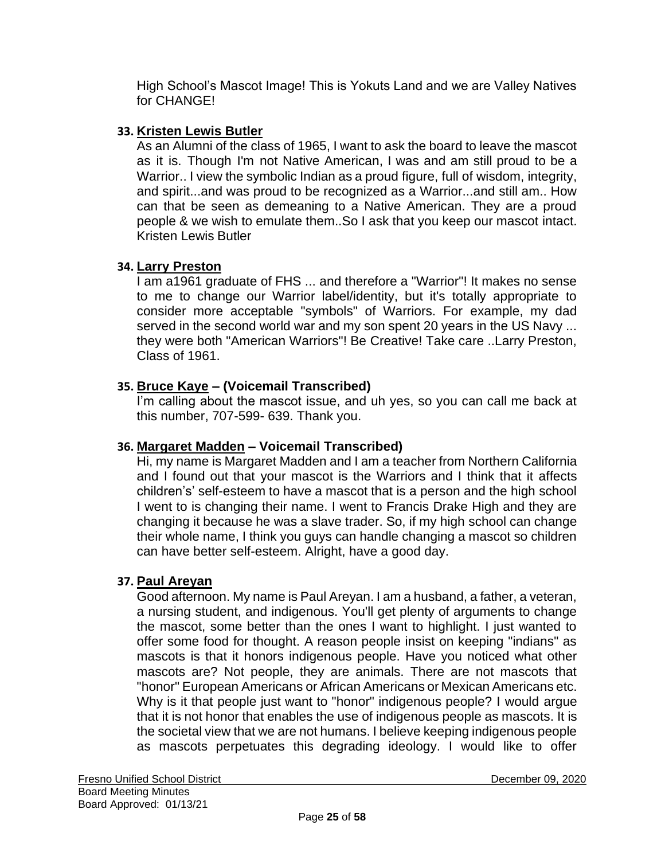High School's Mascot Image! This is Yokuts Land and we are Valley Natives for CHANGE!

# **33. Kristen Lewis Butler**

As an Alumni of the class of 1965, I want to ask the board to leave the mascot as it is. Though I'm not Native American, I was and am still proud to be a Warrior.. I view the symbolic Indian as a proud figure, full of wisdom, integrity, and spirit...and was proud to be recognized as a Warrior...and still am.. How can that be seen as demeaning to a Native American. They are a proud people & we wish to emulate them..So I ask that you keep our mascot intact. Kristen Lewis Butler

# **34. Larry Preston**

I am a1961 graduate of FHS ... and therefore a "Warrior"! It makes no sense to me to change our Warrior label/identity, but it's totally appropriate to consider more acceptable "symbols" of Warriors. For example, my dad served in the second world war and my son spent 20 years in the US Navy ... they were both "American Warriors"! Be Creative! Take care ..Larry Preston, Class of 1961.

# **35. Bruce Kaye – (Voicemail Transcribed)**

I'm calling about the mascot issue, and uh yes, so you can call me back at this number, 707-599- 639. Thank you.

### **36. Margaret Madden – Voicemail Transcribed)**

Hi, my name is Margaret Madden and I am a teacher from Northern California and I found out that your mascot is the Warriors and I think that it affects children's' self-esteem to have a mascot that is a person and the high school I went to is changing their name. I went to Francis Drake High and they are changing it because he was a slave trader. So, if my high school can change their whole name, I think you guys can handle changing a mascot so children can have better self-esteem. Alright, have a good day.

### **37. Paul Areyan**

Good afternoon. My name is Paul Areyan. I am a husband, a father, a veteran, a nursing student, and indigenous. You'll get plenty of arguments to change the mascot, some better than the ones I want to highlight. I just wanted to offer some food for thought. A reason people insist on keeping "indians" as mascots is that it honors indigenous people. Have you noticed what other mascots are? Not people, they are animals. There are not mascots that "honor" European Americans or African Americans or Mexican Americans etc. Why is it that people just want to "honor" indigenous people? I would argue that it is not honor that enables the use of indigenous people as mascots. It is the societal view that we are not humans. I believe keeping indigenous people as mascots perpetuates this degrading ideology. I would like to offer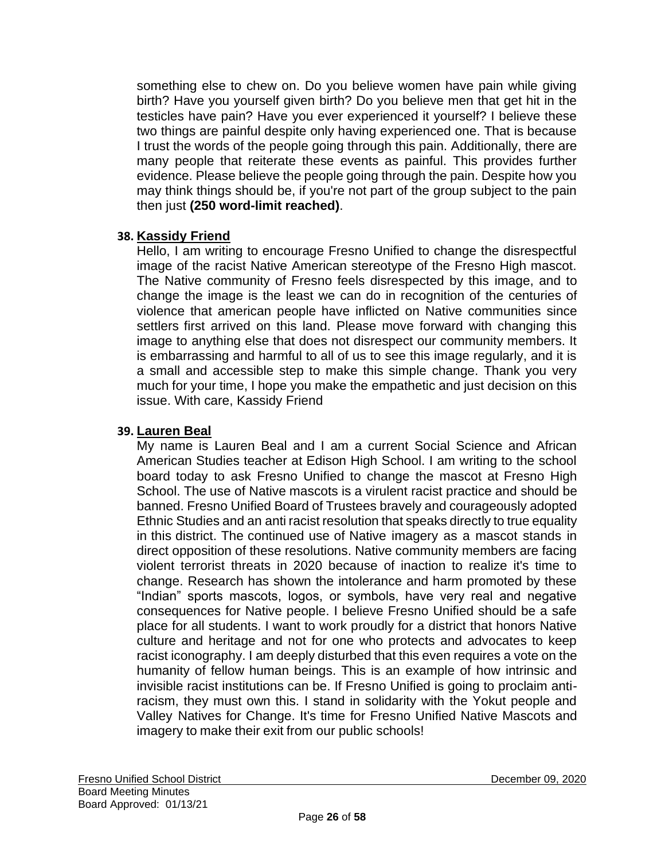something else to chew on. Do you believe women have pain while giving birth? Have you yourself given birth? Do you believe men that get hit in the testicles have pain? Have you ever experienced it yourself? I believe these two things are painful despite only having experienced one. That is because I trust the words of the people going through this pain. Additionally, there are many people that reiterate these events as painful. This provides further evidence. Please believe the people going through the pain. Despite how you may think things should be, if you're not part of the group subject to the pain then just **(250 word-limit reached)**.

### **38. Kassidy Friend**

Hello, I am writing to encourage Fresno Unified to change the disrespectful image of the racist Native American stereotype of the Fresno High mascot. The Native community of Fresno feels disrespected by this image, and to change the image is the least we can do in recognition of the centuries of violence that american people have inflicted on Native communities since settlers first arrived on this land. Please move forward with changing this image to anything else that does not disrespect our community members. It is embarrassing and harmful to all of us to see this image regularly, and it is a small and accessible step to make this simple change. Thank you very much for your time, I hope you make the empathetic and just decision on this issue. With care, Kassidy Friend

#### **39. Lauren Beal**

My name is Lauren Beal and I am a current Social Science and African American Studies teacher at Edison High School. I am writing to the school board today to ask Fresno Unified to change the mascot at Fresno High School. The use of Native mascots is a virulent racist practice and should be banned. Fresno Unified Board of Trustees bravely and courageously adopted Ethnic Studies and an anti racist resolution that speaks directly to true equality in this district. The continued use of Native imagery as a mascot stands in direct opposition of these resolutions. Native community members are facing violent terrorist threats in 2020 because of inaction to realize it's time to change. Research has shown the intolerance and harm promoted by these "Indian" sports mascots, logos, or symbols, have very real and negative consequences for Native people. I believe Fresno Unified should be a safe place for all students. I want to work proudly for a district that honors Native culture and heritage and not for one who protects and advocates to keep racist iconography. I am deeply disturbed that this even requires a vote on the humanity of fellow human beings. This is an example of how intrinsic and invisible racist institutions can be. If Fresno Unified is going to proclaim antiracism, they must own this. I stand in solidarity with the Yokut people and Valley Natives for Change. It's time for Fresno Unified Native Mascots and imagery to make their exit from our public schools!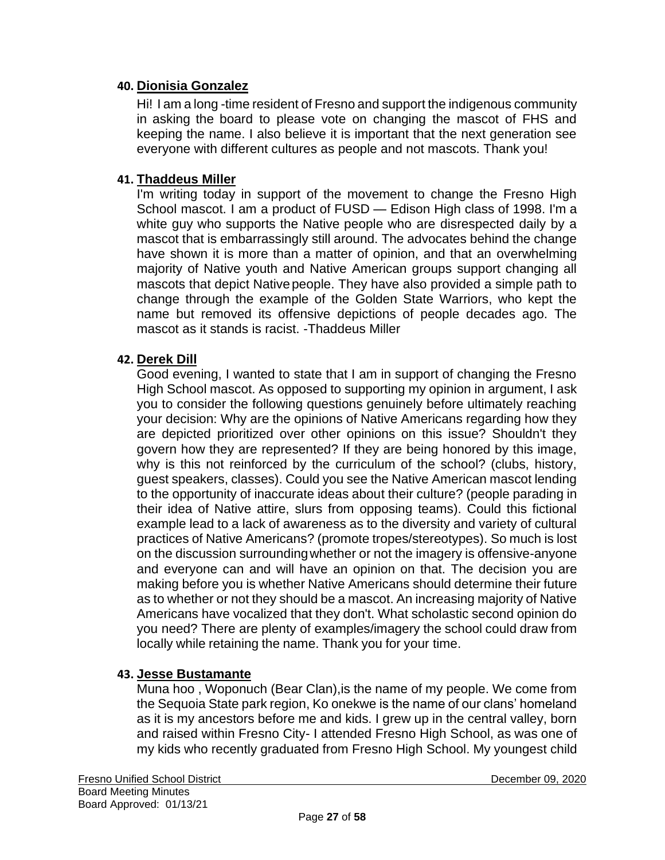#### **40. Dionisia Gonzalez**

Hi! I am a long -time resident of Fresno and support the indigenous community in asking the board to please vote on changing the mascot of FHS and keeping the name. I also believe it is important that the next generation see everyone with different cultures as people and not mascots. Thank you!

#### **41. Thaddeus Miller**

I'm writing today in support of the movement to change the Fresno High School mascot. I am a product of FUSD — Edison High class of 1998. I'm a white guy who supports the Native people who are disrespected daily by a mascot that is embarrassingly still around. The advocates behind the change have shown it is more than a matter of opinion, and that an overwhelming majority of Native youth and Native American groups support changing all mascots that depict Native people. They have also provided a simple path to change through the example of the Golden State Warriors, who kept the name but removed its offensive depictions of people decades ago. The mascot as it stands is racist. -Thaddeus Miller

#### **42. Derek Dill**

Good evening, I wanted to state that I am in support of changing the Fresno High School mascot. As opposed to supporting my opinion in argument, I ask you to consider the following questions genuinely before ultimately reaching your decision: Why are the opinions of Native Americans regarding how they are depicted prioritized over other opinions on this issue? Shouldn't they govern how they are represented? If they are being honored by this image, why is this not reinforced by the curriculum of the school? (clubs, history, guest speakers, classes). Could you see the Native American mascot lending to the opportunity of inaccurate ideas about their culture? (people parading in their idea of Native attire, slurs from opposing teams). Could this fictional example lead to a lack of awareness as to the diversity and variety of cultural practices of Native Americans? (promote tropes/stereotypes). So much is lost on the discussion surroundingwhether or not the imagery is offensive-anyone and everyone can and will have an opinion on that. The decision you are making before you is whether Native Americans should determine their future as to whether or not they should be a mascot. An increasing majority of Native Americans have vocalized that they don't. What scholastic second opinion do you need? There are plenty of examples/imagery the school could draw from locally while retaining the name. Thank you for your time.

#### **43. Jesse Bustamante**

Muna hoo , Woponuch (Bear Clan),is the name of my people. We come from the Sequoia State park region, Ko onekwe is the name of our clans' homeland as it is my ancestors before me and kids. I grew up in the central valley, born and raised within Fresno City- I attended Fresno High School, as was one of my kids who recently graduated from Fresno High School. My youngest child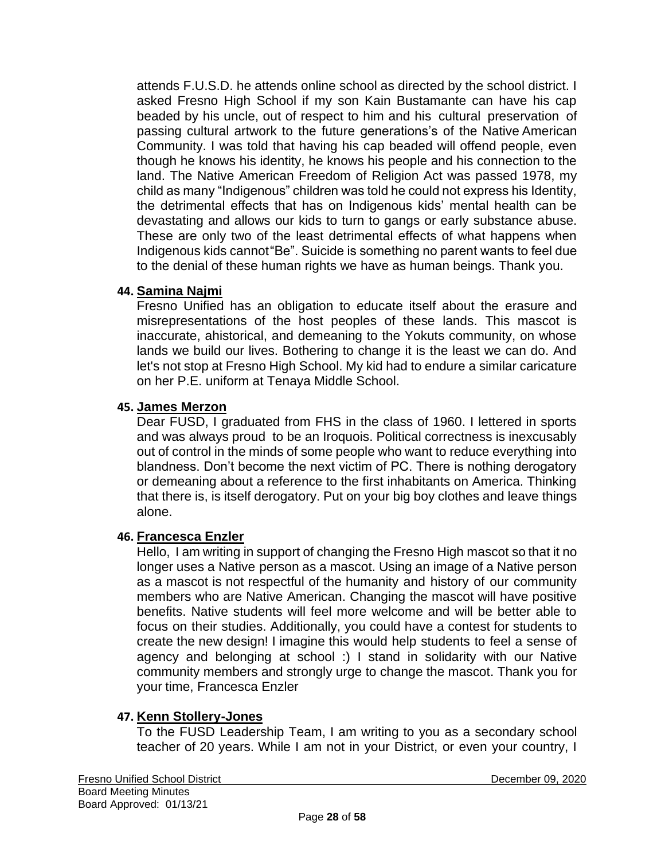attends F.U.S.D. he attends online school as directed by the school district. I asked Fresno High School if my son Kain Bustamante can have his cap beaded by his uncle, out of respect to him and his cultural preservation of passing cultural artwork to the future generations's of the Native American Community. I was told that having his cap beaded will offend people, even though he knows his identity, he knows his people and his connection to the land. The Native American Freedom of Religion Act was passed 1978, my child as many "Indigenous" children was told he could not express his Identity, the detrimental effects that has on Indigenous kids' mental health can be devastating and allows our kids to turn to gangs or early substance abuse. These are only two of the least detrimental effects of what happens when Indigenous kids cannot"Be". Suicide is something no parent wants to feel due to the denial of these human rights we have as human beings. Thank you.

### **44. Samina Najmi**

Fresno Unified has an obligation to educate itself about the erasure and misrepresentations of the host peoples of these lands. This mascot is inaccurate, ahistorical, and demeaning to the Yokuts community, on whose lands we build our lives. Bothering to change it is the least we can do. And let's not stop at Fresno High School. My kid had to endure a similar caricature on her P.E. uniform at Tenaya Middle School.

#### **45. James Merzon**

Dear FUSD, I graduated from FHS in the class of 1960. I lettered in sports and was always proud to be an Iroquois. Political correctness is inexcusably out of control in the minds of some people who want to reduce everything into blandness. Don't become the next victim of PC. There is nothing derogatory or demeaning about a reference to the first inhabitants on America. Thinking that there is, is itself derogatory. Put on your big boy clothes and leave things alone.

#### **46. Francesca Enzler**

Hello, I am writing in support of changing the Fresno High mascot so that it no longer uses a Native person as a mascot. Using an image of a Native person as a mascot is not respectful of the humanity and history of our community members who are Native American. Changing the mascot will have positive benefits. Native students will feel more welcome and will be better able to focus on their studies. Additionally, you could have a contest for students to create the new design! I imagine this would help students to feel a sense of agency and belonging at school :) I stand in solidarity with our Native community members and strongly urge to change the mascot. Thank you for your time, Francesca Enzler

#### **47. Kenn Stollery-Jones**

To the FUSD Leadership Team, I am writing to you as a secondary school teacher of 20 years. While I am not in your District, or even your country, I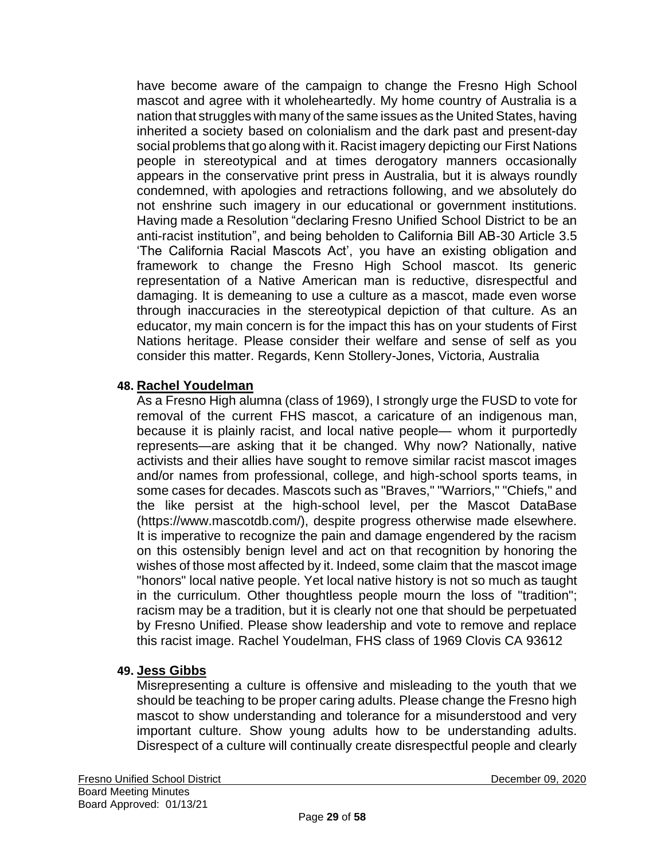have become aware of the campaign to change the Fresno High School mascot and agree with it wholeheartedly. My home country of Australia is a nation that struggles with many of the same issues as the United States, having inherited a society based on colonialism and the dark past and present-day social problems that go along with it. Racist imagery depicting our First Nations people in stereotypical and at times derogatory manners occasionally appears in the conservative print press in Australia, but it is always roundly condemned, with apologies and retractions following, and we absolutely do not enshrine such imagery in our educational or government institutions. Having made a Resolution "declaring Fresno Unified School District to be an anti-racist institution", and being beholden to California Bill AB-30 Article 3.5 'The California Racial Mascots Act', you have an existing obligation and framework to change the Fresno High School mascot. Its generic representation of a Native American man is reductive, disrespectful and damaging. It is demeaning to use a culture as a mascot, made even worse through inaccuracies in the stereotypical depiction of that culture. As an educator, my main concern is for the impact this has on your students of First Nations heritage. Please consider their welfare and sense of self as you consider this matter. Regards, Kenn Stollery-Jones, Victoria, Australia

#### **48. Rachel Youdelman**

As a Fresno High alumna (class of 1969), I strongly urge the FUSD to vote for removal of the current FHS mascot, a caricature of an indigenous man, because it is plainly racist, and local native people— whom it purportedly represents—are asking that it be changed. Why now? Nationally, native activists and their allies have sought to remove similar racist mascot images and/or names from professional, college, and high-school sports teams, in some cases for decades. Mascots such as "Braves," "Warriors," "Chiefs," and the like persist at the high-school level, per the Mascot DataBase (https[://www.mascotdb.com/\),](http://www.mascotdb.com/)) despite progress otherwise made elsewhere. It is imperative to recognize the pain and damage engendered by the racism on this ostensibly benign level and act on that recognition by honoring the wishes of those most affected by it. Indeed, some claim that the mascot image "honors" local native people. Yet local native history is not so much as taught in the curriculum. Other thoughtless people mourn the loss of "tradition"; racism may be a tradition, but it is clearly not one that should be perpetuated by Fresno Unified. Please show leadership and vote to remove and replace this racist image. Rachel Youdelman, FHS class of 1969 Clovis CA 93612

#### **49. Jess Gibbs**

Misrepresenting a culture is offensive and misleading to the youth that we should be teaching to be proper caring adults. Please change the Fresno high mascot to show understanding and tolerance for a misunderstood and very important culture. Show young adults how to be understanding adults. Disrespect of a culture will continually create disrespectful people and clearly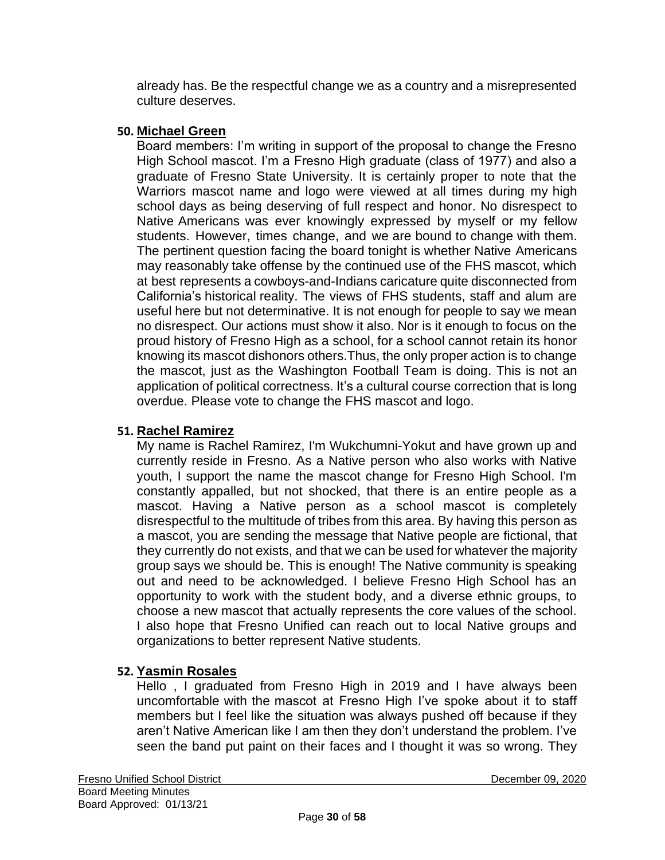already has. Be the respectful change we as a country and a misrepresented culture deserves.

#### **50. Michael Green**

Board members: I'm writing in support of the proposal to change the Fresno High School mascot. I'm a Fresno High graduate (class of 1977) and also a graduate of Fresno State University. It is certainly proper to note that the Warriors mascot name and logo were viewed at all times during my high school days as being deserving of full respect and honor. No disrespect to Native Americans was ever knowingly expressed by myself or my fellow students. However, times change, and we are bound to change with them. The pertinent question facing the board tonight is whether Native Americans may reasonably take offense by the continued use of the FHS mascot, which at best represents a cowboys-and-Indians caricature quite disconnected from California's historical reality. The views of FHS students, staff and alum are useful here but not determinative. It is not enough for people to say we mean no disrespect. Our actions must show it also. Nor is it enough to focus on the proud history of Fresno High as a school, for a school cannot retain its honor knowing its mascot dishonors others.Thus, the only proper action is to change the mascot, just as the Washington Football Team is doing. This is not an application of political correctness. It's a cultural course correction that is long overdue. Please vote to change the FHS mascot and logo.

### **51. Rachel Ramirez**

My name is Rachel Ramirez, I'm Wukchumni-Yokut and have grown up and currently reside in Fresno. As a Native person who also works with Native youth, I support the name the mascot change for Fresno High School. I'm constantly appalled, but not shocked, that there is an entire people as a mascot. Having a Native person as a school mascot is completely disrespectful to the multitude of tribes from this area. By having this person as a mascot, you are sending the message that Native people are fictional, that they currently do not exists, and that we can be used for whatever the majority group says we should be. This is enough! The Native community is speaking out and need to be acknowledged. I believe Fresno High School has an opportunity to work with the student body, and a diverse ethnic groups, to choose a new mascot that actually represents the core values of the school. I also hope that Fresno Unified can reach out to local Native groups and organizations to better represent Native students.

### **52. Yasmin Rosales**

Hello , I graduated from Fresno High in 2019 and I have always been uncomfortable with the mascot at Fresno High I've spoke about it to staff members but I feel like the situation was always pushed off because if they aren't Native American like I am then they don't understand the problem. I've seen the band put paint on their faces and I thought it was so wrong. They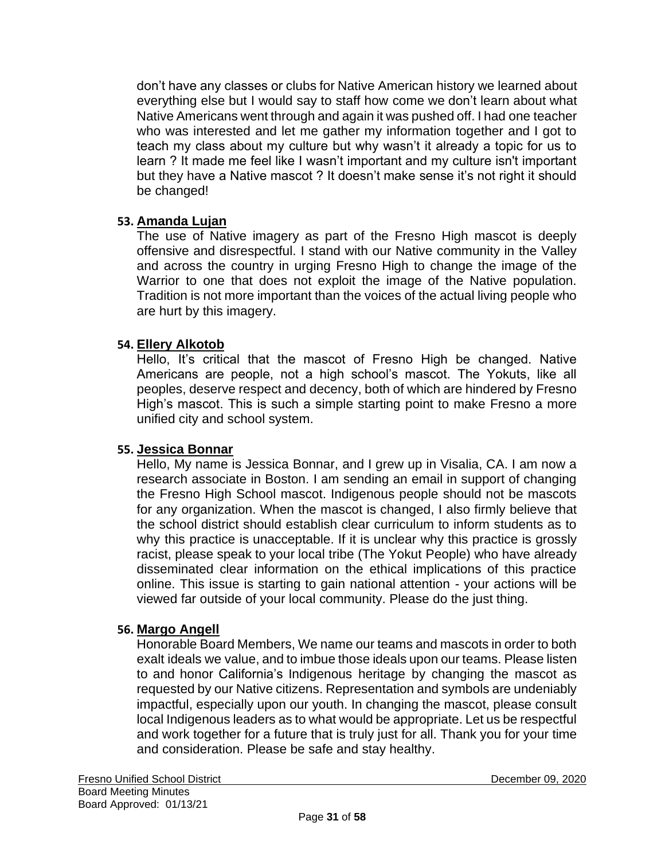don't have any classes or clubs for Native American history we learned about everything else but I would say to staff how come we don't learn about what Native Americans went through and again it was pushed off. I had one teacher who was interested and let me gather my information together and I got to teach my class about my culture but why wasn't it already a topic for us to learn ? It made me feel like I wasn't important and my culture isn't important but they have a Native mascot ? It doesn't make sense it's not right it should be changed!

#### **53. Amanda Lujan**

The use of Native imagery as part of the Fresno High mascot is deeply offensive and disrespectful. I stand with our Native community in the Valley and across the country in urging Fresno High to change the image of the Warrior to one that does not exploit the image of the Native population. Tradition is not more important than the voices of the actual living people who are hurt by this imagery.

#### **54. Ellery Alkotob**

Hello, It's critical that the mascot of Fresno High be changed. Native Americans are people, not a high school's mascot. The Yokuts, like all peoples, deserve respect and decency, both of which are hindered by Fresno High's mascot. This is such a simple starting point to make Fresno a more unified city and school system.

#### **55. Jessica Bonnar**

Hello, My name is Jessica Bonnar, and I grew up in Visalia, CA. I am now a research associate in Boston. I am sending an email in support of changing the Fresno High School mascot. Indigenous people should not be mascots for any organization. When the mascot is changed, I also firmly believe that the school district should establish clear curriculum to inform students as to why this practice is unacceptable. If it is unclear why this practice is grossly racist, please speak to your local tribe (The Yokut People) who have already disseminated clear information on the ethical implications of this practice online. This issue is starting to gain national attention - your actions will be viewed far outside of your local community. Please do the just thing.

#### **56. Margo Angell**

Honorable Board Members, We name our teams and mascots in order to both exalt ideals we value, and to imbue those ideals upon our teams. Please listen to and honor California's Indigenous heritage by changing the mascot as requested by our Native citizens. Representation and symbols are undeniably impactful, especially upon our youth. In changing the mascot, please consult local Indigenous leaders as to what would be appropriate. Let us be respectful and work together for a future that is truly just for all. Thank you for your time and consideration. Please be safe and stay healthy.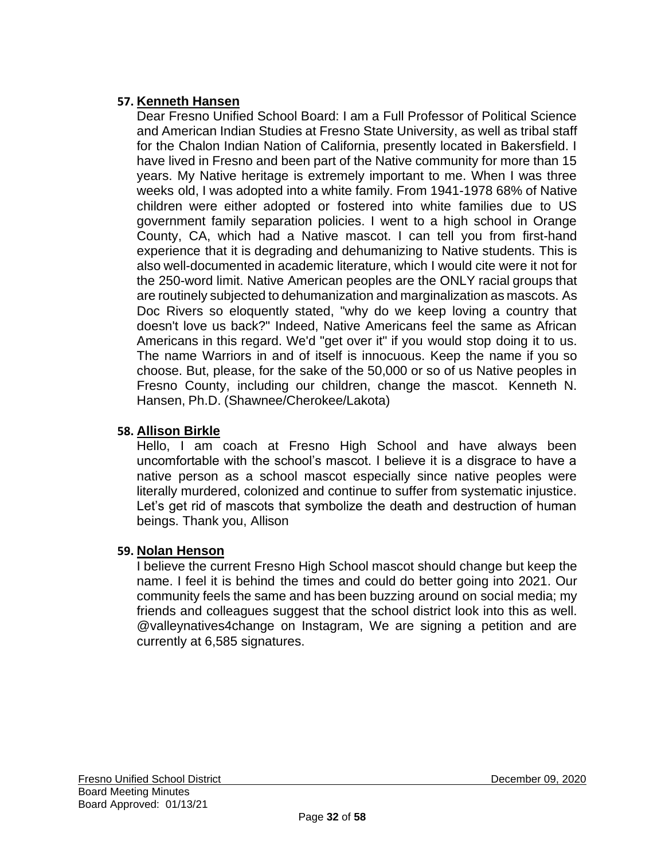# **57. Kenneth Hansen**

Dear Fresno Unified School Board: I am a Full Professor of Political Science and American Indian Studies at Fresno State University, as well as tribal staff for the Chalon Indian Nation of California, presently located in Bakersfield. I have lived in Fresno and been part of the Native community for more than 15 years. My Native heritage is extremely important to me. When I was three weeks old, I was adopted into a white family. From 1941-1978 68% of Native children were either adopted or fostered into white families due to US government family separation policies. I went to a high school in Orange County, CA, which had a Native mascot. I can tell you from first-hand experience that it is degrading and dehumanizing to Native students. This is also well-documented in academic literature, which I would cite were it not for the 250-word limit. Native American peoples are the ONLY racial groups that are routinely subjected to dehumanization and marginalization as mascots. As Doc Rivers so eloquently stated, "why do we keep loving a country that doesn't love us back?" Indeed, Native Americans feel the same as African Americans in this regard. We'd "get over it" if you would stop doing it to us. The name Warriors in and of itself is innocuous. Keep the name if you so choose. But, please, for the sake of the 50,000 or so of us Native peoples in Fresno County, including our children, change the mascot. Kenneth N. Hansen, Ph.D. (Shawnee/Cherokee/Lakota)

## **58. Allison Birkle**

Hello, I am coach at Fresno High School and have always been uncomfortable with the school's mascot. I believe it is a disgrace to have a native person as a school mascot especially since native peoples were literally murdered, colonized and continue to suffer from systematic injustice. Let's get rid of mascots that symbolize the death and destruction of human beings. Thank you, Allison

### **59. Nolan Henson**

I believe the current Fresno High School mascot should change but keep the name. I feel it is behind the times and could do better going into 2021. Our community feels the same and has been buzzing around on social media; my friends and colleagues suggest that the school district look into this as well. @valleynatives4change on Instagram, We are signing a petition and are currently at 6,585 signatures.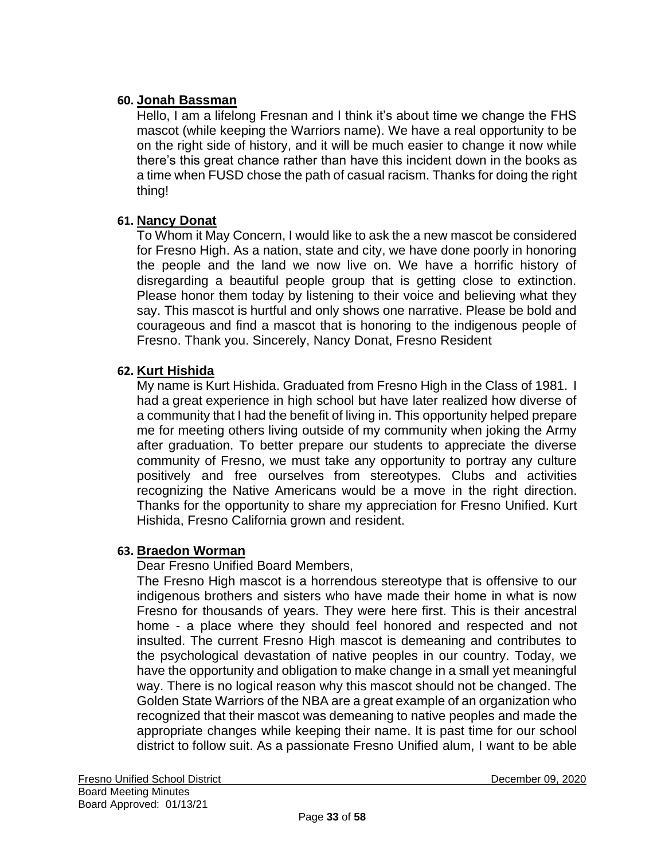### **60. Jonah Bassman**

Hello, I am a lifelong Fresnan and I think it's about time we change the FHS mascot (while keeping the Warriors name). We have a real opportunity to be on the right side of history, and it will be much easier to change it now while there's this great chance rather than have this incident down in the books as a time when FUSD chose the path of casual racism. Thanks for doing the right thing!

# **61. Nancy Donat**

To Whom it May Concern, I would like to ask the a new mascot be considered for Fresno High. As a nation, state and city, we have done poorly in honoring the people and the land we now live on. We have a horrific history of disregarding a beautiful people group that is getting close to extinction. Please honor them today by listening to their voice and believing what they say. This mascot is hurtful and only shows one narrative. Please be bold and courageous and find a mascot that is honoring to the indigenous people of Fresno. Thank you. Sincerely, Nancy Donat, Fresno Resident

### **62. Kurt Hishida**

My name is Kurt Hishida. Graduated from Fresno High in the Class of 1981. I had a great experience in high school but have later realized how diverse of a community that I had the benefit of living in. This opportunity helped prepare me for meeting others living outside of my community when joking the Army after graduation. To better prepare our students to appreciate the diverse community of Fresno, we must take any opportunity to portray any culture positively and free ourselves from stereotypes. Clubs and activities recognizing the Native Americans would be a move in the right direction. Thanks for the opportunity to share my appreciation for Fresno Unified. Kurt Hishida, Fresno California grown and resident.

### **63. Braedon Worman**

Dear Fresno Unified Board Members,

The Fresno High mascot is a horrendous stereotype that is offensive to our indigenous brothers and sisters who have made their home in what is now Fresno for thousands of years. They were here first. This is their ancestral home - a place where they should feel honored and respected and not insulted. The current Fresno High mascot is demeaning and contributes to the psychological devastation of native peoples in our country. Today, we have the opportunity and obligation to make change in a small yet meaningful way. There is no logical reason why this mascot should not be changed. The Golden State Warriors of the NBA are a great example of an organization who recognized that their mascot was demeaning to native peoples and made the appropriate changes while keeping their name. It is past time for our school district to follow suit. As a passionate Fresno Unified alum, I want to be able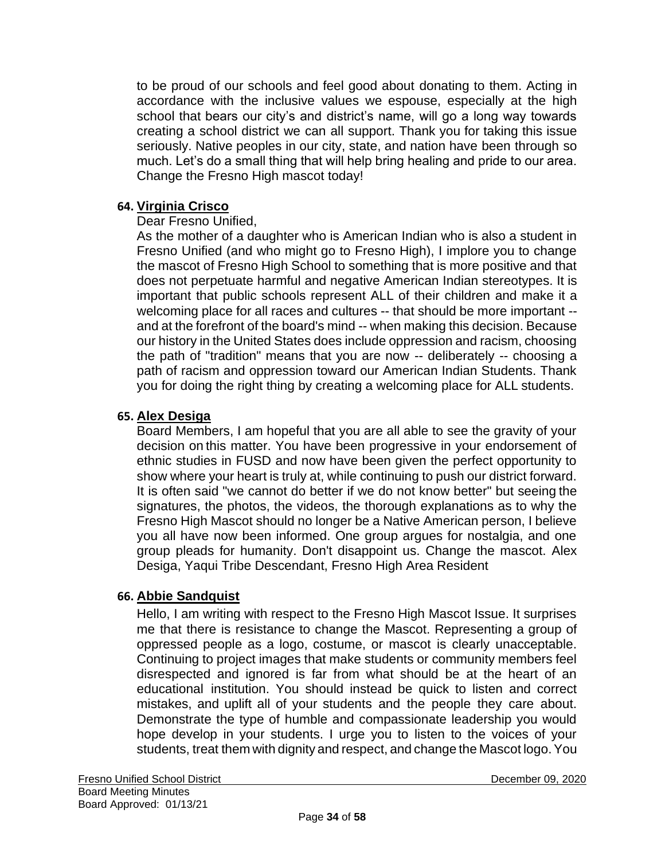to be proud of our schools and feel good about donating to them. Acting in accordance with the inclusive values we espouse, especially at the high school that bears our city's and district's name, will go a long way towards creating a school district we can all support. Thank you for taking this issue seriously. Native peoples in our city, state, and nation have been through so much. Let's do a small thing that will help bring healing and pride to our area. Change the Fresno High mascot today!

#### **64. Virginia Crisco**

#### Dear Fresno Unified,

As the mother of a daughter who is American Indian who is also a student in Fresno Unified (and who might go to Fresno High), I implore you to change the mascot of Fresno High School to something that is more positive and that does not perpetuate harmful and negative American Indian stereotypes. It is important that public schools represent ALL of their children and make it a welcoming place for all races and cultures -- that should be more important - and at the forefront of the board's mind -- when making this decision. Because our history in the United States does include oppression and racism, choosing the path of "tradition" means that you are now -- deliberately -- choosing a path of racism and oppression toward our American Indian Students. Thank you for doing the right thing by creating a welcoming place for ALL students.

#### **65. Alex Desiga**

Board Members, I am hopeful that you are all able to see the gravity of your decision on this matter. You have been progressive in your endorsement of ethnic studies in FUSD and now have been given the perfect opportunity to show where your heart is truly at, while continuing to push our district forward. It is often said "we cannot do better if we do not know better" but seeing the signatures, the photos, the videos, the thorough explanations as to why the Fresno High Mascot should no longer be a Native American person, I believe you all have now been informed. One group argues for nostalgia, and one group pleads for humanity. Don't disappoint us. Change the mascot. Alex Desiga, Yaqui Tribe Descendant, Fresno High Area Resident

#### **66. Abbie Sandquist**

Hello, I am writing with respect to the Fresno High Mascot Issue. It surprises me that there is resistance to change the Mascot. Representing a group of oppressed people as a logo, costume, or mascot is clearly unacceptable. Continuing to project images that make students or community members feel disrespected and ignored is far from what should be at the heart of an educational institution. You should instead be quick to listen and correct mistakes, and uplift all of your students and the people they care about. Demonstrate the type of humble and compassionate leadership you would hope develop in your students. I urge you to listen to the voices of your students, treat them with dignity and respect, and change the Mascot logo.You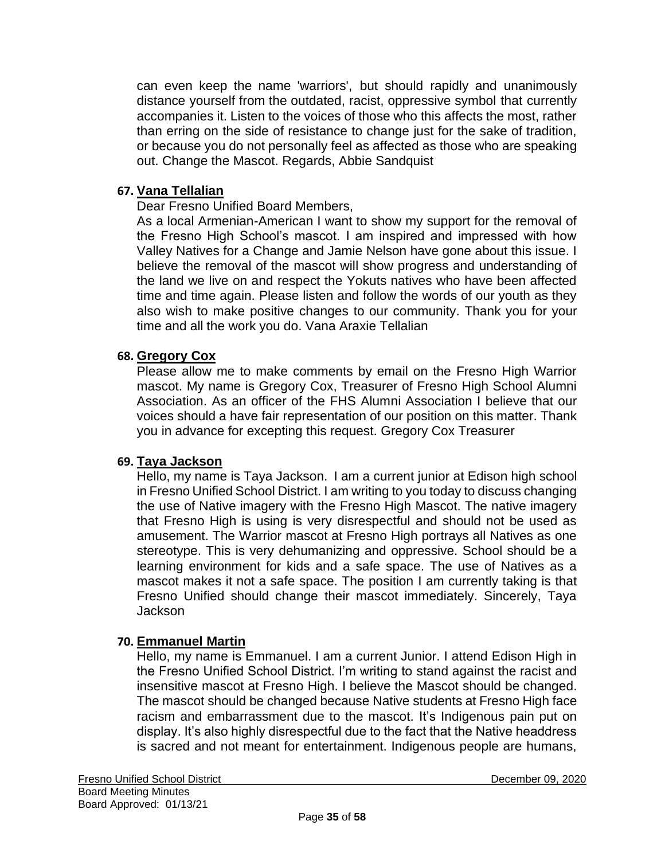can even keep the name 'warriors', but should rapidly and unanimously distance yourself from the outdated, racist, oppressive symbol that currently accompanies it. Listen to the voices of those who this affects the most, rather than erring on the side of resistance to change just for the sake of tradition, or because you do not personally feel as affected as those who are speaking out. Change the Mascot. Regards, Abbie Sandquist

#### **67. Vana Tellalian**

Dear Fresno Unified Board Members,

As a local Armenian-American I want to show my support for the removal of the Fresno High School's mascot. I am inspired and impressed with how Valley Natives for a Change and Jamie Nelson have gone about this issue. I believe the removal of the mascot will show progress and understanding of the land we live on and respect the Yokuts natives who have been affected time and time again. Please listen and follow the words of our youth as they also wish to make positive changes to our community. Thank you for your time and all the work you do. Vana Araxie Tellalian

#### **68. Gregory Cox**

Please allow me to make comments by email on the Fresno High Warrior mascot. My name is Gregory Cox, Treasurer of Fresno High School Alumni Association. As an officer of the FHS Alumni Association I believe that our voices should a have fair representation of our position on this matter. Thank you in advance for excepting this request. Gregory Cox Treasurer

#### **69. Taya Jackson**

Hello, my name is Taya Jackson. I am a current junior at Edison high school in Fresno Unified School District. I am writing to you today to discuss changing the use of Native imagery with the Fresno High Mascot. The native imagery that Fresno High is using is very disrespectful and should not be used as amusement. The Warrior mascot at Fresno High portrays all Natives as one stereotype. This is very dehumanizing and oppressive. School should be a learning environment for kids and a safe space. The use of Natives as a mascot makes it not a safe space. The position I am currently taking is that Fresno Unified should change their mascot immediately. Sincerely, Taya Jackson

#### **70. Emmanuel Martin**

Hello, my name is Emmanuel. I am a current Junior. I attend Edison High in the Fresno Unified School District. I'm writing to stand against the racist and insensitive mascot at Fresno High. I believe the Mascot should be changed. The mascot should be changed because Native students at Fresno High face racism and embarrassment due to the mascot. It's Indigenous pain put on display. It's also highly disrespectful due to the fact that the Native headdress is sacred and not meant for entertainment. Indigenous people are humans,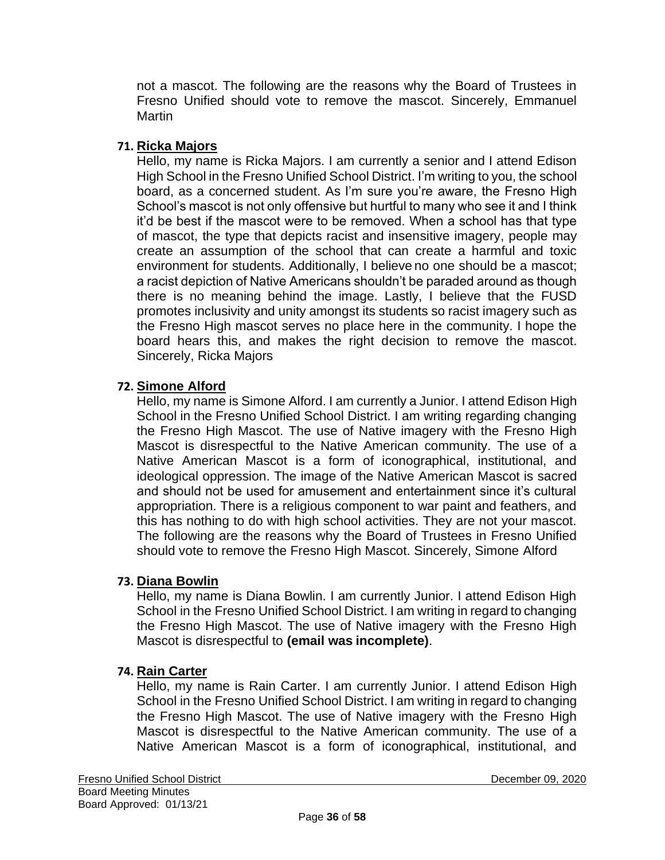not a mascot. The following are the reasons why the Board of Trustees in Fresno Unified should vote to remove the mascot. Sincerely, Emmanuel Martin

### **71. Ricka Majors**

Hello, my name is Ricka Majors. I am currently a senior and I attend Edison High School in the Fresno Unified School District. I'm writing to you, the school board, as a concerned student. As I'm sure you're aware, the Fresno High School's mascot is not only offensive but hurtful to many who see it and I think it'd be best if the mascot were to be removed. When a school has that type of mascot, the type that depicts racist and insensitive imagery, people may create an assumption of the school that can create a harmful and toxic environment for students. Additionally, I believe no one should be a mascot; a racist depiction of Native Americans shouldn't be paraded around as though there is no meaning behind the image. Lastly, I believe that the FUSD promotes inclusivity and unity amongst its students so racist imagery such as the Fresno High mascot serves no place here in the community. I hope the board hears this, and makes the right decision to remove the mascot. Sincerely, Ricka Majors

#### **72. Simone Alford**

Hello, my name is Simone Alford. I am currently a Junior. I attend Edison High School in the Fresno Unified School District. I am writing regarding changing the Fresno High Mascot. The use of Native imagery with the Fresno High Mascot is disrespectful to the Native American community. The use of a Native American Mascot is a form of iconographical, institutional, and ideological oppression. The image of the Native American Mascot is sacred and should not be used for amusement and entertainment since it's cultural appropriation. There is a religious component to war paint and feathers, and this has nothing to do with high school activities. They are not your mascot. The following are the reasons why the Board of Trustees in Fresno Unified should vote to remove the Fresno High Mascot. Sincerely, Simone Alford

#### **73. Diana Bowlin**

Hello, my name is Diana Bowlin. I am currently Junior. I attend Edison High School in the Fresno Unified School District. I am writing in regard to changing the Fresno High Mascot. The use of Native imagery with the Fresno High Mascot is disrespectful to **(email was incomplete)**.

#### **74. Rain Carter**

Hello, my name is Rain Carter. I am currently Junior. I attend Edison High School in the Fresno Unified School District. I am writing in regard to changing the Fresno High Mascot. The use of Native imagery with the Fresno High Mascot is disrespectful to the Native American community. The use of a Native American Mascot is a form of iconographical, institutional, and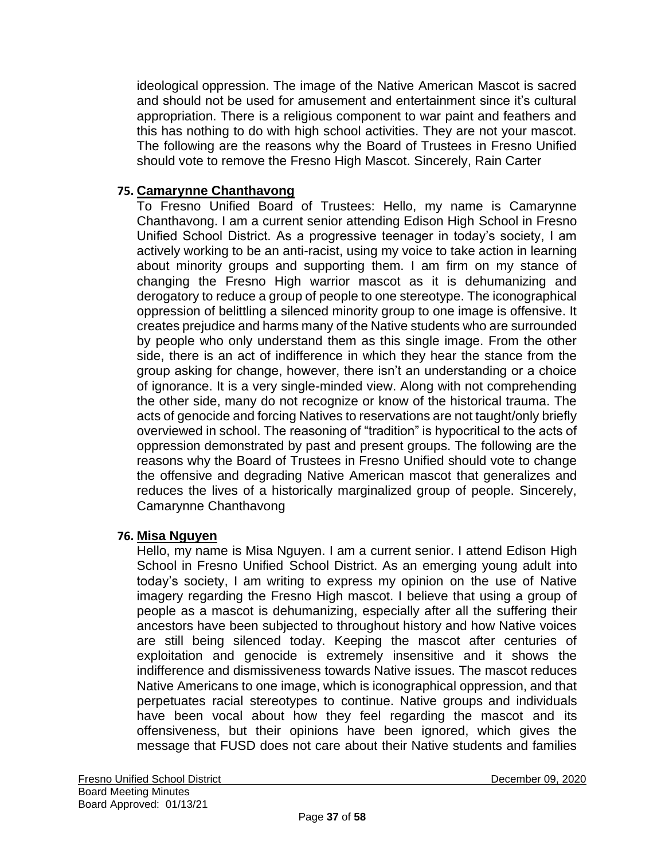ideological oppression. The image of the Native American Mascot is sacred and should not be used for amusement and entertainment since it's cultural appropriation. There is a religious component to war paint and feathers and this has nothing to do with high school activities. They are not your mascot. The following are the reasons why the Board of Trustees in Fresno Unified should vote to remove the Fresno High Mascot. Sincerely, Rain Carter

### **75. Camarynne Chanthavong**

To Fresno Unified Board of Trustees: Hello, my name is Camarynne Chanthavong. I am a current senior attending Edison High School in Fresno Unified School District. As a progressive teenager in today's society, I am actively working to be an anti-racist, using my voice to take action in learning about minority groups and supporting them. I am firm on my stance of changing the Fresno High warrior mascot as it is dehumanizing and derogatory to reduce a group of people to one stereotype. The iconographical oppression of belittling a silenced minority group to one image is offensive. It creates prejudice and harms many of the Native students who are surrounded by people who only understand them as this single image. From the other side, there is an act of indifference in which they hear the stance from the group asking for change, however, there isn't an understanding or a choice of ignorance. It is a very single-minded view. Along with not comprehending the other side, many do not recognize or know of the historical trauma. The acts of genocide and forcing Natives to reservations are not taught/only briefly overviewed in school. The reasoning of "tradition" is hypocritical to the acts of oppression demonstrated by past and present groups. The following are the reasons why the Board of Trustees in Fresno Unified should vote to change the offensive and degrading Native American mascot that generalizes and reduces the lives of a historically marginalized group of people. Sincerely, Camarynne Chanthavong

#### **76. Misa Nguyen**

Hello, my name is Misa Nguyen. I am a current senior. I attend Edison High School in Fresno Unified School District. As an emerging young adult into today's society, I am writing to express my opinion on the use of Native imagery regarding the Fresno High mascot. I believe that using a group of people as a mascot is dehumanizing, especially after all the suffering their ancestors have been subjected to throughout history and how Native voices are still being silenced today. Keeping the mascot after centuries of exploitation and genocide is extremely insensitive and it shows the indifference and dismissiveness towards Native issues. The mascot reduces Native Americans to one image, which is iconographical oppression, and that perpetuates racial stereotypes to continue. Native groups and individuals have been vocal about how they feel regarding the mascot and its offensiveness, but their opinions have been ignored, which gives the message that FUSD does not care about their Native students and families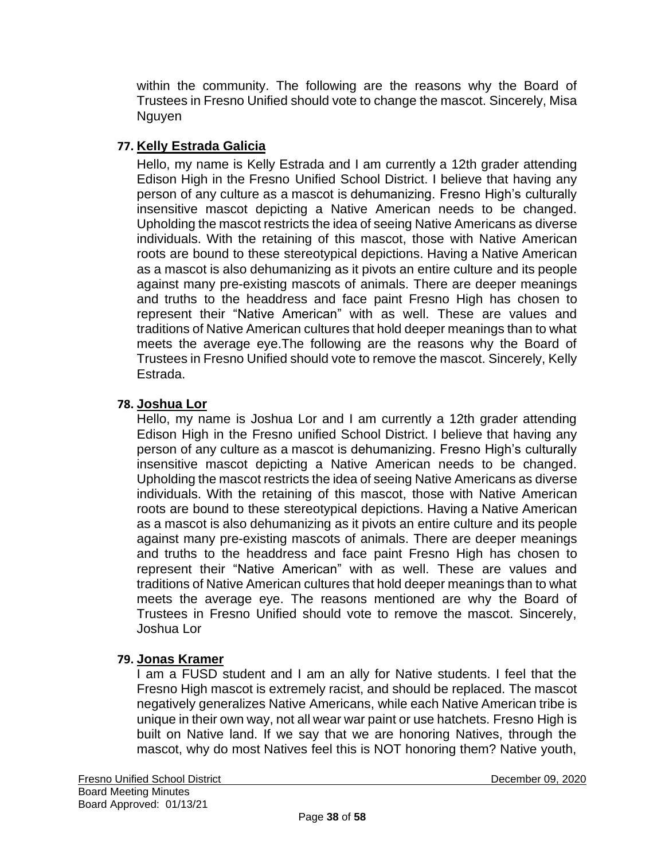within the community. The following are the reasons why the Board of Trustees in Fresno Unified should vote to change the mascot. Sincerely, Misa Nguyen

# **77. Kelly Estrada Galicia**

Hello, my name is Kelly Estrada and I am currently a 12th grader attending Edison High in the Fresno Unified School District. I believe that having any person of any culture as a mascot is dehumanizing. Fresno High's culturally insensitive mascot depicting a Native American needs to be changed. Upholding the mascot restricts the idea of seeing Native Americans as diverse individuals. With the retaining of this mascot, those with Native American roots are bound to these stereotypical depictions. Having a Native American as a mascot is also dehumanizing as it pivots an entire culture and its people against many pre-existing mascots of animals. There are deeper meanings and truths to the headdress and face paint Fresno High has chosen to represent their "Native American" with as well. These are values and traditions of Native American cultures that hold deeper meanings than to what meets the average eye.The following are the reasons why the Board of Trustees in Fresno Unified should vote to remove the mascot. Sincerely, Kelly Estrada.

#### **78. Joshua Lor**

Hello, my name is Joshua Lor and I am currently a 12th grader attending Edison High in the Fresno unified School District. I believe that having any person of any culture as a mascot is dehumanizing. Fresno High's culturally insensitive mascot depicting a Native American needs to be changed. Upholding the mascot restricts the idea of seeing Native Americans as diverse individuals. With the retaining of this mascot, those with Native American roots are bound to these stereotypical depictions. Having a Native American as a mascot is also dehumanizing as it pivots an entire culture and its people against many pre-existing mascots of animals. There are deeper meanings and truths to the headdress and face paint Fresno High has chosen to represent their "Native American" with as well. These are values and traditions of Native American cultures that hold deeper meanings than to what meets the average eye. The reasons mentioned are why the Board of Trustees in Fresno Unified should vote to remove the mascot. Sincerely, Joshua Lor

### **79. Jonas Kramer**

I am a FUSD student and I am an ally for Native students. I feel that the Fresno High mascot is extremely racist, and should be replaced. The mascot negatively generalizes Native Americans, while each Native American tribe is unique in their own way, not all wear war paint or use hatchets. Fresno High is built on Native land. If we say that we are honoring Natives, through the mascot, why do most Natives feel this is NOT honoring them? Native youth,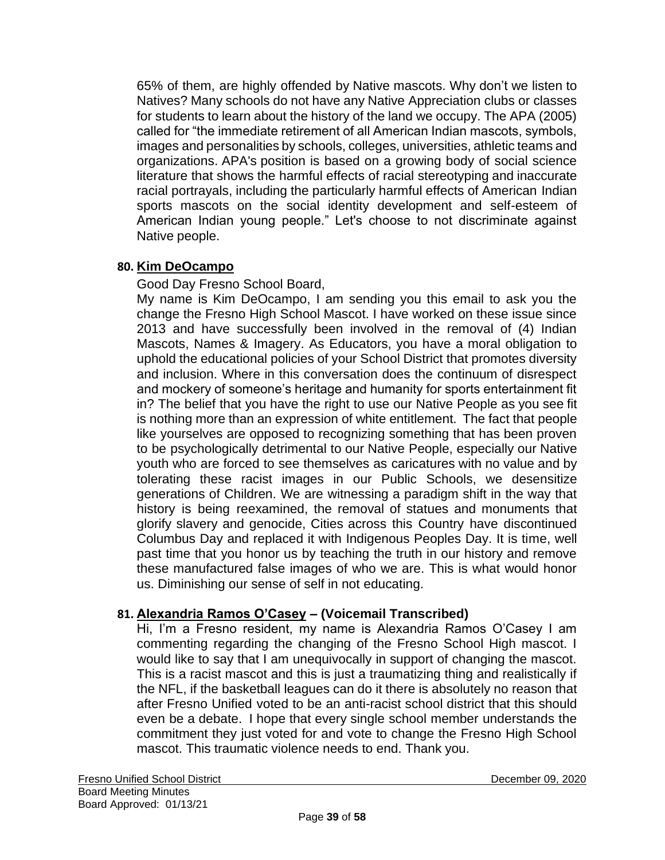65% of them, are highly offended by Native mascots. Why don't we listen to Natives? Many schools do not have any Native Appreciation clubs or classes for students to learn about the history of the land we occupy. The APA (2005) called for "the immediate retirement of all American Indian mascots, symbols, images and personalities by schools, colleges, universities, athletic teams and organizations. APA's position is based on a growing body of social science literature that shows the harmful effects of racial stereotyping and inaccurate racial portrayals, including the particularly harmful effects of American Indian sports mascots on the social identity development and self-esteem of American Indian young people." Let's choose to not discriminate against Native people.

### **80. Kim DeOcampo**

Good Day Fresno School Board,

My name is Kim DeOcampo, I am sending you this email to ask you the change the Fresno High School Mascot. I have worked on these issue since 2013 and have successfully been involved in the removal of (4) Indian Mascots, Names & Imagery. As Educators, you have a moral obligation to uphold the educational policies of your School District that promotes diversity and inclusion. Where in this conversation does the continuum of disrespect and mockery of someone's heritage and humanity for sports entertainment fit in? The belief that you have the right to use our Native People as you see fit is nothing more than an expression of white entitlement. The fact that people like yourselves are opposed to recognizing something that has been proven to be psychologically detrimental to our Native People, especially our Native youth who are forced to see themselves as caricatures with no value and by tolerating these racist images in our Public Schools, we desensitize generations of Children. We are witnessing a paradigm shift in the way that history is being reexamined, the removal of statues and monuments that glorify slavery and genocide, Cities across this Country have discontinued Columbus Day and replaced it with Indigenous Peoples Day. It is time, well past time that you honor us by teaching the truth in our history and remove these manufactured false images of who we are. This is what would honor us. Diminishing our sense of self in not educating.

# **81. Alexandria Ramos O'Casey – (Voicemail Transcribed)**

Hi, I'm a Fresno resident, my name is Alexandria Ramos O'Casey I am commenting regarding the changing of the Fresno School High mascot. I would like to say that I am unequivocally in support of changing the mascot. This is a racist mascot and this is just a traumatizing thing and realistically if the NFL, if the basketball leagues can do it there is absolutely no reason that after Fresno Unified voted to be an anti-racist school district that this should even be a debate. I hope that every single school member understands the commitment they just voted for and vote to change the Fresno High School mascot. This traumatic violence needs to end. Thank you.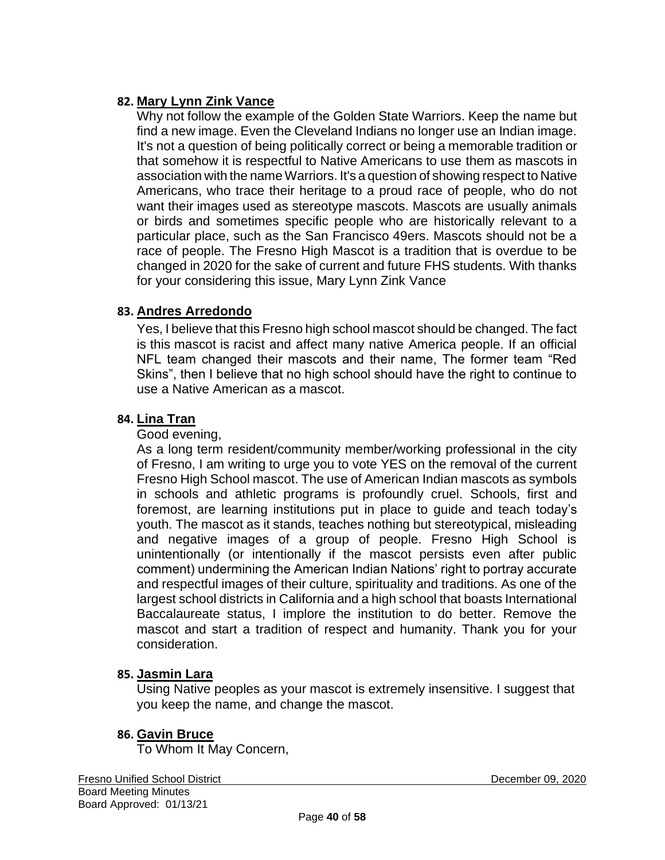### **82. Mary Lynn Zink Vance**

Why not follow the example of the Golden State Warriors. Keep the name but find a new image. Even the Cleveland Indians no longer use an Indian image. It's not a question of being politically correct or being a memorable tradition or that somehow it is respectful to Native Americans to use them as mascots in association with the name Warriors. It's a question of showing respect to Native Americans, who trace their heritage to a proud race of people, who do not want their images used as stereotype mascots. Mascots are usually animals or birds and sometimes specific people who are historically relevant to a particular place, such as the San Francisco 49ers. Mascots should not be a race of people. The Fresno High Mascot is a tradition that is overdue to be changed in 2020 for the sake of current and future FHS students. With thanks for your considering this issue, Mary Lynn Zink Vance

#### **83. Andres Arredondo**

Yes, I believe that this Fresno high school mascot should be changed. The fact is this mascot is racist and affect many native America people. If an official NFL team changed their mascots and their name, The former team "Red Skins", then I believe that no high school should have the right to continue to use a Native American as a mascot.

#### **84. Lina Tran**

Good evening,

As a long term resident/community member/working professional in the city of Fresno, I am writing to urge you to vote YES on the removal of the current Fresno High School mascot. The use of American Indian mascots as symbols in schools and athletic programs is profoundly cruel. Schools, first and foremost, are learning institutions put in place to guide and teach today's youth. The mascot as it stands, teaches nothing but stereotypical, misleading and negative images of a group of people. Fresno High School is unintentionally (or intentionally if the mascot persists even after public comment) undermining the American Indian Nations' right to portray accurate and respectful images of their culture, spirituality and traditions. As one of the largest school districts in California and a high school that boasts International Baccalaureate status, I implore the institution to do better. Remove the mascot and start a tradition of respect and humanity. Thank you for your consideration.

#### **85. Jasmin Lara**

Using Native peoples as your mascot is extremely insensitive. I suggest that you keep the name, and change the mascot.

#### **86. Gavin Bruce**

To Whom It May Concern,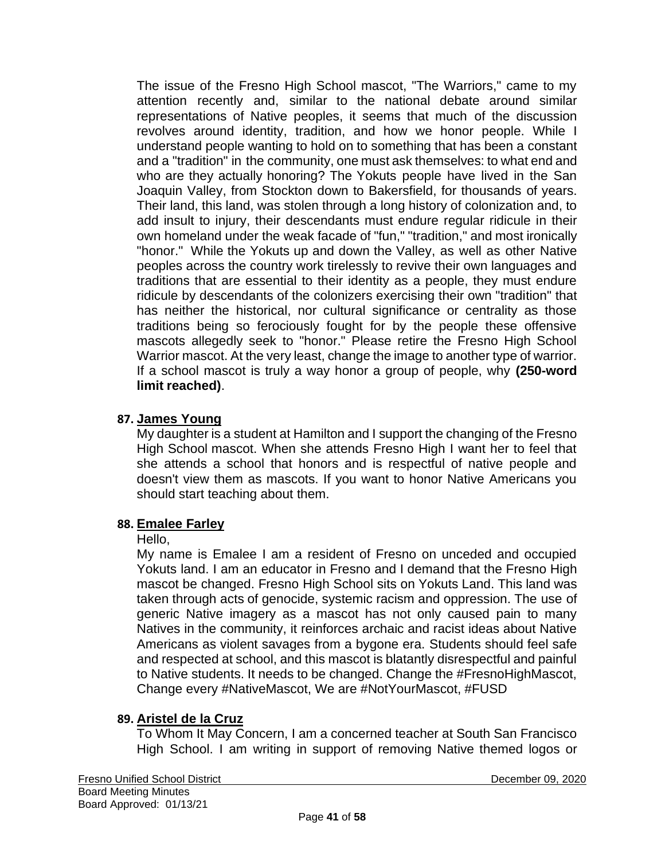The issue of the Fresno High School mascot, "The Warriors," came to my attention recently and, similar to the national debate around similar representations of Native peoples, it seems that much of the discussion revolves around identity, tradition, and how we honor people. While I understand people wanting to hold on to something that has been a constant and a "tradition" in the community, one must ask themselves: to what end and who are they actually honoring? The Yokuts people have lived in the San Joaquin Valley, from Stockton down to Bakersfield, for thousands of years. Their land, this land, was stolen through a long history of colonization and, to add insult to injury, their descendants must endure regular ridicule in their own homeland under the weak facade of "fun," "tradition," and most ironically "honor." While the Yokuts up and down the Valley, as well as other Native peoples across the country work tirelessly to revive their own languages and traditions that are essential to their identity as a people, they must endure ridicule by descendants of the colonizers exercising their own "tradition" that has neither the historical, nor cultural significance or centrality as those traditions being so ferociously fought for by the people these offensive mascots allegedly seek to "honor." Please retire the Fresno High School Warrior mascot. At the very least, change the image to another type of warrior. If a school mascot is truly a way honor a group of people, why **(250-word limit reached)**.

### **87. James Young**

My daughter is a student at Hamilton and I support the changing of the Fresno High School mascot. When she attends Fresno High I want her to feel that she attends a school that honors and is respectful of native people and doesn't view them as mascots. If you want to honor Native Americans you should start teaching about them.

#### **88. Emalee Farley**

#### Hello,

My name is Emalee I am a resident of Fresno on unceded and occupied Yokuts land. I am an educator in Fresno and I demand that the Fresno High mascot be changed. Fresno High School sits on Yokuts Land. This land was taken through acts of genocide, systemic racism and oppression. The use of generic Native imagery as a mascot has not only caused pain to many Natives in the community, it reinforces archaic and racist ideas about Native Americans as violent savages from a bygone era. Students should feel safe and respected at school, and this mascot is blatantly disrespectful and painful to Native students. It needs to be changed. Change the #FresnoHighMascot, Change every #NativeMascot, We are #NotYourMascot, #FUSD

#### **89. Aristel de la Cruz**

To Whom It May Concern, I am a concerned teacher at South San Francisco High School. I am writing in support of removing Native themed logos or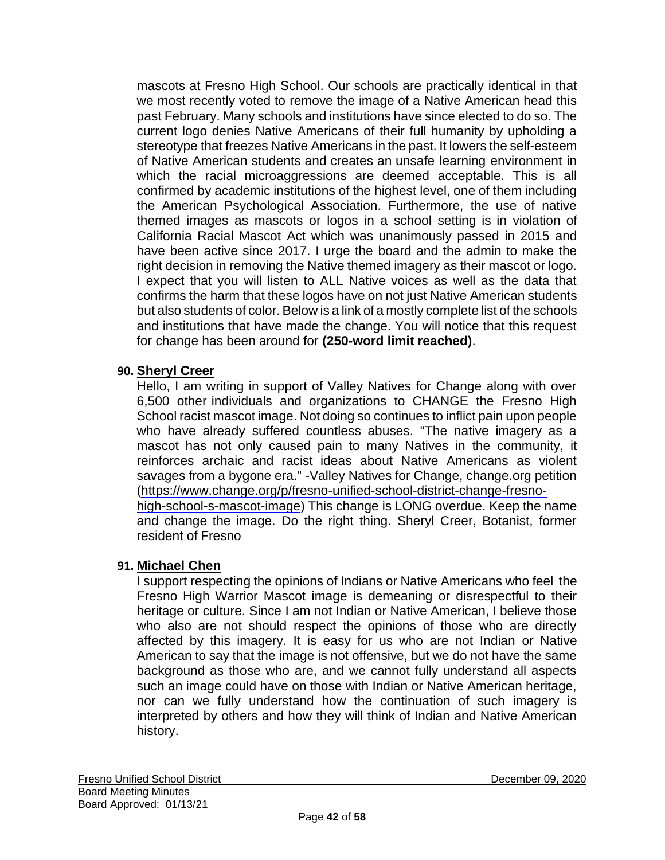mascots at Fresno High School. Our schools are practically identical in that we most recently voted to remove the image of a Native American head this past February. Many schools and institutions have since elected to do so. The current logo denies Native Americans of their full humanity by upholding a stereotype that freezes Native Americans in the past. It lowers the self-esteem of Native American students and creates an unsafe learning environment in which the racial microaggressions are deemed acceptable. This is all confirmed by academic institutions of the highest level, one of them including the American Psychological Association. Furthermore, the use of native themed images as mascots or logos in a school setting is in violation of California Racial Mascot Act which was unanimously passed in 2015 and have been active since 2017. I urge the board and the admin to make the right decision in removing the Native themed imagery as their mascot or logo. I expect that you will listen to ALL Native voices as well as the data that confirms the harm that these logos have on not just Native American students but also students of color. Below is a link of a mostly complete list of the schools and institutions that have made the change. You will notice that this request for change has been around for **(250-word limit reached)**.

### **90. Sheryl Creer**

Hello, I am writing in support of Valley Natives for Change along with over 6,500 other individuals and organizations to CHANGE the Fresno High School racist mascot image. Not doing so continues to inflict pain upon people who have already suffered countless abuses. "The native imagery as a mascot has not only caused pain to many Natives in the community, it reinforces archaic and racist ideas about Native Americans as violent savages from a bygone era." -Valley Natives for Change, change.org petition [\(https://www.change.org/p/fresno-unified-school-district-change-fresno](https://www.change.org/p/fresno-unified-school-district-change-fresno-high-school-s-mascot-image)[high-school-s-mascot-image\)](https://www.change.org/p/fresno-unified-school-district-change-fresno-high-school-s-mascot-image) This change is LONG overdue. Keep the name and change the image. Do the right thing. Sheryl Creer, Botanist, former resident of Fresno

### **91. Michael Chen**

I support respecting the opinions of Indians or Native Americans who feel the Fresno High Warrior Mascot image is demeaning or disrespectful to their heritage or culture. Since I am not Indian or Native American, I believe those who also are not should respect the opinions of those who are directly affected by this imagery. It is easy for us who are not Indian or Native American to say that the image is not offensive, but we do not have the same background as those who are, and we cannot fully understand all aspects such an image could have on those with Indian or Native American heritage, nor can we fully understand how the continuation of such imagery is interpreted by others and how they will think of Indian and Native American history.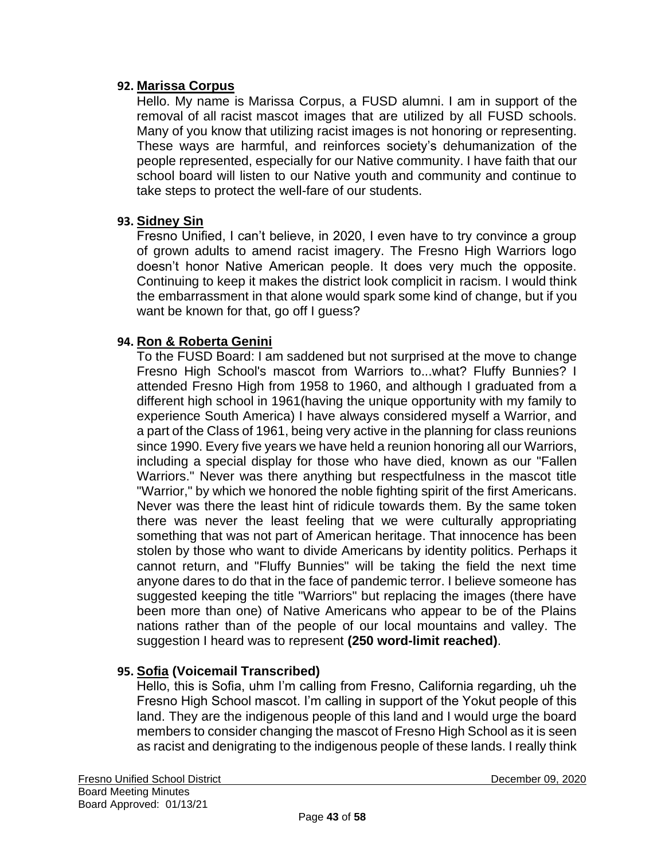#### **92. Marissa Corpus**

Hello. My name is Marissa Corpus, a FUSD alumni. I am in support of the removal of all racist mascot images that are utilized by all FUSD schools. Many of you know that utilizing racist images is not honoring or representing. These ways are harmful, and reinforces society's dehumanization of the people represented, especially for our Native community. I have faith that our school board will listen to our Native youth and community and continue to take steps to protect the well-fare of our students.

#### **93. Sidney Sin**

Fresno Unified, I can't believe, in 2020, I even have to try convince a group of grown adults to amend racist imagery. The Fresno High Warriors logo doesn't honor Native American people. It does very much the opposite. Continuing to keep it makes the district look complicit in racism. I would think the embarrassment in that alone would spark some kind of change, but if you want be known for that, go off I guess?

#### **94. Ron & Roberta Genini**

To the FUSD Board: I am saddened but not surprised at the move to change Fresno High School's mascot from Warriors to...what? Fluffy Bunnies? I attended Fresno High from 1958 to 1960, and although I graduated from a different high school in 1961(having the unique opportunity with my family to experience South America) I have always considered myself a Warrior, and a part of the Class of 1961, being very active in the planning for class reunions since 1990. Every five years we have held a reunion honoring all our Warriors, including a special display for those who have died, known as our "Fallen Warriors." Never was there anything but respectfulness in the mascot title "Warrior," by which we honored the noble fighting spirit of the first Americans. Never was there the least hint of ridicule towards them. By the same token there was never the least feeling that we were culturally appropriating something that was not part of American heritage. That innocence has been stolen by those who want to divide Americans by identity politics. Perhaps it cannot return, and "Fluffy Bunnies" will be taking the field the next time anyone dares to do that in the face of pandemic terror. I believe someone has suggested keeping the title "Warriors" but replacing the images (there have been more than one) of Native Americans who appear to be of the Plains nations rather than of the people of our local mountains and valley. The suggestion I heard was to represent **(250 word-limit reached)**.

#### **95. Sofia (Voicemail Transcribed)**

Hello, this is Sofia, uhm I'm calling from Fresno, California regarding, uh the Fresno High School mascot. I'm calling in support of the Yokut people of this land. They are the indigenous people of this land and I would urge the board members to consider changing the mascot of Fresno High School as it is seen as racist and denigrating to the indigenous people of these lands. I really think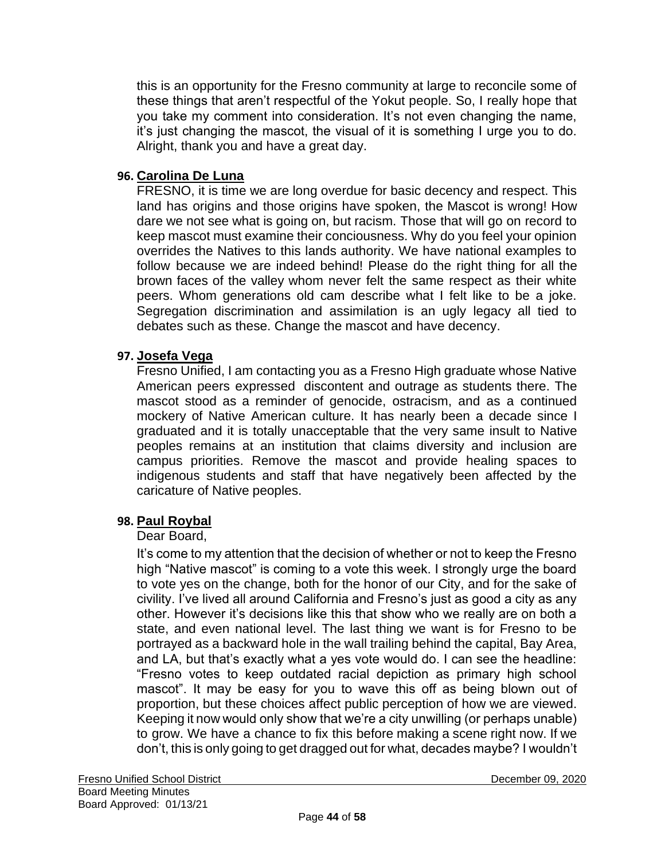this is an opportunity for the Fresno community at large to reconcile some of these things that aren't respectful of the Yokut people. So, I really hope that you take my comment into consideration. It's not even changing the name, it's just changing the mascot, the visual of it is something I urge you to do. Alright, thank you and have a great day.

#### **96. Carolina De Luna**

FRESNO, it is time we are long overdue for basic decency and respect. This land has origins and those origins have spoken, the Mascot is wrong! How dare we not see what is going on, but racism. Those that will go on record to keep mascot must examine their conciousness. Why do you feel your opinion overrides the Natives to this lands authority. We have national examples to follow because we are indeed behind! Please do the right thing for all the brown faces of the valley whom never felt the same respect as their white peers. Whom generations old cam describe what I felt like to be a joke. Segregation discrimination and assimilation is an ugly legacy all tied to debates such as these. Change the mascot and have decency.

#### **97. Josefa Vega**

Fresno Unified, I am contacting you as a Fresno High graduate whose Native American peers expressed discontent and outrage as students there. The mascot stood as a reminder of genocide, ostracism, and as a continued mockery of Native American culture. It has nearly been a decade since I graduated and it is totally unacceptable that the very same insult to Native peoples remains at an institution that claims diversity and inclusion are campus priorities. Remove the mascot and provide healing spaces to indigenous students and staff that have negatively been affected by the caricature of Native peoples.

#### **98. Paul Roybal**

#### Dear Board,

It's come to my attention that the decision of whether or not to keep the Fresno high "Native mascot" is coming to a vote this week. I strongly urge the board to vote yes on the change, both for the honor of our City, and for the sake of civility. I've lived all around California and Fresno's just as good a city as any other. However it's decisions like this that show who we really are on both a state, and even national level. The last thing we want is for Fresno to be portrayed as a backward hole in the wall trailing behind the capital, Bay Area, and LA, but that's exactly what a yes vote would do. I can see the headline: "Fresno votes to keep outdated racial depiction as primary high school mascot". It may be easy for you to wave this off as being blown out of proportion, but these choices affect public perception of how we are viewed. Keeping it now would only show that we're a city unwilling (or perhaps unable) to grow. We have a chance to fix this before making a scene right now. If we don't, this is only going to get dragged out for what, decades maybe? I wouldn't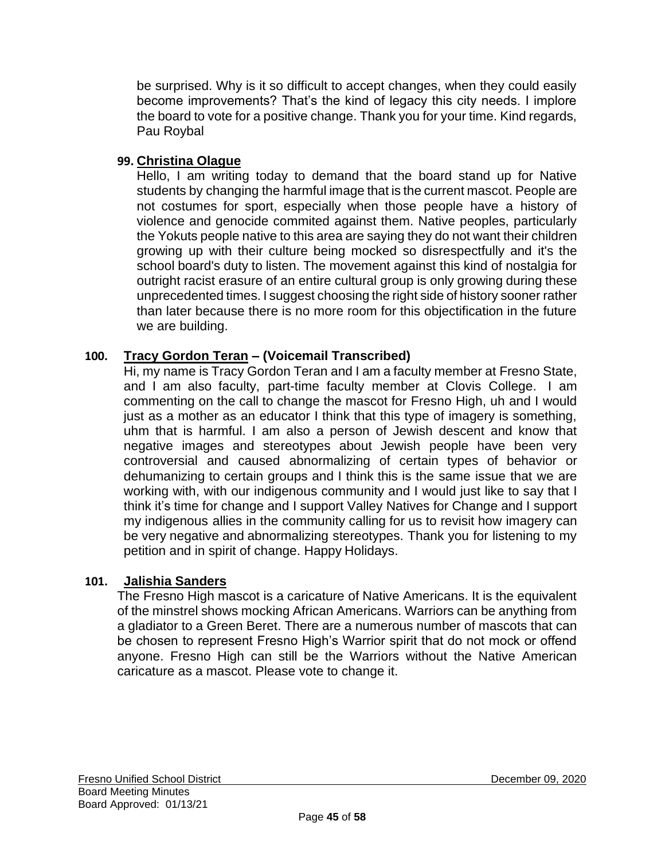be surprised. Why is it so difficult to accept changes, when they could easily become improvements? That's the kind of legacy this city needs. I implore the board to vote for a positive change. Thank you for your time. Kind regards, Pau Roybal

# **99. Christina Olague**

Hello, I am writing today to demand that the board stand up for Native students by changing the harmful image that is the current mascot. People are not costumes for sport, especially when those people have a history of violence and genocide commited against them. Native peoples, particularly the Yokuts people native to this area are saying they do not want their children growing up with their culture being mocked so disrespectfully and it's the school board's duty to listen. The movement against this kind of nostalgia for outright racist erasure of an entire cultural group is only growing during these unprecedented times. I suggest choosing the right side of history sooner rather than later because there is no more room for this objectification in the future we are building.

# **100. Tracy Gordon Teran – (Voicemail Transcribed)**

Hi, my name is Tracy Gordon Teran and I am a faculty member at Fresno State, and I am also faculty, part-time faculty member at Clovis College. I am commenting on the call to change the mascot for Fresno High, uh and I would just as a mother as an educator I think that this type of imagery is something, uhm that is harmful. I am also a person of Jewish descent and know that negative images and stereotypes about Jewish people have been very controversial and caused abnormalizing of certain types of behavior or dehumanizing to certain groups and I think this is the same issue that we are working with, with our indigenous community and I would just like to say that I think it's time for change and I support Valley Natives for Change and I support my indigenous allies in the community calling for us to revisit how imagery can be very negative and abnormalizing stereotypes. Thank you for listening to my petition and in spirit of change. Happy Holidays.

# **101. Jalishia Sanders**

The Fresno High mascot is a caricature of Native Americans. It is the equivalent of the minstrel shows mocking African Americans. Warriors can be anything from a gladiator to a Green Beret. There are a numerous number of mascots that can be chosen to represent Fresno High's Warrior spirit that do not mock or offend anyone. Fresno High can still be the Warriors without the Native American caricature as a mascot. Please vote to change it.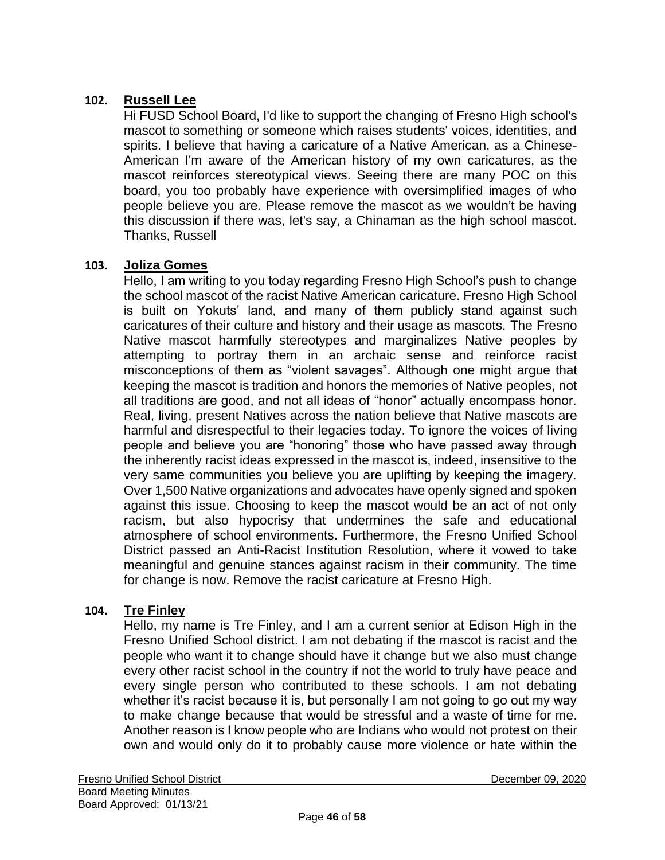# **102. Russell Lee**

Hi FUSD School Board, I'd like to support the changing of Fresno High school's mascot to something or someone which raises students' voices, identities, and spirits. I believe that having a caricature of a Native American, as a Chinese-American I'm aware of the American history of my own caricatures, as the mascot reinforces stereotypical views. Seeing there are many POC on this board, you too probably have experience with oversimplified images of who people believe you are. Please remove the mascot as we wouldn't be having this discussion if there was, let's say, a Chinaman as the high school mascot. Thanks, Russell

#### **103. Joliza Gomes**

Hello, I am writing to you today regarding Fresno High School's push to change the school mascot of the racist Native American caricature. Fresno High School is built on Yokuts' land, and many of them publicly stand against such caricatures of their culture and history and their usage as mascots. The Fresno Native mascot harmfully stereotypes and marginalizes Native peoples by attempting to portray them in an archaic sense and reinforce racist misconceptions of them as "violent savages". Although one might argue that keeping the mascot is tradition and honors the memories of Native peoples, not all traditions are good, and not all ideas of "honor" actually encompass honor. Real, living, present Natives across the nation believe that Native mascots are harmful and disrespectful to their legacies today. To ignore the voices of living people and believe you are "honoring" those who have passed away through the inherently racist ideas expressed in the mascot is, indeed, insensitive to the very same communities you believe you are uplifting by keeping the imagery. Over 1,500 Native organizations and advocates have openly signed and spoken against this issue. Choosing to keep the mascot would be an act of not only racism, but also hypocrisy that undermines the safe and educational atmosphere of school environments. Furthermore, the Fresno Unified School District passed an Anti-Racist Institution Resolution, where it vowed to take meaningful and genuine stances against racism in their community. The time for change is now. Remove the racist caricature at Fresno High.

#### **104. Tre Finley**

Hello, my name is Tre Finley, and I am a current senior at Edison High in the Fresno Unified School district. I am not debating if the mascot is racist and the people who want it to change should have it change but we also must change every other racist school in the country if not the world to truly have peace and every single person who contributed to these schools. I am not debating whether it's racist because it is, but personally I am not going to go out my way to make change because that would be stressful and a waste of time for me. Another reason is I know people who are Indians who would not protest on their own and would only do it to probably cause more violence or hate within the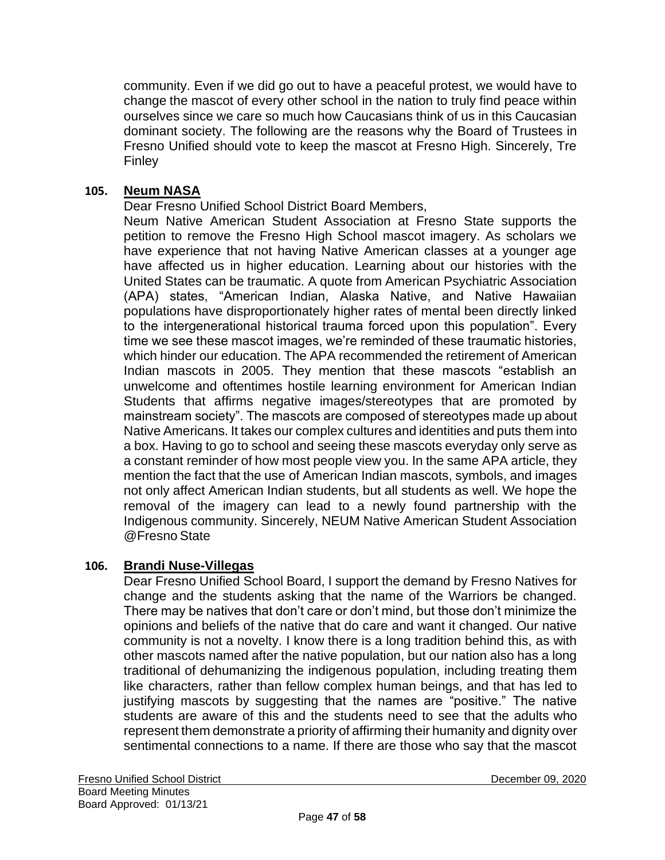community. Even if we did go out to have a peaceful protest, we would have to change the mascot of every other school in the nation to truly find peace within ourselves since we care so much how Caucasians think of us in this Caucasian dominant society. The following are the reasons why the Board of Trustees in Fresno Unified should vote to keep the mascot at Fresno High. Sincerely, Tre Finley

#### **105. Neum NASA**

Dear Fresno Unified School District Board Members,

Neum Native American Student Association at Fresno State supports the petition to remove the Fresno High School mascot imagery. As scholars we have experience that not having Native American classes at a younger age have affected us in higher education. Learning about our histories with the United States can be traumatic. A quote from American Psychiatric Association (APA) states, "American Indian, Alaska Native, and Native Hawaiian populations have disproportionately higher rates of mental been directly linked to the intergenerational historical trauma forced upon this population". Every time we see these mascot images, we're reminded of these traumatic histories, which hinder our education. The APA recommended the retirement of American Indian mascots in 2005. They mention that these mascots "establish an unwelcome and oftentimes hostile learning environment for American Indian Students that affirms negative images/stereotypes that are promoted by mainstream society". The mascots are composed of stereotypes made up about Native Americans. It takes our complex cultures and identities and puts them into a box. Having to go to school and seeing these mascots everyday only serve as a constant reminder of how most people view you. In the same APA article, they mention the fact that the use of American Indian mascots, symbols, and images not only affect American Indian students, but all students as well. We hope the removal of the imagery can lead to a newly found partnership with the Indigenous community. Sincerely, NEUM Native American Student Association @Fresno State

#### **106. Brandi Nuse-Villegas**

Dear Fresno Unified School Board, I support the demand by Fresno Natives for change and the students asking that the name of the Warriors be changed. There may be natives that don't care or don't mind, but those don't minimize the opinions and beliefs of the native that do care and want it changed. Our native community is not a novelty. I know there is a long tradition behind this, as with other mascots named after the native population, but our nation also has a long traditional of dehumanizing the indigenous population, including treating them like characters, rather than fellow complex human beings, and that has led to justifying mascots by suggesting that the names are "positive." The native students are aware of this and the students need to see that the adults who represent them demonstrate a priority of affirming their humanity and dignity over sentimental connections to a name. If there are those who say that the mascot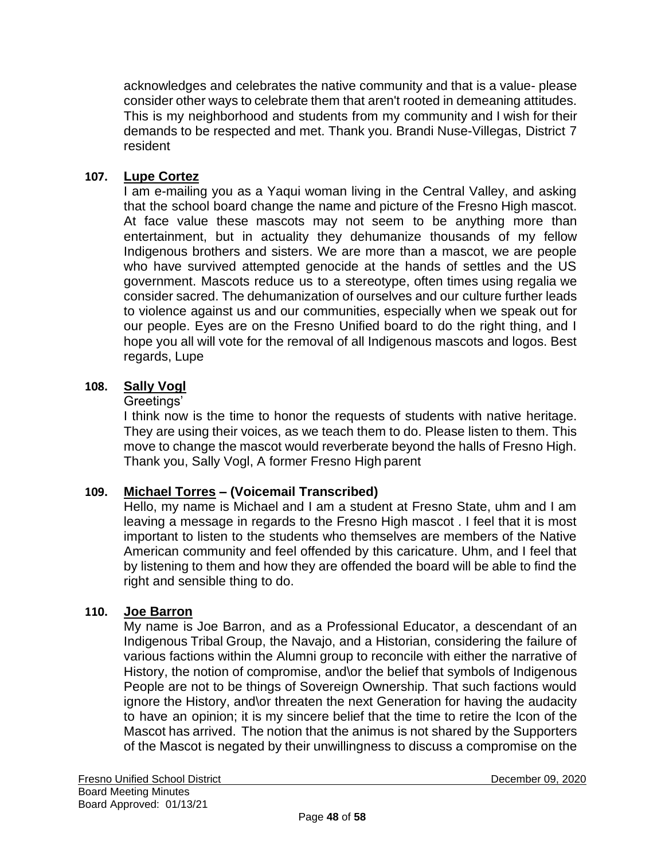acknowledges and celebrates the native community and that is a value- please consider other ways to celebrate them that aren't rooted in demeaning attitudes. This is my neighborhood and students from my community and I wish for their demands to be respected and met. Thank you. Brandi Nuse-Villegas, District 7 resident

## **107. Lupe Cortez**

I am e-mailing you as a Yaqui woman living in the Central Valley, and asking that the school board change the name and picture of the Fresno High mascot. At face value these mascots may not seem to be anything more than entertainment, but in actuality they dehumanize thousands of my fellow Indigenous brothers and sisters. We are more than a mascot, we are people who have survived attempted genocide at the hands of settles and the US government. Mascots reduce us to a stereotype, often times using regalia we consider sacred. The dehumanization of ourselves and our culture further leads to violence against us and our communities, especially when we speak out for our people. Eyes are on the Fresno Unified board to do the right thing, and I hope you all will vote for the removal of all Indigenous mascots and logos. Best regards, Lupe

#### **108. Sally Vogl**

#### Greetings'

I think now is the time to honor the requests of students with native heritage. They are using their voices, as we teach them to do. Please listen to them. This move to change the mascot would reverberate beyond the halls of Fresno High. Thank you, Sally Vogl, A former Fresno High parent

### **109. Michael Torres – (Voicemail Transcribed)**

Hello, my name is Michael and I am a student at Fresno State, uhm and I am leaving a message in regards to the Fresno High mascot . I feel that it is most important to listen to the students who themselves are members of the Native American community and feel offended by this caricature. Uhm, and I feel that by listening to them and how they are offended the board will be able to find the right and sensible thing to do.

### **110. Joe Barron**

My name is Joe Barron, and as a Professional Educator, a descendant of an Indigenous Tribal Group, the Navajo, and a Historian, considering the failure of various factions within the Alumni group to reconcile with either the narrative of History, the notion of compromise, and\or the belief that symbols of Indigenous People are not to be things of Sovereign Ownership. That such factions would ignore the History, and\or threaten the next Generation for having the audacity to have an opinion; it is my sincere belief that the time to retire the Icon of the Mascot has arrived. The notion that the animus is not shared by the Supporters of the Mascot is negated by their unwillingness to discuss a compromise on the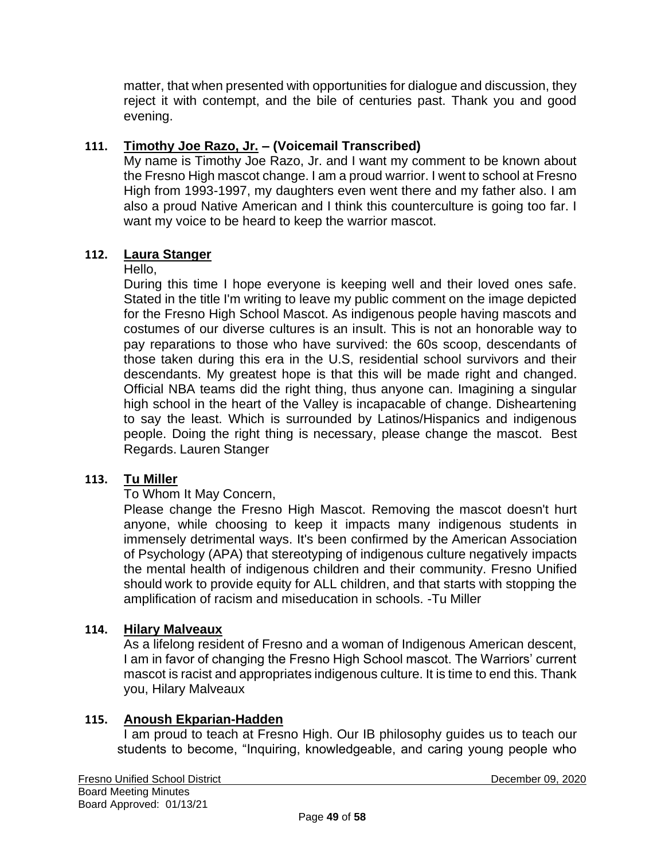matter, that when presented with opportunities for dialogue and discussion, they reject it with contempt, and the bile of centuries past. Thank you and good evening.

# **111. Timothy Joe Razo, Jr. – (Voicemail Transcribed)**

My name is Timothy Joe Razo, Jr. and I want my comment to be known about the Fresno High mascot change. I am a proud warrior. I went to school at Fresno High from 1993-1997, my daughters even went there and my father also. I am also a proud Native American and I think this counterculture is going too far. I want my voice to be heard to keep the warrior mascot.

### **112. Laura Stanger**

#### Hello,

During this time I hope everyone is keeping well and their loved ones safe. Stated in the title I'm writing to leave my public comment on the image depicted for the Fresno High School Mascot. As indigenous people having mascots and costumes of our diverse cultures is an insult. This is not an honorable way to pay reparations to those who have survived: the 60s scoop, descendants of those taken during this era in the U.S, residential school survivors and their descendants. My greatest hope is that this will be made right and changed. Official NBA teams did the right thing, thus anyone can. Imagining a singular high school in the heart of the Valley is incapacable of change. Disheartening to say the least. Which is surrounded by Latinos/Hispanics and indigenous people. Doing the right thing is necessary, please change the mascot. Best Regards. Lauren Stanger

### **113. Tu Miller**

#### To Whom It May Concern,

Please change the Fresno High Mascot. Removing the mascot doesn't hurt anyone, while choosing to keep it impacts many indigenous students in immensely detrimental ways. It's been confirmed by the American Association of Psychology (APA) that stereotyping of indigenous culture negatively impacts the mental health of indigenous children and their community. Fresno Unified should work to provide equity for ALL children, and that starts with stopping the amplification of racism and miseducation in schools. -Tu Miller

#### **114. Hilary Malveaux**

As a lifelong resident of Fresno and a woman of Indigenous American descent, I am in favor of changing the Fresno High School mascot. The Warriors' current mascot is racist and appropriates indigenous culture. It is time to end this. Thank you, Hilary Malveaux

### **115. Anoush Ekparian-Hadden**

I am proud to teach at Fresno High. Our IB philosophy guides us to teach our students to become, "Inquiring, knowledgeable, and caring young people who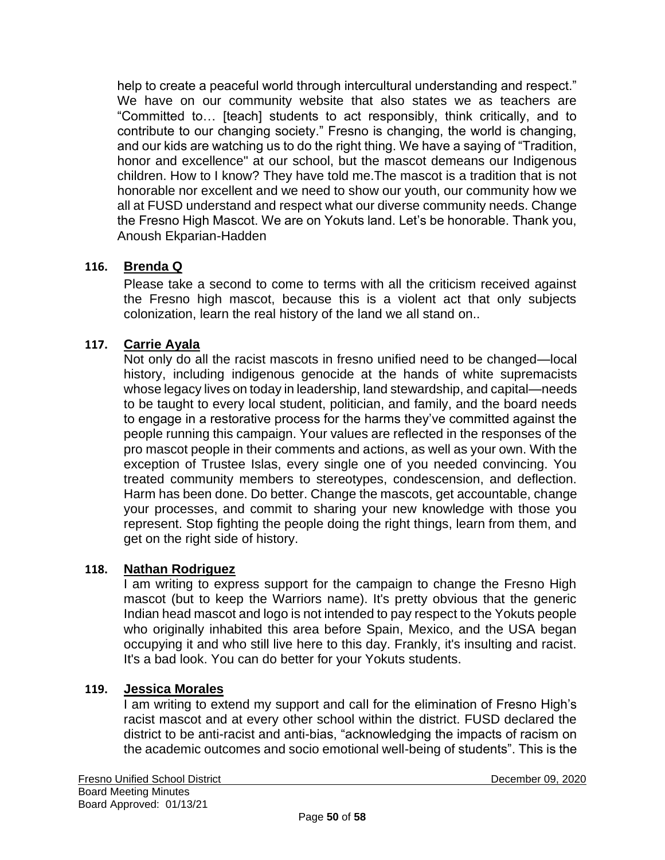help to create a peaceful world through intercultural understanding and respect." We have on our community website that also states we as teachers are "Committed to… [teach] students to act responsibly, think critically, and to contribute to our changing society." Fresno is changing, the world is changing, and our kids are watching us to do the right thing. We have a saying of "Tradition, honor and excellence" at our school, but the mascot demeans our Indigenous children. How to I know? They have told me.The mascot is a tradition that is not honorable nor excellent and we need to show our youth, our community how we all at FUSD understand and respect what our diverse community needs. Change the Fresno High Mascot. We are on Yokuts land. Let's be honorable. Thank you, Anoush Ekparian-Hadden

# **116. Brenda Q**

Please take a second to come to terms with all the criticism received against the Fresno high mascot, because this is a violent act that only subjects colonization, learn the real history of the land we all stand on..

### **117. Carrie Ayala**

Not only do all the racist mascots in fresno unified need to be changed—local history, including indigenous genocide at the hands of white supremacists whose legacy lives on today in leadership, land stewardship, and capital—needs to be taught to every local student, politician, and family, and the board needs to engage in a restorative process for the harms they've committed against the people running this campaign. Your values are reflected in the responses of the pro mascot people in their comments and actions, as well as your own. With the exception of Trustee Islas, every single one of you needed convincing. You treated community members to stereotypes, condescension, and deflection. Harm has been done. Do better. Change the mascots, get accountable, change your processes, and commit to sharing your new knowledge with those you represent. Stop fighting the people doing the right things, learn from them, and get on the right side of history.

### **118. Nathan Rodriguez**

I am writing to express support for the campaign to change the Fresno High mascot (but to keep the Warriors name). It's pretty obvious that the generic Indian head mascot and logo is not intended to pay respect to the Yokuts people who originally inhabited this area before Spain, Mexico, and the USA began occupying it and who still live here to this day. Frankly, it's insulting and racist. It's a bad look. You can do better for your Yokuts students.

#### **119. Jessica Morales**

I am writing to extend my support and call for the elimination of Fresno High's racist mascot and at every other school within the district. FUSD declared the district to be anti-racist and anti-bias, "acknowledging the impacts of racism on the academic outcomes and socio emotional well-being of students". This is the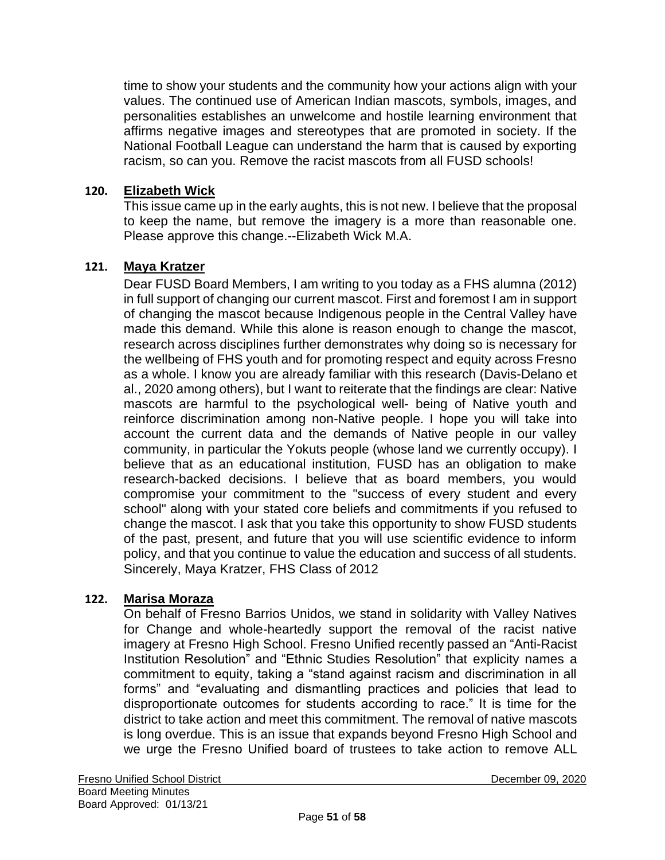time to show your students and the community how your actions align with your values. The continued use of American Indian mascots, symbols, images, and personalities establishes an unwelcome and hostile learning environment that affirms negative images and stereotypes that are promoted in society. If the National Football League can understand the harm that is caused by exporting racism, so can you. Remove the racist mascots from all FUSD schools!

#### **120. Elizabeth Wick**

This issue came up in the early aughts, this is not new. I believe that the proposal to keep the name, but remove the imagery is a more than reasonable one. Please approve this change.--Elizabeth Wick M.A.

#### **121. Maya Kratzer**

Dear FUSD Board Members, I am writing to you today as a FHS alumna (2012) in full support of changing our current mascot. First and foremost I am in support of changing the mascot because Indigenous people in the Central Valley have made this demand. While this alone is reason enough to change the mascot, research across disciplines further demonstrates why doing so is necessary for the wellbeing of FHS youth and for promoting respect and equity across Fresno as a whole. I know you are already familiar with this research (Davis-Delano et al., 2020 among others), but I want to reiterate that the findings are clear: Native mascots are harmful to the psychological well- being of Native youth and reinforce discrimination among non-Native people. I hope you will take into account the current data and the demands of Native people in our valley community, in particular the Yokuts people (whose land we currently occupy). I believe that as an educational institution, FUSD has an obligation to make research-backed decisions. I believe that as board members, you would compromise your commitment to the "success of every student and every school" along with your stated core beliefs and commitments if you refused to change the mascot. I ask that you take this opportunity to show FUSD students of the past, present, and future that you will use scientific evidence to inform policy, and that you continue to value the education and success of all students. Sincerely, Maya Kratzer, FHS Class of 2012

#### **122. Marisa Moraza**

On behalf of Fresno Barrios Unidos, we stand in solidarity with Valley Natives for Change and whole-heartedly support the removal of the racist native imagery at Fresno High School. Fresno Unified recently passed an "Anti-Racist Institution Resolution" and "Ethnic Studies Resolution" that explicity names a commitment to equity, taking a "stand against racism and discrimination in all forms" and "evaluating and dismantling practices and policies that lead to disproportionate outcomes for students according to race." It is time for the district to take action and meet this commitment. The removal of native mascots is long overdue. This is an issue that expands beyond Fresno High School and we urge the Fresno Unified board of trustees to take action to remove ALL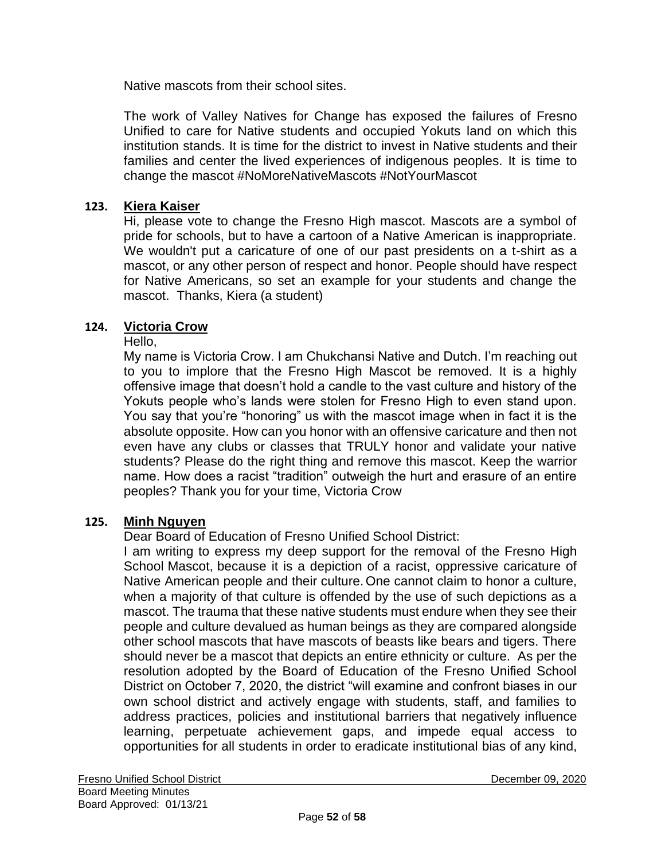Native mascots from their school sites.

The work of Valley Natives for Change has exposed the failures of Fresno Unified to care for Native students and occupied Yokuts land on which this institution stands. It is time for the district to invest in Native students and their families and center the lived experiences of indigenous peoples. It is time to change the mascot #NoMoreNativeMascots #NotYourMascot

#### **123. Kiera Kaiser**

Hi, please vote to change the Fresno High mascot. Mascots are a symbol of pride for schools, but to have a cartoon of a Native American is inappropriate. We wouldn't put a caricature of one of our past presidents on a t-shirt as a mascot, or any other person of respect and honor. People should have respect for Native Americans, so set an example for your students and change the mascot. Thanks, Kiera (a student)

#### **124. Victoria Crow**

#### Hello,

My name is Victoria Crow. I am Chukchansi Native and Dutch. I'm reaching out to you to implore that the Fresno High Mascot be removed. It is a highly offensive image that doesn't hold a candle to the vast culture and history of the Yokuts people who's lands were stolen for Fresno High to even stand upon. You say that you're "honoring" us with the mascot image when in fact it is the absolute opposite. How can you honor with an offensive caricature and then not even have any clubs or classes that TRULY honor and validate your native students? Please do the right thing and remove this mascot. Keep the warrior name. How does a racist "tradition" outweigh the hurt and erasure of an entire peoples? Thank you for your time, Victoria Crow

#### **125. Minh Nguyen**

Dear Board of Education of Fresno Unified School District:

I am writing to express my deep support for the removal of the Fresno High School Mascot, because it is a depiction of a racist, oppressive caricature of Native American people and their culture. One cannot claim to honor a culture, when a majority of that culture is offended by the use of such depictions as a mascot. The trauma that these native students must endure when they see their people and culture devalued as human beings as they are compared alongside other school mascots that have mascots of beasts like bears and tigers. There should never be a mascot that depicts an entire ethnicity or culture. As per the resolution adopted by the Board of Education of the Fresno Unified School District on October 7, 2020, the district "will examine and confront biases in our own school district and actively engage with students, staff, and families to address practices, policies and institutional barriers that negatively influence learning, perpetuate achievement gaps, and impede equal access to opportunities for all students in order to eradicate institutional bias of any kind,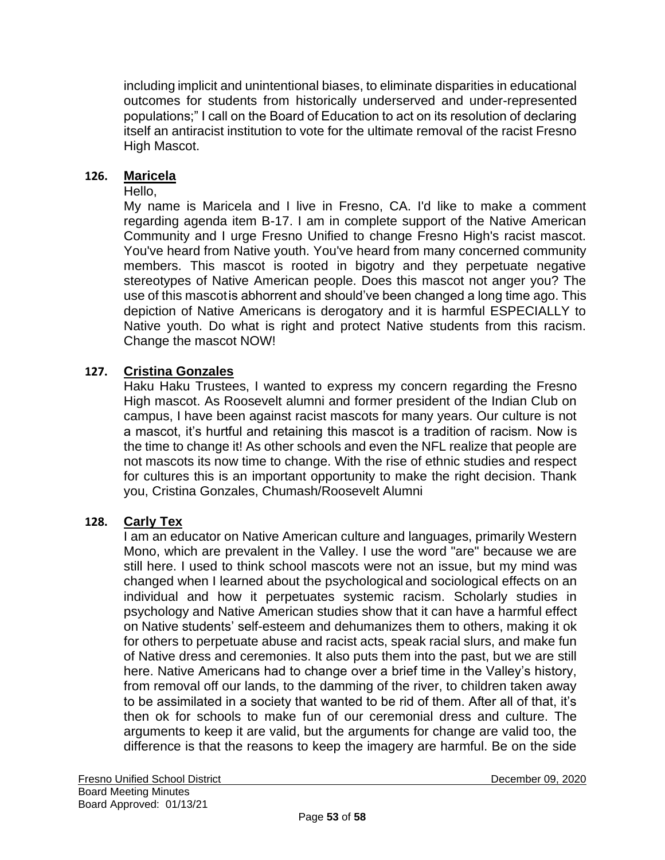including implicit and unintentional biases, to eliminate disparities in educational outcomes for students from historically underserved and under-represented populations;" I call on the Board of Education to act on its resolution of declaring itself an antiracist institution to vote for the ultimate removal of the racist Fresno High Mascot.

#### **126. Maricela**

Hello,

My name is Maricela and I live in Fresno, CA. I'd like to make a comment regarding agenda item B-17. I am in complete support of the Native American Community and I urge Fresno Unified to change Fresno High's racist mascot. You've heard from Native youth. You've heard from many concerned community members. This mascot is rooted in bigotry and they perpetuate negative stereotypes of Native American people. Does this mascot not anger you? The use of this mascotis abhorrent and should've been changed a long time ago. This depiction of Native Americans is derogatory and it is harmful ESPECIALLY to Native youth. Do what is right and protect Native students from this racism. Change the mascot NOW!

#### **127. Cristina Gonzales**

Haku Haku Trustees, I wanted to express my concern regarding the Fresno High mascot. As Roosevelt alumni and former president of the Indian Club on campus, I have been against racist mascots for many years. Our culture is not a mascot, it's hurtful and retaining this mascot is a tradition of racism. Now is the time to change it! As other schools and even the NFL realize that people are not mascots its now time to change. With the rise of ethnic studies and respect for cultures this is an important opportunity to make the right decision. Thank you, Cristina Gonzales, Chumash/Roosevelt Alumni

#### **128. Carly Tex**

I am an educator on Native American culture and languages, primarily Western Mono, which are prevalent in the Valley. I use the word "are" because we are still here. I used to think school mascots were not an issue, but my mind was changed when I learned about the psychological and sociological effects on an individual and how it perpetuates systemic racism. Scholarly studies in psychology and Native American studies show that it can have a harmful effect on Native students' self-esteem and dehumanizes them to others, making it ok for others to perpetuate abuse and racist acts, speak racial slurs, and make fun of Native dress and ceremonies. It also puts them into the past, but we are still here. Native Americans had to change over a brief time in the Valley's history, from removal off our lands, to the damming of the river, to children taken away to be assimilated in a society that wanted to be rid of them. After all of that, it's then ok for schools to make fun of our ceremonial dress and culture. The arguments to keep it are valid, but the arguments for change are valid too, the difference is that the reasons to keep the imagery are harmful. Be on the side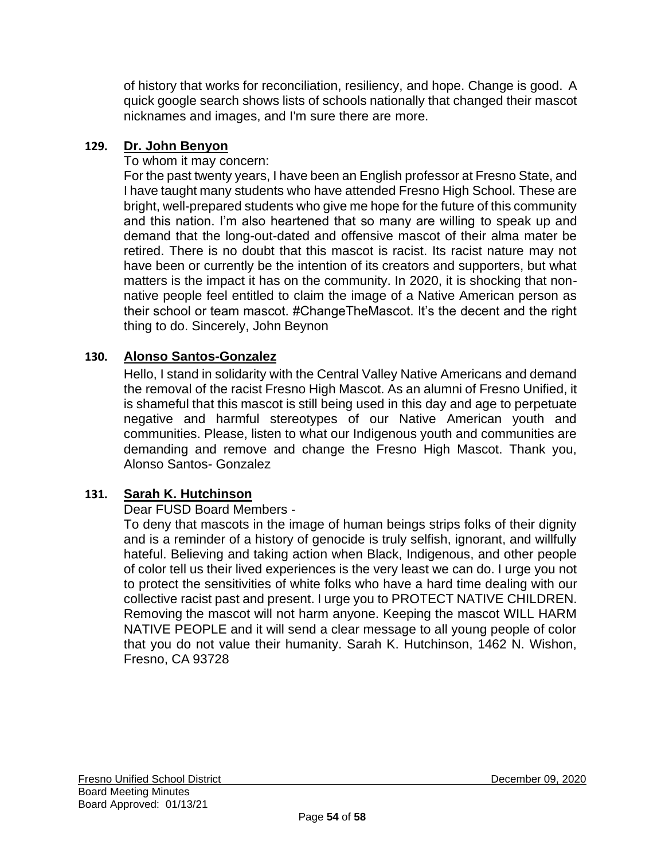of history that works for reconciliation, resiliency, and hope. Change is good. A quick google search shows lists of schools nationally that changed their mascot nicknames and images, and I'm sure there are more.

## **129. Dr. John Benyon**

To whom it may concern:

For the past twenty years, I have been an English professor at Fresno State, and I have taught many students who have attended Fresno High School. These are bright, well-prepared students who give me hope for the future of this community and this nation. I'm also heartened that so many are willing to speak up and demand that the long-out-dated and offensive mascot of their alma mater be retired. There is no doubt that this mascot is racist. Its racist nature may not have been or currently be the intention of its creators and supporters, but what matters is the impact it has on the community. In 2020, it is shocking that nonnative people feel entitled to claim the image of a Native American person as their school or team mascot. #ChangeTheMascot. It's the decent and the right thing to do. Sincerely, John Beynon

# **130. Alonso Santos-Gonzalez**

Hello, I stand in solidarity with the Central Valley Native Americans and demand the removal of the racist Fresno High Mascot. As an alumni of Fresno Unified, it is shameful that this mascot is still being used in this day and age to perpetuate negative and harmful stereotypes of our Native American youth and communities. Please, listen to what our Indigenous youth and communities are demanding and remove and change the Fresno High Mascot. Thank you, Alonso Santos- Gonzalez

### **131. Sarah K. Hutchinson**

### Dear FUSD Board Members -

To deny that mascots in the image of human beings strips folks of their dignity and is a reminder of a history of genocide is truly selfish, ignorant, and willfully hateful. Believing and taking action when Black, Indigenous, and other people of color tell us their lived experiences is the very least we can do. I urge you not to protect the sensitivities of white folks who have a hard time dealing with our collective racist past and present. I urge you to PROTECT NATIVE CHILDREN. Removing the mascot will not harm anyone. Keeping the mascot WILL HARM NATIVE PEOPLE and it will send a clear message to all young people of color that you do not value their humanity. Sarah K. Hutchinson, 1462 N. Wishon, Fresno, CA 93728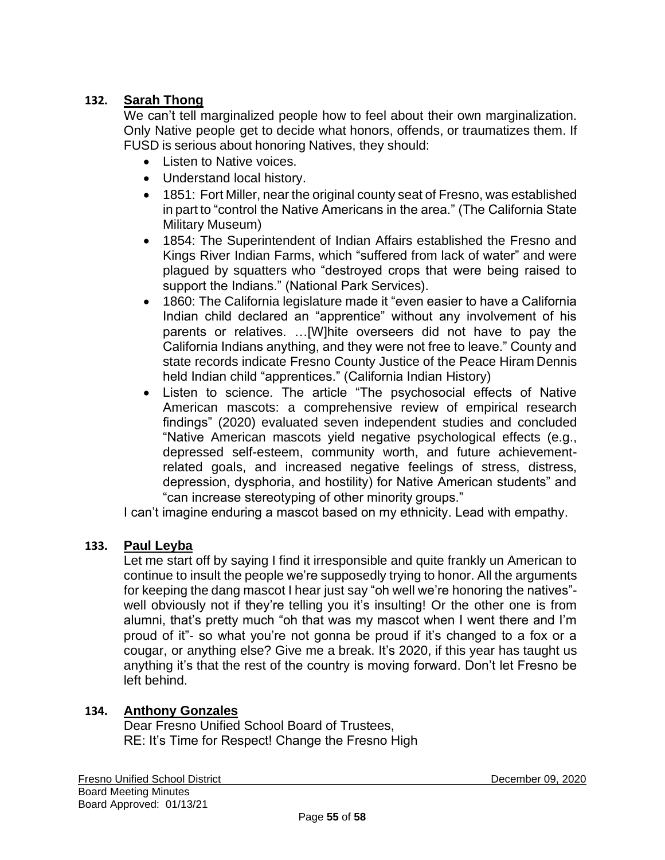# **132. Sarah Thong**

We can't tell marginalized people how to feel about their own marginalization. Only Native people get to decide what honors, offends, or traumatizes them. If FUSD is serious about honoring Natives, they should:

- Listen to Native voices.
- Understand local history.
- 1851: Fort Miller, near the original county seat of Fresno, was established in part to "control the Native Americans in the area." (The California State Military Museum)
- 1854: The Superintendent of Indian Affairs established the Fresno and Kings River Indian Farms, which "suffered from lack of water" and were plagued by squatters who "destroyed crops that were being raised to support the Indians." (National Park Services).
- 1860: The California legislature made it "even easier to have a California Indian child declared an "apprentice" without any involvement of his parents or relatives. …[W]hite overseers did not have to pay the California Indians anything, and they were not free to leave." County and state records indicate Fresno County Justice of the Peace Hiram Dennis held Indian child "apprentices." (California Indian History)
- Listen to science. The article "The psychosocial effects of Native American mascots: a comprehensive review of empirical research findings" (2020) evaluated seven independent studies and concluded "Native American mascots yield negative psychological effects (e.g., depressed self-esteem, community worth, and future achievementrelated goals, and increased negative feelings of stress, distress, depression, dysphoria, and hostility) for Native American students" and "can increase stereotyping of other minority groups."

I can't imagine enduring a mascot based on my ethnicity. Lead with empathy.

### **133. Paul Leyba**

Let me start off by saying I find it irresponsible and quite frankly un American to continue to insult the people we're supposedly trying to honor. All the arguments for keeping the dang mascot I hear just say "oh well we're honoring the natives" well obviously not if they're telling you it's insulting! Or the other one is from alumni, that's pretty much "oh that was my mascot when I went there and I'm proud of it"- so what you're not gonna be proud if it's changed to a fox or a cougar, or anything else? Give me a break. It's 2020, if this year has taught us anything it's that the rest of the country is moving forward. Don't let Fresno be left behind.

### **134. Anthony Gonzales**

Dear Fresno Unified School Board of Trustees, RE: It's Time for Respect! Change the Fresno High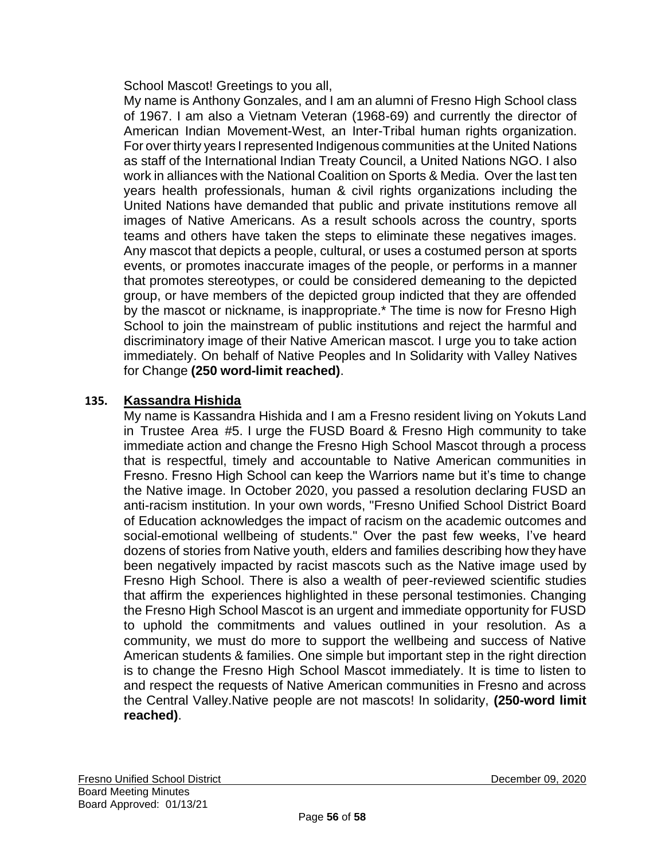School Mascot! Greetings to you all,

My name is Anthony Gonzales, and I am an alumni of Fresno High School class of 1967. I am also a Vietnam Veteran (1968-69) and currently the director of American Indian Movement-West, an Inter-Tribal human rights organization. For over thirty years I represented Indigenous communities at the United Nations as staff of the International Indian Treaty Council, a United Nations NGO. I also work in alliances with the National Coalition on Sports & Media. Over the last ten years health professionals, human & civil rights organizations including the United Nations have demanded that public and private institutions remove all images of Native Americans. As a result schools across the country, sports teams and others have taken the steps to eliminate these negatives images. Any mascot that depicts a people, cultural, or uses a costumed person at sports events, or promotes inaccurate images of the people, or performs in a manner that promotes stereotypes, or could be considered demeaning to the depicted group, or have members of the depicted group indicted that they are offended by the mascot or nickname, is inappropriate.\* The time is now for Fresno High School to join the mainstream of public institutions and reject the harmful and discriminatory image of their Native American mascot. I urge you to take action immediately. On behalf of Native Peoples and In Solidarity with Valley Natives for Change **(250 word-limit reached)**.

### **135. Kassandra Hishida**

My name is Kassandra Hishida and I am a Fresno resident living on Yokuts Land in Trustee Area #5. I urge the FUSD Board & Fresno High community to take immediate action and change the Fresno High School Mascot through a process that is respectful, timely and accountable to Native American communities in Fresno. Fresno High School can keep the Warriors name but it's time to change the Native image. In October 2020, you passed a resolution declaring FUSD an anti-racism institution. In your own words, "Fresno Unified School District Board of Education acknowledges the impact of racism on the academic outcomes and social-emotional wellbeing of students." Over the past few weeks, I've heard dozens of stories from Native youth, elders and families describing how they have been negatively impacted by racist mascots such as the Native image used by Fresno High School. There is also a wealth of peer-reviewed scientific studies that affirm the experiences highlighted in these personal testimonies. Changing the Fresno High School Mascot is an urgent and immediate opportunity for FUSD to uphold the commitments and values outlined in your resolution. As a community, we must do more to support the wellbeing and success of Native American students & families. One simple but important step in the right direction is to change the Fresno High School Mascot immediately. It is time to listen to and respect the requests of Native American communities in Fresno and across the Central Valley.Native people are not mascots! In solidarity, **(250-word limit reached)**.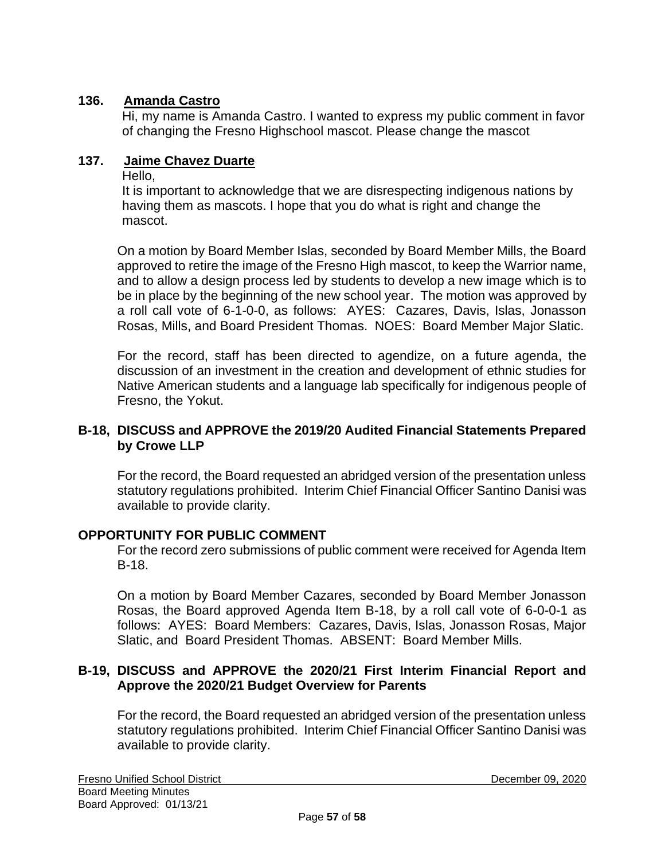## **136. Amanda Castro**

Hi, my name is Amanda Castro. I wanted to express my public comment in favor of changing the Fresno Highschool mascot. Please change the mascot

## **137. Jaime Chavez Duarte**

Hello,

It is important to acknowledge that we are disrespecting indigenous nations by having them as mascots. I hope that you do what is right and change the mascot.

On a motion by Board Member Islas, seconded by Board Member Mills, the Board approved to retire the image of the Fresno High mascot, to keep the Warrior name, and to allow a design process led by students to develop a new image which is to be in place by the beginning of the new school year. The motion was approved by a roll call vote of 6-1-0-0, as follows: AYES: Cazares, Davis, Islas, Jonasson Rosas, Mills, and Board President Thomas. NOES: Board Member Major Slatic.

For the record, staff has been directed to agendize, on a future agenda, the discussion of an investment in the creation and development of ethnic studies for Native American students and a language lab specifically for indigenous people of Fresno, the Yokut.

#### **B-18, DISCUSS and APPROVE the 2019/20 Audited Financial Statements Prepared by Crowe LLP**

For the record, the Board requested an abridged version of the presentation unless statutory regulations prohibited. Interim Chief Financial Officer Santino Danisi was available to provide clarity.

### **OPPORTUNITY FOR PUBLIC COMMENT**

For the record zero submissions of public comment were received for Agenda Item B-18.

On a motion by Board Member Cazares, seconded by Board Member Jonasson Rosas, the Board approved Agenda Item B-18, by a roll call vote of 6-0-0-1 as follows: AYES: Board Members: Cazares, Davis, Islas, Jonasson Rosas, Major Slatic, and Board President Thomas. ABSENT: Board Member Mills.

#### **B-19, DISCUSS and APPROVE the 2020/21 First Interim Financial Report and Approve the 2020/21 Budget Overview for Parents**

For the record, the Board requested an abridged version of the presentation unless statutory regulations prohibited. Interim Chief Financial Officer Santino Danisi was available to provide clarity.